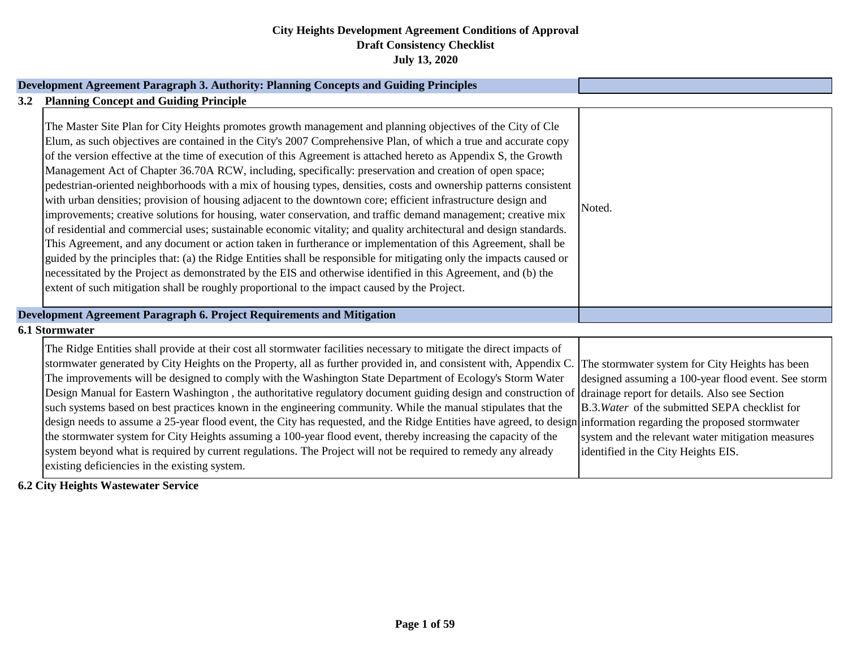|                       | Development Agreement Paragraph 3. Authority: Planning Concepts and Guiding Principles                                                                                                                                                                                                                                                                                                                                                                                                                                                                                                                                                                                                                                                                                                                                                                                                                                                                                                                                                                                                                                                                                                                                                                                                                                                                                                                |                                                                                                                                                                                                                                                                                                       |
|-----------------------|-------------------------------------------------------------------------------------------------------------------------------------------------------------------------------------------------------------------------------------------------------------------------------------------------------------------------------------------------------------------------------------------------------------------------------------------------------------------------------------------------------------------------------------------------------------------------------------------------------------------------------------------------------------------------------------------------------------------------------------------------------------------------------------------------------------------------------------------------------------------------------------------------------------------------------------------------------------------------------------------------------------------------------------------------------------------------------------------------------------------------------------------------------------------------------------------------------------------------------------------------------------------------------------------------------------------------------------------------------------------------------------------------------|-------------------------------------------------------------------------------------------------------------------------------------------------------------------------------------------------------------------------------------------------------------------------------------------------------|
| 3.2                   | <b>Planning Concept and Guiding Principle</b>                                                                                                                                                                                                                                                                                                                                                                                                                                                                                                                                                                                                                                                                                                                                                                                                                                                                                                                                                                                                                                                                                                                                                                                                                                                                                                                                                         |                                                                                                                                                                                                                                                                                                       |
|                       | The Master Site Plan for City Heights promotes growth management and planning objectives of the City of Cle<br>Elum, as such objectives are contained in the City's 2007 Comprehensive Plan, of which a true and accurate copy<br>of the version effective at the time of execution of this Agreement is attached hereto as Appendix S, the Growth<br>Management Act of Chapter 36.70A RCW, including, specifically: preservation and creation of open space;<br>pedestrian-oriented neighborhoods with a mix of housing types, densities, costs and ownership patterns consistent<br>with urban densities; provision of housing adjacent to the downtown core; efficient infrastructure design and<br>improvements; creative solutions for housing, water conservation, and traffic demand management; creative mix<br>of residential and commercial uses; sustainable economic vitality; and quality architectural and design standards.<br>This Agreement, and any document or action taken in furtherance or implementation of this Agreement, shall be<br>guided by the principles that: (a) the Ridge Entities shall be responsible for mitigating only the impacts caused or<br>necessitated by the Project as demonstrated by the EIS and otherwise identified in this Agreement, and (b) the<br>extent of such mitigation shall be roughly proportional to the impact caused by the Project. | Noted.                                                                                                                                                                                                                                                                                                |
|                       | Development Agreement Paragraph 6. Project Requirements and Mitigation                                                                                                                                                                                                                                                                                                                                                                                                                                                                                                                                                                                                                                                                                                                                                                                                                                                                                                                                                                                                                                                                                                                                                                                                                                                                                                                                |                                                                                                                                                                                                                                                                                                       |
| <b>6.1 Stormwater</b> |                                                                                                                                                                                                                                                                                                                                                                                                                                                                                                                                                                                                                                                                                                                                                                                                                                                                                                                                                                                                                                                                                                                                                                                                                                                                                                                                                                                                       |                                                                                                                                                                                                                                                                                                       |
|                       | The Ridge Entities shall provide at their cost all stormwater facilities necessary to mitigate the direct impacts of<br>stormwater generated by City Heights on the Property, all as further provided in, and consistent with, Appendix C.<br>The improvements will be designed to comply with the Washington State Department of Ecology's Storm Water<br>Design Manual for Eastern Washington, the authoritative regulatory document guiding design and construction of<br>such systems based on best practices known in the engineering community. While the manual stipulates that the<br>design needs to assume a 25-year flood event, the City has requested, and the Ridge Entities have agreed, to design information regarding the proposed stormwater<br>the stormwater system for City Heights assuming a 100-year flood event, thereby increasing the capacity of the<br>system beyond what is required by current regulations. The Project will not be required to remedy any already<br>existing deficiencies in the existing system.<br><b>6.2 City Heights Wastewater Service</b>                                                                                                                                                                                                                                                                                                     | The stormwater system for City Heights has been<br>designed assuming a 100-year flood event. See storm<br>drainage report for details. Also see Section<br>B.3. Water of the submitted SEPA checklist for<br>system and the relevant water mitigation measures<br>identified in the City Heights EIS. |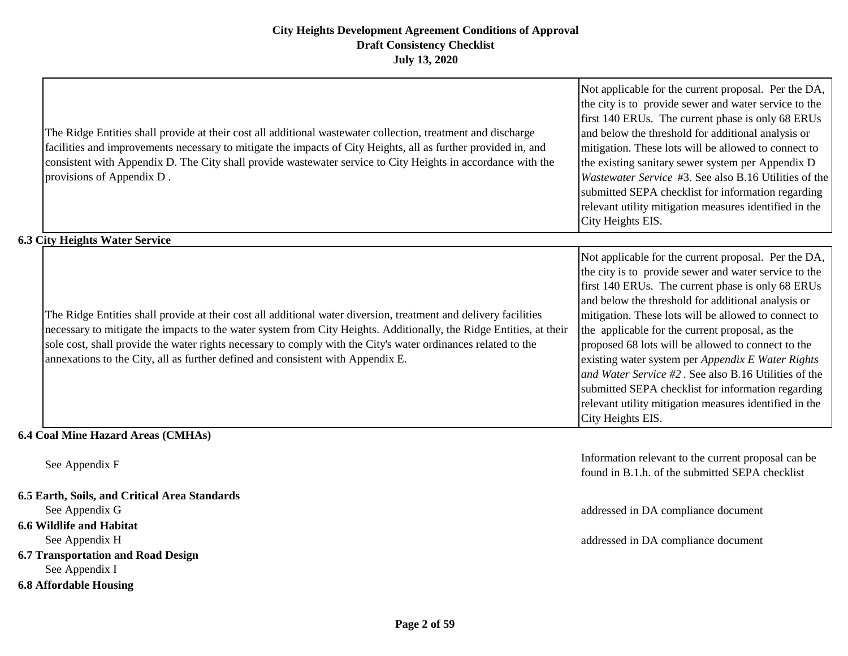| The Ridge Entities shall provide at their cost all additional wastewater collection, treatment and discharge<br>facilities and improvements necessary to mitigate the impacts of City Heights, all as further provided in, and<br>consistent with Appendix D. The City shall provide wastewater service to City Heights in accordance with the<br>provisions of Appendix D.                                                                 | Not applicable for the current proposal. Per the DA,<br>the city is to provide sewer and water service to the<br>first 140 ERUs. The current phase is only 68 ERUs<br>and below the threshold for additional analysis or<br>mitigation. These lots will be allowed to connect to<br>the existing sanitary sewer system per Appendix D<br>Wastewater Service #3. See also B.16 Utilities of the<br>submitted SEPA checklist for information regarding<br>relevant utility mitigation measures identified in the<br>City Heights EIS.                                                                                                         |
|---------------------------------------------------------------------------------------------------------------------------------------------------------------------------------------------------------------------------------------------------------------------------------------------------------------------------------------------------------------------------------------------------------------------------------------------|---------------------------------------------------------------------------------------------------------------------------------------------------------------------------------------------------------------------------------------------------------------------------------------------------------------------------------------------------------------------------------------------------------------------------------------------------------------------------------------------------------------------------------------------------------------------------------------------------------------------------------------------|
| <b>6.3 City Heights Water Service</b>                                                                                                                                                                                                                                                                                                                                                                                                       |                                                                                                                                                                                                                                                                                                                                                                                                                                                                                                                                                                                                                                             |
| The Ridge Entities shall provide at their cost all additional water diversion, treatment and delivery facilities<br>necessary to mitigate the impacts to the water system from City Heights. Additionally, the Ridge Entities, at their<br>sole cost, shall provide the water rights necessary to comply with the City's water ordinances related to the<br>annexations to the City, all as further defined and consistent with Appendix E. | Not applicable for the current proposal. Per the DA,<br>the city is to provide sewer and water service to the<br>first 140 ERUs. The current phase is only 68 ERUs<br>and below the threshold for additional analysis or<br>mitigation. These lots will be allowed to connect to<br>the applicable for the current proposal, as the<br>proposed 68 lots will be allowed to connect to the<br>existing water system per Appendix E Water Rights<br>and Water Service #2. See also B.16 Utilities of the<br>submitted SEPA checklist for information regarding<br>relevant utility mitigation measures identified in the<br>City Heights EIS. |
| 6.4 Coal Mine Hazard Areas (CMHAs)                                                                                                                                                                                                                                                                                                                                                                                                          |                                                                                                                                                                                                                                                                                                                                                                                                                                                                                                                                                                                                                                             |
| See Appendix F                                                                                                                                                                                                                                                                                                                                                                                                                              | Information relevant to the current proposal can be<br>found in B.1.h. of the submitted SEPA checklist                                                                                                                                                                                                                                                                                                                                                                                                                                                                                                                                      |
| 6.5 Earth, Soils, and Critical Area Standards                                                                                                                                                                                                                                                                                                                                                                                               |                                                                                                                                                                                                                                                                                                                                                                                                                                                                                                                                                                                                                                             |
| See Appendix G                                                                                                                                                                                                                                                                                                                                                                                                                              | addressed in DA compliance document                                                                                                                                                                                                                                                                                                                                                                                                                                                                                                                                                                                                         |
| <b>6.6 Wildlife and Habitat</b>                                                                                                                                                                                                                                                                                                                                                                                                             |                                                                                                                                                                                                                                                                                                                                                                                                                                                                                                                                                                                                                                             |
| See Appendix H                                                                                                                                                                                                                                                                                                                                                                                                                              | addressed in DA compliance document                                                                                                                                                                                                                                                                                                                                                                                                                                                                                                                                                                                                         |
| <b>6.7 Transportation and Road Design</b>                                                                                                                                                                                                                                                                                                                                                                                                   |                                                                                                                                                                                                                                                                                                                                                                                                                                                                                                                                                                                                                                             |
| See Appendix I                                                                                                                                                                                                                                                                                                                                                                                                                              |                                                                                                                                                                                                                                                                                                                                                                                                                                                                                                                                                                                                                                             |
| <b>6.8 Affordable Housing</b>                                                                                                                                                                                                                                                                                                                                                                                                               |                                                                                                                                                                                                                                                                                                                                                                                                                                                                                                                                                                                                                                             |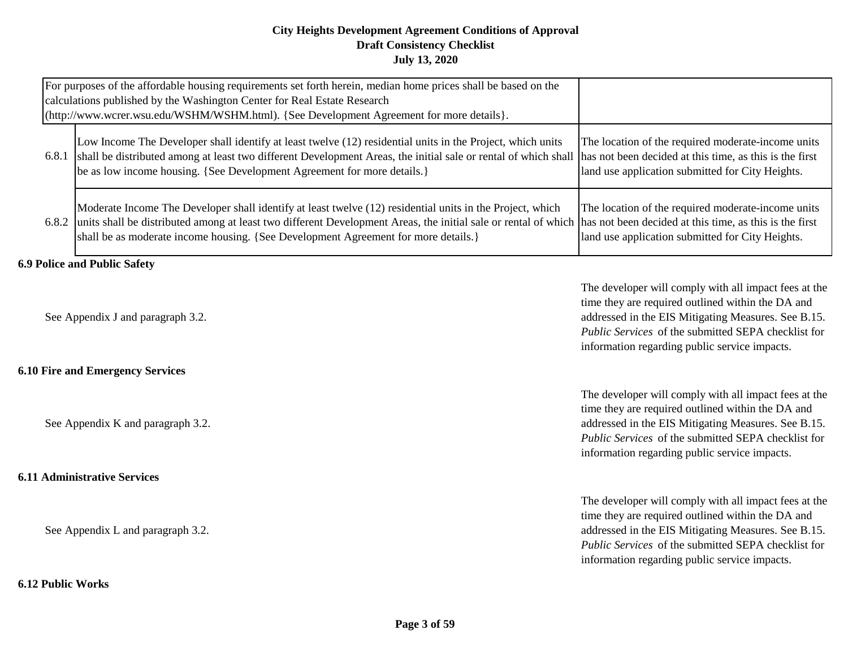| For purposes of the affordable housing requirements set forth herein, median home prices shall be based on the<br>calculations published by the Washington Center for Real Estate Research<br>(http://www.wcrer.wsu.edu/WSHM/WSHM.html). {See Development Agreement for more details}.                                                                                          |                                                                                                        |
|---------------------------------------------------------------------------------------------------------------------------------------------------------------------------------------------------------------------------------------------------------------------------------------------------------------------------------------------------------------------------------|--------------------------------------------------------------------------------------------------------|
| Low Income The Developer shall identify at least twelve (12) residential units in the Project, which units<br>6.8.1 shall be distributed among at least two different Development Areas, the initial sale or rental of which shall has not been decided at this time, as this is the first<br>be as low income housing. {See Development Agreement for more details.}           | The location of the required moderate-income units<br>land use application submitted for City Heights. |
| Moderate Income The Developer shall identify at least twelve (12) residential units in the Project, which<br>6.8.2 units shall be distributed among at least two different Development Areas, the initial sale or rental of which has not been decided at this time, as this is the first<br>shall be as moderate income housing. {See Development Agreement for more details.} | The location of the required moderate-income units<br>land use application submitted for City Heights. |

**6.9 Police and Public Safety**

See Appendix J and paragraph 3.2.

### **6.10 Fire and Emergency Services**

See Appendix K and paragraph 3.2.

#### **6.11 Administrative Services**

See Appendix L and paragraph 3.2.

**6.12 Public Works**

The developer will comply with all impact fees at the time they are required outlined within the DA and addressed in the EIS Mitigating Measures. See B.15. *Public Services* of the submitted SEPA checklist for information regarding public service impacts.

The developer will comply with all impact fees at the time they are required outlined within the DA and addressed in the EIS Mitigating Measures. See B.15. *Public Services* of the submitted SEPA checklist for information regarding public service impacts.

The developer will comply with all impact fees at the time they are required outlined within the DA and addressed in the EIS Mitigating Measures. See B.15. *Public Services* of the submitted SEPA checklist for information regarding public service impacts.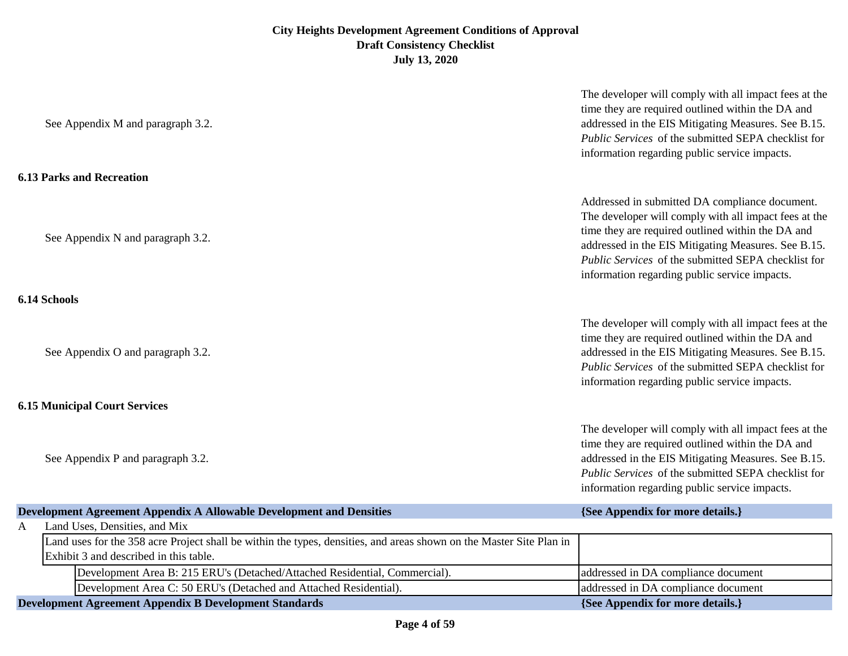| Addressed in submitted DA compliance document.<br>The developer will comply with all impact fees at the<br>time they are required outlined within the DA and<br>addressed in the EIS Mitigating Measures. See B.15.<br>Public Services of the submitted SEPA checklist for<br>information regarding public service impacts. |
|-----------------------------------------------------------------------------------------------------------------------------------------------------------------------------------------------------------------------------------------------------------------------------------------------------------------------------|
|                                                                                                                                                                                                                                                                                                                             |
| The developer will comply with all impact fees at the<br>time they are required outlined within the DA and<br>addressed in the EIS Mitigating Measures. See B.15.<br>Public Services of the submitted SEPA checklist for<br>information regarding public service impacts.                                                   |
|                                                                                                                                                                                                                                                                                                                             |
| The developer will comply with all impact fees at the<br>time they are required outlined within the DA and<br>addressed in the EIS Mitigating Measures. See B.15.<br>Public Services of the submitted SEPA checklist for<br>information regarding public service impacts.                                                   |
| {See Appendix for more details.}                                                                                                                                                                                                                                                                                            |
|                                                                                                                                                                                                                                                                                                                             |
|                                                                                                                                                                                                                                                                                                                             |
|                                                                                                                                                                                                                                                                                                                             |
|                                                                                                                                                                                                                                                                                                                             |
| addressed in DA compliance document<br>addressed in DA compliance document                                                                                                                                                                                                                                                  |
|                                                                                                                                                                                                                                                                                                                             |

**Development Agreement Appendix B Development Standards** *(See Appendix for more details.)*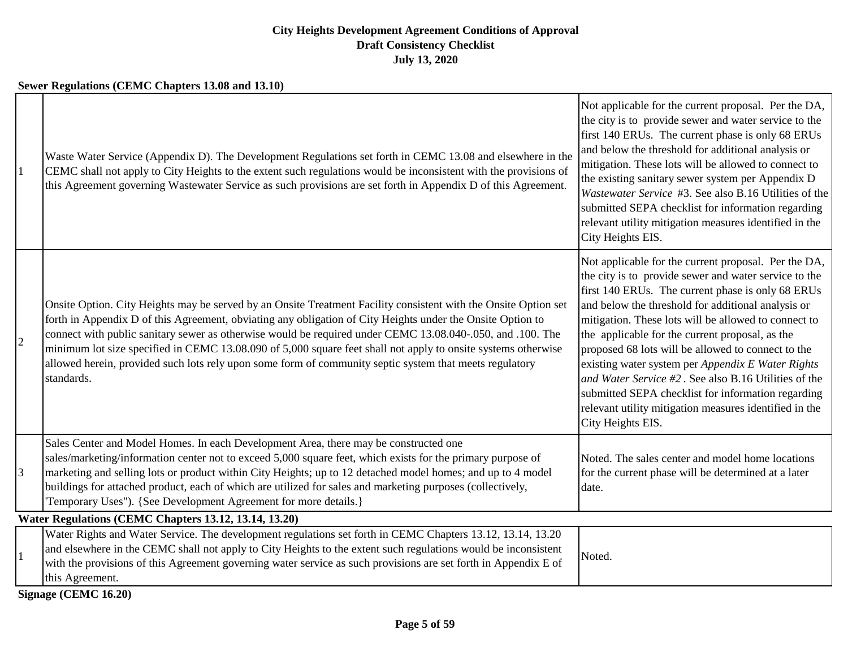#### **Sewer Regulations (CEMC Chapters 13.08 and 13.10)**

|                | Waste Water Service (Appendix D). The Development Regulations set forth in CEMC 13.08 and elsewhere in the<br>CEMC shall not apply to City Heights to the extent such regulations would be inconsistent with the provisions of<br>this Agreement governing Wastewater Service as such provisions are set forth in Appendix D of this Agreement.                                                                                                                                                                                                                                       | Not applicable for the current proposal. Per the DA,<br>the city is to provide sewer and water service to the<br>first 140 ERUs. The current phase is only 68 ERUs<br>and below the threshold for additional analysis or<br>mitigation. These lots will be allowed to connect to<br>the existing sanitary sewer system per Appendix D<br>Wastewater Service #3. See also B.16 Utilities of the<br>submitted SEPA checklist for information regarding<br>relevant utility mitigation measures identified in the<br>City Heights EIS.                                                                                                         |
|----------------|---------------------------------------------------------------------------------------------------------------------------------------------------------------------------------------------------------------------------------------------------------------------------------------------------------------------------------------------------------------------------------------------------------------------------------------------------------------------------------------------------------------------------------------------------------------------------------------|---------------------------------------------------------------------------------------------------------------------------------------------------------------------------------------------------------------------------------------------------------------------------------------------------------------------------------------------------------------------------------------------------------------------------------------------------------------------------------------------------------------------------------------------------------------------------------------------------------------------------------------------|
| $\overline{2}$ | Onsite Option. City Heights may be served by an Onsite Treatment Facility consistent with the Onsite Option set<br>forth in Appendix D of this Agreement, obviating any obligation of City Heights under the Onsite Option to<br>connect with public sanitary sewer as otherwise would be required under CEMC 13.08.040-.050, and .100. The<br>minimum lot size specified in CEMC 13.08.090 of 5,000 square feet shall not apply to onsite systems otherwise<br>allowed herein, provided such lots rely upon some form of community septic system that meets regulatory<br>standards. | Not applicable for the current proposal. Per the DA,<br>the city is to provide sewer and water service to the<br>first 140 ERUs. The current phase is only 68 ERUs<br>and below the threshold for additional analysis or<br>mitigation. These lots will be allowed to connect to<br>the applicable for the current proposal, as the<br>proposed 68 lots will be allowed to connect to the<br>existing water system per Appendix E Water Rights<br>and Water Service #2. See also B.16 Utilities of the<br>submitted SEPA checklist for information regarding<br>relevant utility mitigation measures identified in the<br>City Heights EIS. |
| $\overline{3}$ | Sales Center and Model Homes. In each Development Area, there may be constructed one<br>sales/marketing/information center not to exceed 5,000 square feet, which exists for the primary purpose of<br>marketing and selling lots or product within City Heights; up to 12 detached model homes; and up to 4 model<br>buildings for attached product, each of which are utilized for sales and marketing purposes (collectively,<br>Temporary Uses"). {See Development Agreement for more details.}                                                                                   | Noted. The sales center and model home locations<br>for the current phase will be determined at a later<br>date.                                                                                                                                                                                                                                                                                                                                                                                                                                                                                                                            |
|                | Water Regulations (CEMC Chapters 13.12, 13.14, 13.20)                                                                                                                                                                                                                                                                                                                                                                                                                                                                                                                                 |                                                                                                                                                                                                                                                                                                                                                                                                                                                                                                                                                                                                                                             |
|                | Water Rights and Water Service. The development regulations set forth in CEMC Chapters 13.12, 13.14, 13.20<br>and elsewhere in the CEMC shall not apply to City Heights to the extent such regulations would be inconsistent<br>with the provisions of this Agreement governing water service as such provisions are set forth in Appendix E of<br>this Agreement.                                                                                                                                                                                                                    | Noted.                                                                                                                                                                                                                                                                                                                                                                                                                                                                                                                                                                                                                                      |

**Signage (CEMC 16.20)**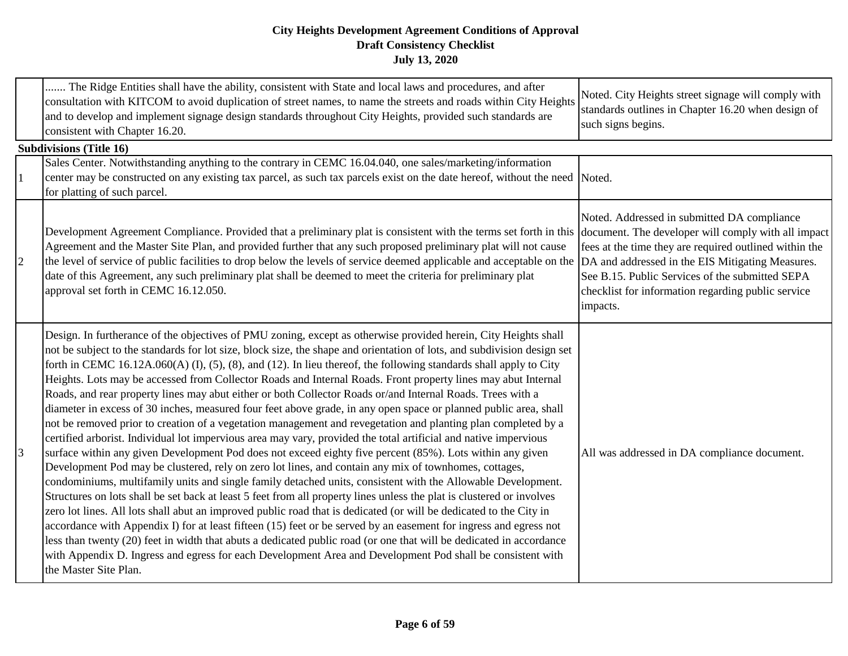|              | The Ridge Entities shall have the ability, consistent with State and local laws and procedures, and after<br>consultation with KITCOM to avoid duplication of street names, to name the streets and roads within City Heights<br>and to develop and implement signage design standards throughout City Heights, provided such standards are<br>consistent with Chapter 16.20.                                                                                                                                                                                                                                                                                                                                                                                                                                                                                                                                                                                                                                                                                                                                                                                                                                                                                                                                                                                                                                                                                                                                                                                                                                                                                                                                                                                                                                                                                                                                                   | Noted. City Heights street signage will comply with<br>standards outlines in Chapter 16.20 when design of<br>such signs begins.                                                                                                                                                                                                       |
|--------------|---------------------------------------------------------------------------------------------------------------------------------------------------------------------------------------------------------------------------------------------------------------------------------------------------------------------------------------------------------------------------------------------------------------------------------------------------------------------------------------------------------------------------------------------------------------------------------------------------------------------------------------------------------------------------------------------------------------------------------------------------------------------------------------------------------------------------------------------------------------------------------------------------------------------------------------------------------------------------------------------------------------------------------------------------------------------------------------------------------------------------------------------------------------------------------------------------------------------------------------------------------------------------------------------------------------------------------------------------------------------------------------------------------------------------------------------------------------------------------------------------------------------------------------------------------------------------------------------------------------------------------------------------------------------------------------------------------------------------------------------------------------------------------------------------------------------------------------------------------------------------------------------------------------------------------|---------------------------------------------------------------------------------------------------------------------------------------------------------------------------------------------------------------------------------------------------------------------------------------------------------------------------------------|
|              | <b>Subdivisions (Title 16)</b>                                                                                                                                                                                                                                                                                                                                                                                                                                                                                                                                                                                                                                                                                                                                                                                                                                                                                                                                                                                                                                                                                                                                                                                                                                                                                                                                                                                                                                                                                                                                                                                                                                                                                                                                                                                                                                                                                                  |                                                                                                                                                                                                                                                                                                                                       |
|              | Sales Center. Notwithstanding anything to the contrary in CEMC 16.04.040, one sales/marketing/information<br>center may be constructed on any existing tax parcel, as such tax parcels exist on the date hereof, without the need Noted.<br>for platting of such parcel.                                                                                                                                                                                                                                                                                                                                                                                                                                                                                                                                                                                                                                                                                                                                                                                                                                                                                                                                                                                                                                                                                                                                                                                                                                                                                                                                                                                                                                                                                                                                                                                                                                                        |                                                                                                                                                                                                                                                                                                                                       |
| $\mathbf{2}$ | Development Agreement Compliance. Provided that a preliminary plat is consistent with the terms set forth in this<br>Agreement and the Master Site Plan, and provided further that any such proposed preliminary plat will not cause<br>the level of service of public facilities to drop below the levels of service deemed applicable and acceptable on the<br>date of this Agreement, any such preliminary plat shall be deemed to meet the criteria for preliminary plat<br>approval set forth in CEMC 16.12.050.                                                                                                                                                                                                                                                                                                                                                                                                                                                                                                                                                                                                                                                                                                                                                                                                                                                                                                                                                                                                                                                                                                                                                                                                                                                                                                                                                                                                           | Noted. Addressed in submitted DA compliance<br>document. The developer will comply with all impact<br>fees at the time they are required outlined within the<br>DA and addressed in the EIS Mitigating Measures.<br>See B.15. Public Services of the submitted SEPA<br>checklist for information regarding public service<br>impacts. |
| 3            | Design. In furtherance of the objectives of PMU zoning, except as otherwise provided herein, City Heights shall<br>not be subject to the standards for lot size, block size, the shape and orientation of lots, and subdivision design set<br>forth in CEMC 16.12A.060(A) (I), (5), (8), and (12). In lieu thereof, the following standards shall apply to City<br>Heights. Lots may be accessed from Collector Roads and Internal Roads. Front property lines may abut Internal<br>Roads, and rear property lines may abut either or both Collector Roads or/and Internal Roads. Trees with a<br>diameter in excess of 30 inches, measured four feet above grade, in any open space or planned public area, shall<br>not be removed prior to creation of a vegetation management and revegetation and planting plan completed by a<br>certified arborist. Individual lot impervious area may vary, provided the total artificial and native impervious<br>surface within any given Development Pod does not exceed eighty five percent (85%). Lots within any given<br>Development Pod may be clustered, rely on zero lot lines, and contain any mix of townhomes, cottages,<br>condominiums, multifamily units and single family detached units, consistent with the Allowable Development.<br>Structures on lots shall be set back at least 5 feet from all property lines unless the plat is clustered or involves<br>zero lot lines. All lots shall abut an improved public road that is dedicated (or will be dedicated to the City in<br>accordance with Appendix I) for at least fifteen (15) feet or be served by an easement for ingress and egress not<br>less than twenty (20) feet in width that abuts a dedicated public road (or one that will be dedicated in accordance<br>with Appendix D. Ingress and egress for each Development Area and Development Pod shall be consistent with<br>the Master Site Plan. | All was addressed in DA compliance document.                                                                                                                                                                                                                                                                                          |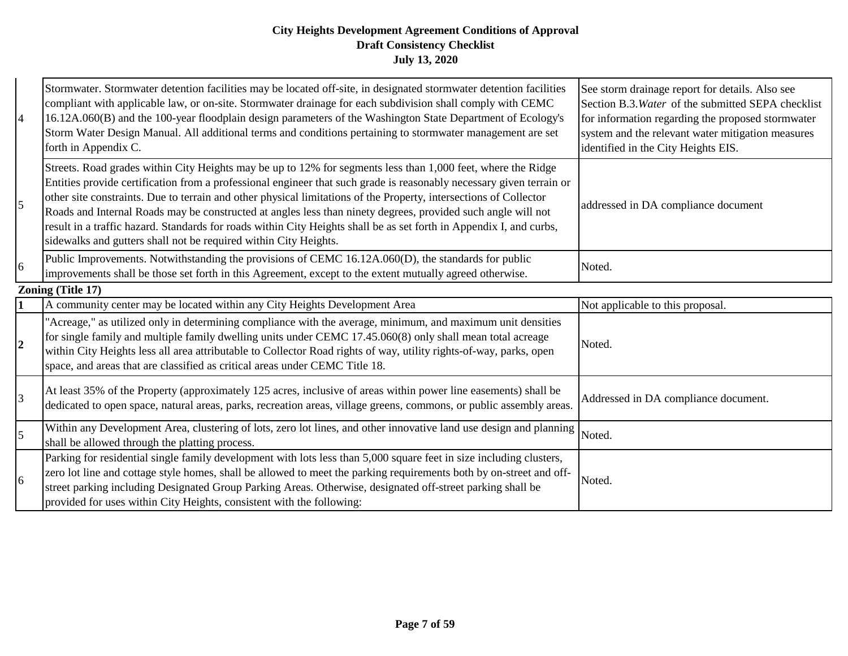| $\overline{4}$ | Stormwater. Stormwater detention facilities may be located off-site, in designated stormwater detention facilities<br>compliant with applicable law, or on-site. Stormwater drainage for each subdivision shall comply with CEMC<br>16.12A.060(B) and the 100-year floodplain design parameters of the Washington State Department of Ecology's<br>Storm Water Design Manual. All additional terms and conditions pertaining to stormwater management are set<br>forth in Appendix C.                                                                                                                                                                                | See storm drainage report for details. Also see<br>Section B.3. Water of the submitted SEPA checklist<br>for information regarding the proposed stormwater<br>system and the relevant water mitigation measures<br>identified in the City Heights EIS. |
|----------------|----------------------------------------------------------------------------------------------------------------------------------------------------------------------------------------------------------------------------------------------------------------------------------------------------------------------------------------------------------------------------------------------------------------------------------------------------------------------------------------------------------------------------------------------------------------------------------------------------------------------------------------------------------------------|--------------------------------------------------------------------------------------------------------------------------------------------------------------------------------------------------------------------------------------------------------|
| 5              | Streets. Road grades within City Heights may be up to 12% for segments less than 1,000 feet, where the Ridge<br>Entities provide certification from a professional engineer that such grade is reasonably necessary given terrain or<br>other site constraints. Due to terrain and other physical limitations of the Property, intersections of Collector<br>Roads and Internal Roads may be constructed at angles less than ninety degrees, provided such angle will not<br>result in a traffic hazard. Standards for roads within City Heights shall be as set forth in Appendix I, and curbs,<br>sidewalks and gutters shall not be required within City Heights. | addressed in DA compliance document                                                                                                                                                                                                                    |
| 6              | Public Improvements. Notwithstanding the provisions of CEMC 16.12A.060(D), the standards for public<br>improvements shall be those set forth in this Agreement, except to the extent mutually agreed otherwise.                                                                                                                                                                                                                                                                                                                                                                                                                                                      | Noted.                                                                                                                                                                                                                                                 |
|                | Zoning (Title 17)                                                                                                                                                                                                                                                                                                                                                                                                                                                                                                                                                                                                                                                    |                                                                                                                                                                                                                                                        |
| $\mathbf{1}$   | A community center may be located within any City Heights Development Area                                                                                                                                                                                                                                                                                                                                                                                                                                                                                                                                                                                           | Not applicable to this proposal.                                                                                                                                                                                                                       |
| $\overline{2}$ | 'Acreage," as utilized only in determining compliance with the average, minimum, and maximum unit densities<br>for single family and multiple family dwelling units under CEMC 17.45.060(8) only shall mean total acreage<br>within City Heights less all area attributable to Collector Road rights of way, utility rights-of-way, parks, open<br>space, and areas that are classified as critical areas under CEMC Title 18.                                                                                                                                                                                                                                       | Noted.                                                                                                                                                                                                                                                 |
| 3              | At least 35% of the Property (approximately 125 acres, inclusive of areas within power line easements) shall be<br>dedicated to open space, natural areas, parks, recreation areas, village greens, commons, or public assembly areas.                                                                                                                                                                                                                                                                                                                                                                                                                               | Addressed in DA compliance document.                                                                                                                                                                                                                   |
| 5              | Within any Development Area, clustering of lots, zero lot lines, and other innovative land use design and planning<br>shall be allowed through the platting process.                                                                                                                                                                                                                                                                                                                                                                                                                                                                                                 | Noted.                                                                                                                                                                                                                                                 |
| 6              | Parking for residential single family development with lots less than 5,000 square feet in size including clusters,<br>zero lot line and cottage style homes, shall be allowed to meet the parking requirements both by on-street and off-<br>street parking including Designated Group Parking Areas. Otherwise, designated off-street parking shall be<br>provided for uses within City Heights, consistent with the following:                                                                                                                                                                                                                                    | Noted.                                                                                                                                                                                                                                                 |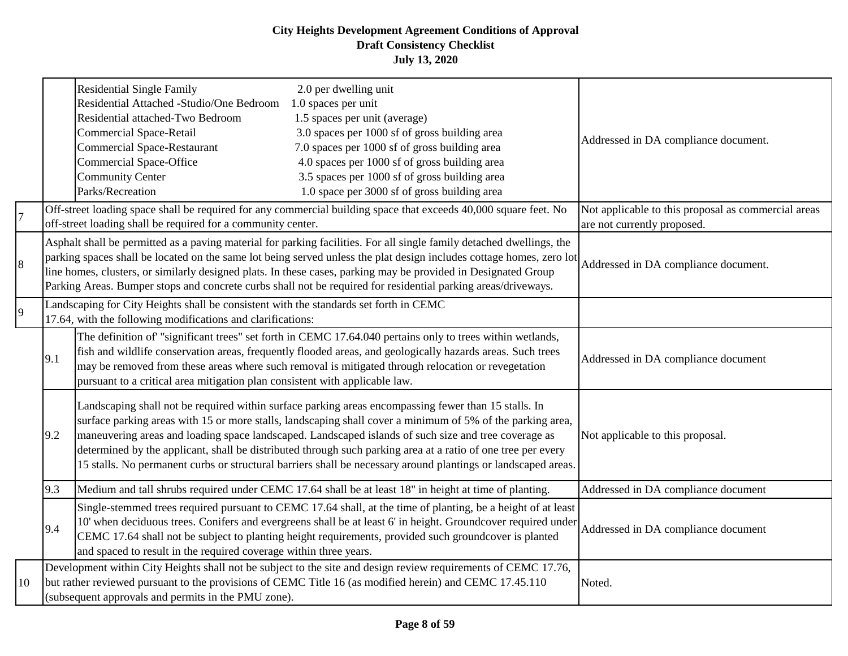|                |     | <b>Residential Single Family</b><br>Residential Attached -Studio/One Bedroom<br>Residential attached-Two Bedroom<br>Commercial Space-Retail<br>Commercial Space-Restaurant<br>Commercial Space-Office<br><b>Community Center</b><br>Parks/Recreation | 2.0 per dwelling unit<br>1.0 spaces per unit<br>1.5 spaces per unit (average)<br>3.0 spaces per 1000 sf of gross building area<br>7.0 spaces per 1000 sf of gross building area<br>4.0 spaces per 1000 sf of gross building area<br>3.5 spaces per 1000 sf of gross building area<br>1.0 space per 3000 sf of gross building area                                                                                                                                                                                                                           | Addressed in DA compliance document.                                               |
|----------------|-----|------------------------------------------------------------------------------------------------------------------------------------------------------------------------------------------------------------------------------------------------------|-------------------------------------------------------------------------------------------------------------------------------------------------------------------------------------------------------------------------------------------------------------------------------------------------------------------------------------------------------------------------------------------------------------------------------------------------------------------------------------------------------------------------------------------------------------|------------------------------------------------------------------------------------|
| $\overline{7}$ |     | off-street loading shall be required for a community center.                                                                                                                                                                                         | Off-street loading space shall be required for any commercial building space that exceeds 40,000 square feet. No                                                                                                                                                                                                                                                                                                                                                                                                                                            | Not applicable to this proposal as commercial areas<br>are not currently proposed. |
| 8              |     |                                                                                                                                                                                                                                                      | Asphalt shall be permitted as a paving material for parking facilities. For all single family detached dwellings, the<br>parking spaces shall be located on the same lot being served unless the plat design includes cottage homes, zero lot<br>line homes, clusters, or similarly designed plats. In these cases, parking may be provided in Designated Group<br>Parking Areas. Bumper stops and concrete curbs shall not be required for residential parking areas/driveways.                                                                            | Addressed in DA compliance document.                                               |
| 9              |     | Landscaping for City Heights shall be consistent with the standards set forth in CEMC<br>17.64, with the following modifications and clarifications:                                                                                                 |                                                                                                                                                                                                                                                                                                                                                                                                                                                                                                                                                             |                                                                                    |
|                | 9.1 | pursuant to a critical area mitigation plan consistent with applicable law.                                                                                                                                                                          | The definition of "significant trees" set forth in CEMC 17.64.040 pertains only to trees within wetlands,<br>fish and wildlife conservation areas, frequently flooded areas, and geologically hazards areas. Such trees<br>may be removed from these areas where such removal is mitigated through relocation or revegetation                                                                                                                                                                                                                               | Addressed in DA compliance document                                                |
|                | 9.2 |                                                                                                                                                                                                                                                      | Landscaping shall not be required within surface parking areas encompassing fewer than 15 stalls. In<br>surface parking areas with 15 or more stalls, landscaping shall cover a minimum of 5% of the parking area,<br>maneuvering areas and loading space landscaped. Landscaped islands of such size and tree coverage as<br>determined by the applicant, shall be distributed through such parking area at a ratio of one tree per every<br>15 stalls. No permanent curbs or structural barriers shall be necessary around plantings or landscaped areas. | Not applicable to this proposal.                                                   |
|                | 9.3 |                                                                                                                                                                                                                                                      | Medium and tall shrubs required under CEMC 17.64 shall be at least 18" in height at time of planting.                                                                                                                                                                                                                                                                                                                                                                                                                                                       | Addressed in DA compliance document                                                |
|                | 9.4 | and spaced to result in the required coverage within three years.                                                                                                                                                                                    | Single-stemmed trees required pursuant to CEMC 17.64 shall, at the time of planting, be a height of at least<br>10' when deciduous trees. Conifers and evergreens shall be at least 6' in height. Groundcover required under<br>CEMC 17.64 shall not be subject to planting height requirements, provided such groundcover is planted                                                                                                                                                                                                                       | Addressed in DA compliance document                                                |
| 10             |     | (subsequent approvals and permits in the PMU zone).                                                                                                                                                                                                  | Development within City Heights shall not be subject to the site and design review requirements of CEMC 17.76,<br>but rather reviewed pursuant to the provisions of CEMC Title 16 (as modified herein) and CEMC 17.45.110                                                                                                                                                                                                                                                                                                                                   | Noted.                                                                             |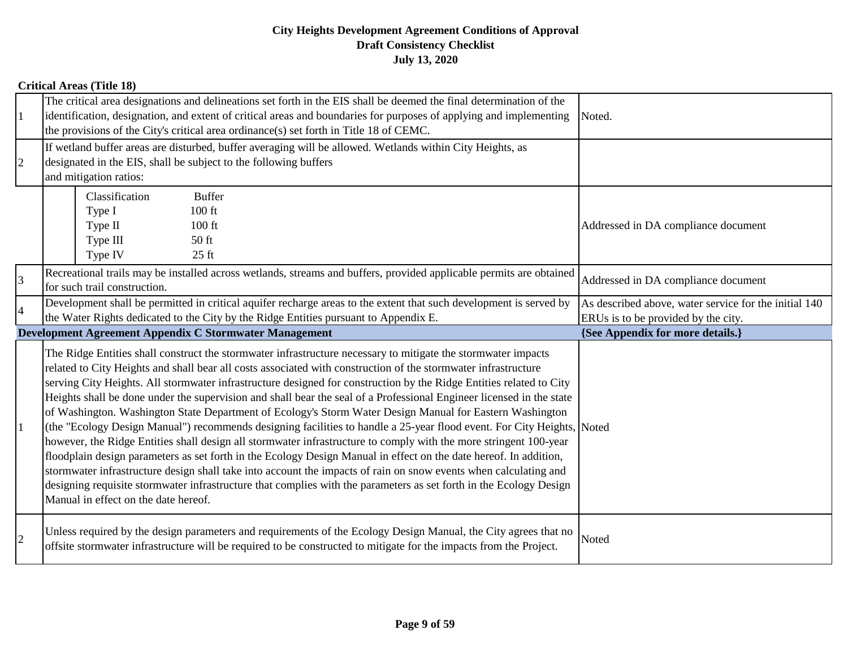### **Critical Areas (Title 18)**

| $\vert$ 1      | The critical area designations and delineations set forth in the EIS shall be deemed the final determination of the<br>identification, designation, and extent of critical areas and boundaries for purposes of applying and implementing<br>the provisions of the City's critical area ordinance(s) set forth in Title 18 of CEMC.                                                                                                                                                                                                                                                                                                                                                                                                                                                                                                                                                                                                                                                                                                                                                                                                                                                                                                              | Noted.                                                                                       |
|----------------|--------------------------------------------------------------------------------------------------------------------------------------------------------------------------------------------------------------------------------------------------------------------------------------------------------------------------------------------------------------------------------------------------------------------------------------------------------------------------------------------------------------------------------------------------------------------------------------------------------------------------------------------------------------------------------------------------------------------------------------------------------------------------------------------------------------------------------------------------------------------------------------------------------------------------------------------------------------------------------------------------------------------------------------------------------------------------------------------------------------------------------------------------------------------------------------------------------------------------------------------------|----------------------------------------------------------------------------------------------|
| $\overline{2}$ | If wetland buffer areas are disturbed, buffer averaging will be allowed. Wetlands within City Heights, as<br>designated in the EIS, shall be subject to the following buffers<br>and mitigation ratios:                                                                                                                                                                                                                                                                                                                                                                                                                                                                                                                                                                                                                                                                                                                                                                                                                                                                                                                                                                                                                                          |                                                                                              |
|                | Classification<br><b>Buffer</b><br>$100$ ft<br>Type I<br>Type II<br>$100$ ft<br>Type III<br>50 ft<br>Type IV<br>$25$ ft                                                                                                                                                                                                                                                                                                                                                                                                                                                                                                                                                                                                                                                                                                                                                                                                                                                                                                                                                                                                                                                                                                                          | Addressed in DA compliance document                                                          |
| $\overline{3}$ | Recreational trails may be installed across wetlands, streams and buffers, provided applicable permits are obtained<br>for such trail construction.                                                                                                                                                                                                                                                                                                                                                                                                                                                                                                                                                                                                                                                                                                                                                                                                                                                                                                                                                                                                                                                                                              | Addressed in DA compliance document                                                          |
| $\overline{4}$ | Development shall be permitted in critical aquifer recharge areas to the extent that such development is served by<br>the Water Rights dedicated to the City by the Ridge Entities pursuant to Appendix E.                                                                                                                                                                                                                                                                                                                                                                                                                                                                                                                                                                                                                                                                                                                                                                                                                                                                                                                                                                                                                                       | As described above, water service for the initial 140<br>ERUs is to be provided by the city. |
|                | Development Agreement Appendix C Stormwater Management                                                                                                                                                                                                                                                                                                                                                                                                                                                                                                                                                                                                                                                                                                                                                                                                                                                                                                                                                                                                                                                                                                                                                                                           | {See Appendix for more details.}                                                             |
| $\vert$ 1      | The Ridge Entities shall construct the stormwater infrastructure necessary to mitigate the stormwater impacts<br>related to City Heights and shall bear all costs associated with construction of the stormwater infrastructure<br>serving City Heights. All stormwater infrastructure designed for construction by the Ridge Entities related to City<br>Heights shall be done under the supervision and shall bear the seal of a Professional Engineer licensed in the state<br>of Washington. Washington State Department of Ecology's Storm Water Design Manual for Eastern Washington<br>(the "Ecology Design Manual") recommends designing facilities to handle a 25-year flood event. For City Heights, Noted<br>however, the Ridge Entities shall design all stormwater infrastructure to comply with the more stringent 100-year<br>floodplain design parameters as set forth in the Ecology Design Manual in effect on the date hereof. In addition,<br>stormwater infrastructure design shall take into account the impacts of rain on snow events when calculating and<br>designing requisite stormwater infrastructure that complies with the parameters as set forth in the Ecology Design<br>Manual in effect on the date hereof. |                                                                                              |
| $\overline{2}$ | Unless required by the design parameters and requirements of the Ecology Design Manual, the City agrees that no<br>offsite stormwater infrastructure will be required to be constructed to mitigate for the impacts from the Project.                                                                                                                                                                                                                                                                                                                                                                                                                                                                                                                                                                                                                                                                                                                                                                                                                                                                                                                                                                                                            | Noted                                                                                        |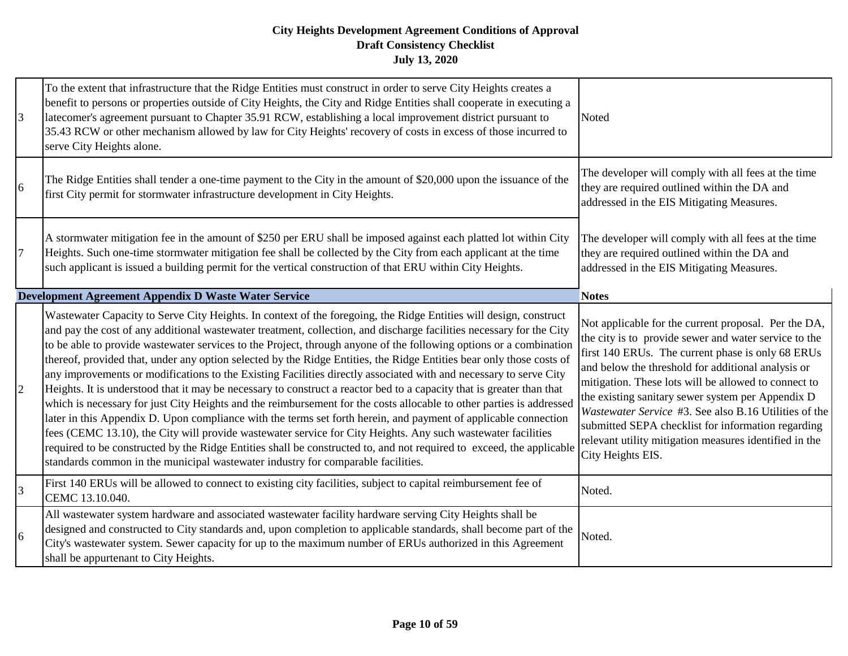| $\overline{3}$ | To the extent that infrastructure that the Ridge Entities must construct in order to serve City Heights creates a<br>benefit to persons or properties outside of City Heights, the City and Ridge Entities shall cooperate in executing a<br>latecomer's agreement pursuant to Chapter 35.91 RCW, establishing a local improvement district pursuant to<br>35.43 RCW or other mechanism allowed by law for City Heights' recovery of costs in excess of those incurred to<br>serve City Heights alone.                                                                                                                                                                                                                                                                                                                                                                                                                                                                                                                                                                                                                                                                                                                                                                                                       | Noted                                                                                                                                                                                                                                                                                                                                                                                                                                                                                                                               |
|----------------|--------------------------------------------------------------------------------------------------------------------------------------------------------------------------------------------------------------------------------------------------------------------------------------------------------------------------------------------------------------------------------------------------------------------------------------------------------------------------------------------------------------------------------------------------------------------------------------------------------------------------------------------------------------------------------------------------------------------------------------------------------------------------------------------------------------------------------------------------------------------------------------------------------------------------------------------------------------------------------------------------------------------------------------------------------------------------------------------------------------------------------------------------------------------------------------------------------------------------------------------------------------------------------------------------------------|-------------------------------------------------------------------------------------------------------------------------------------------------------------------------------------------------------------------------------------------------------------------------------------------------------------------------------------------------------------------------------------------------------------------------------------------------------------------------------------------------------------------------------------|
| 6              | The Ridge Entities shall tender a one-time payment to the City in the amount of \$20,000 upon the issuance of the<br>first City permit for stormwater infrastructure development in City Heights.                                                                                                                                                                                                                                                                                                                                                                                                                                                                                                                                                                                                                                                                                                                                                                                                                                                                                                                                                                                                                                                                                                            | The developer will comply with all fees at the time<br>they are required outlined within the DA and<br>addressed in the EIS Mitigating Measures.                                                                                                                                                                                                                                                                                                                                                                                    |
| $\overline{7}$ | A stormwater mitigation fee in the amount of \$250 per ERU shall be imposed against each platted lot within City<br>Heights. Such one-time stormwater mitigation fee shall be collected by the City from each applicant at the time<br>such applicant is issued a building permit for the vertical construction of that ERU within City Heights.                                                                                                                                                                                                                                                                                                                                                                                                                                                                                                                                                                                                                                                                                                                                                                                                                                                                                                                                                             | The developer will comply with all fees at the time<br>they are required outlined within the DA and<br>addressed in the EIS Mitigating Measures.                                                                                                                                                                                                                                                                                                                                                                                    |
|                | Development Agreement Appendix D Waste Water Service                                                                                                                                                                                                                                                                                                                                                                                                                                                                                                                                                                                                                                                                                                                                                                                                                                                                                                                                                                                                                                                                                                                                                                                                                                                         | <b>Notes</b>                                                                                                                                                                                                                                                                                                                                                                                                                                                                                                                        |
| $\overline{2}$ | Wastewater Capacity to Serve City Heights. In context of the foregoing, the Ridge Entities will design, construct<br>and pay the cost of any additional wastewater treatment, collection, and discharge facilities necessary for the City<br>to be able to provide wastewater services to the Project, through anyone of the following options or a combination<br>thereof, provided that, under any option selected by the Ridge Entities, the Ridge Entities bear only those costs of<br>any improvements or modifications to the Existing Facilities directly associated with and necessary to serve City<br>Heights. It is understood that it may be necessary to construct a reactor bed to a capacity that is greater than that<br>which is necessary for just City Heights and the reimbursement for the costs allocable to other parties is addressed<br>later in this Appendix D. Upon compliance with the terms set forth herein, and payment of applicable connection<br>fees (CEMC 13.10), the City will provide wastewater service for City Heights. Any such wastewater facilities<br>required to be constructed by the Ridge Entities shall be constructed to, and not required to exceed, the applicable<br>standards common in the municipal wastewater industry for comparable facilities. | Not applicable for the current proposal. Per the DA,<br>the city is to provide sewer and water service to the<br>first 140 ERUs. The current phase is only 68 ERUs<br>and below the threshold for additional analysis or<br>mitigation. These lots will be allowed to connect to<br>the existing sanitary sewer system per Appendix D<br>Wastewater Service #3. See also B.16 Utilities of the<br>submitted SEPA checklist for information regarding<br>relevant utility mitigation measures identified in the<br>City Heights EIS. |
| $\overline{3}$ | First 140 ERUs will be allowed to connect to existing city facilities, subject to capital reimbursement fee of<br>CEMC 13.10.040.                                                                                                                                                                                                                                                                                                                                                                                                                                                                                                                                                                                                                                                                                                                                                                                                                                                                                                                                                                                                                                                                                                                                                                            | Noted.                                                                                                                                                                                                                                                                                                                                                                                                                                                                                                                              |
| 6              | All wastewater system hardware and associated wastewater facility hardware serving City Heights shall be<br>designed and constructed to City standards and, upon completion to applicable standards, shall become part of the<br>City's wastewater system. Sewer capacity for up to the maximum number of ERUs authorized in this Agreement<br>shall be appurtenant to City Heights.                                                                                                                                                                                                                                                                                                                                                                                                                                                                                                                                                                                                                                                                                                                                                                                                                                                                                                                         | Noted.                                                                                                                                                                                                                                                                                                                                                                                                                                                                                                                              |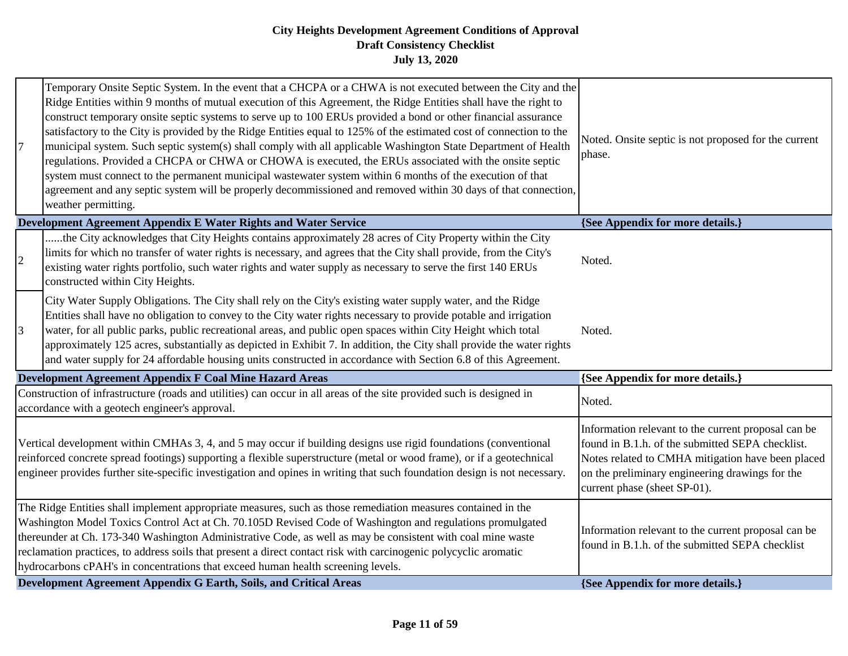| $\overline{7}$                                                                                                                                                                                                                                                                                                                                                                                                                                                                                                                                   | Temporary Onsite Septic System. In the event that a CHCPA or a CHWA is not executed between the City and the<br>Ridge Entities within 9 months of mutual execution of this Agreement, the Ridge Entities shall have the right to<br>construct temporary onsite septic systems to serve up to 100 ERUs provided a bond or other financial assurance<br>satisfactory to the City is provided by the Ridge Entities equal to 125% of the estimated cost of connection to the<br>municipal system. Such septic system(s) shall comply with all applicable Washington State Department of Health<br>regulations. Provided a CHCPA or CHWA or CHOWA is executed, the ERUs associated with the onsite septic<br>system must connect to the permanent municipal wastewater system within 6 months of the execution of that<br>agreement and any septic system will be properly decommissioned and removed within 30 days of that connection,<br>weather permitting. | Noted. Onsite septic is not proposed for the current<br>phase.                                                                                                                                                                                  |
|--------------------------------------------------------------------------------------------------------------------------------------------------------------------------------------------------------------------------------------------------------------------------------------------------------------------------------------------------------------------------------------------------------------------------------------------------------------------------------------------------------------------------------------------------|-------------------------------------------------------------------------------------------------------------------------------------------------------------------------------------------------------------------------------------------------------------------------------------------------------------------------------------------------------------------------------------------------------------------------------------------------------------------------------------------------------------------------------------------------------------------------------------------------------------------------------------------------------------------------------------------------------------------------------------------------------------------------------------------------------------------------------------------------------------------------------------------------------------------------------------------------------------|-------------------------------------------------------------------------------------------------------------------------------------------------------------------------------------------------------------------------------------------------|
|                                                                                                                                                                                                                                                                                                                                                                                                                                                                                                                                                  | Development Agreement Appendix E Water Rights and Water Service                                                                                                                                                                                                                                                                                                                                                                                                                                                                                                                                                                                                                                                                                                                                                                                                                                                                                             | {See Appendix for more details.}                                                                                                                                                                                                                |
| $\overline{2}$                                                                                                                                                                                                                                                                                                                                                                                                                                                                                                                                   | the City acknowledges that City Heights contains approximately 28 acres of City Property within the City<br>limits for which no transfer of water rights is necessary, and agrees that the City shall provide, from the City's<br>existing water rights portfolio, such water rights and water supply as necessary to serve the first 140 ERUs<br>constructed within City Heights.                                                                                                                                                                                                                                                                                                                                                                                                                                                                                                                                                                          | Noted.                                                                                                                                                                                                                                          |
| 3                                                                                                                                                                                                                                                                                                                                                                                                                                                                                                                                                | City Water Supply Obligations. The City shall rely on the City's existing water supply water, and the Ridge<br>Entities shall have no obligation to convey to the City water rights necessary to provide potable and irrigation<br>water, for all public parks, public recreational areas, and public open spaces within City Height which total<br>approximately 125 acres, substantially as depicted in Exhibit 7. In addition, the City shall provide the water rights<br>and water supply for 24 affordable housing units constructed in accordance with Section 6.8 of this Agreement.                                                                                                                                                                                                                                                                                                                                                                 | Noted.                                                                                                                                                                                                                                          |
|                                                                                                                                                                                                                                                                                                                                                                                                                                                                                                                                                  | Development Agreement Appendix F Coal Mine Hazard Areas                                                                                                                                                                                                                                                                                                                                                                                                                                                                                                                                                                                                                                                                                                                                                                                                                                                                                                     | {See Appendix for more details.}                                                                                                                                                                                                                |
|                                                                                                                                                                                                                                                                                                                                                                                                                                                                                                                                                  | Construction of infrastructure (roads and utilities) can occur in all areas of the site provided such is designed in<br>accordance with a geotech engineer's approval.                                                                                                                                                                                                                                                                                                                                                                                                                                                                                                                                                                                                                                                                                                                                                                                      | Noted.                                                                                                                                                                                                                                          |
| Vertical development within CMHAs 3, 4, and 5 may occur if building designs use rigid foundations (conventional<br>reinforced concrete spread footings) supporting a flexible superstructure (metal or wood frame), or if a geotechnical<br>engineer provides further site-specific investigation and opines in writing that such foundation design is not necessary.                                                                                                                                                                            |                                                                                                                                                                                                                                                                                                                                                                                                                                                                                                                                                                                                                                                                                                                                                                                                                                                                                                                                                             | Information relevant to the current proposal can be<br>found in B.1.h. of the submitted SEPA checklist.<br>Notes related to CMHA mitigation have been placed<br>on the preliminary engineering drawings for the<br>current phase (sheet SP-01). |
| The Ridge Entities shall implement appropriate measures, such as those remediation measures contained in the<br>Washington Model Toxics Control Act at Ch. 70.105D Revised Code of Washington and regulations promulgated<br>thereunder at Ch. 173-340 Washington Administrative Code, as well as may be consistent with coal mine waste<br>reclamation practices, to address soils that present a direct contact risk with carcinogenic polycyclic aromatic<br>hydrocarbons cPAH's in concentrations that exceed human health screening levels. |                                                                                                                                                                                                                                                                                                                                                                                                                                                                                                                                                                                                                                                                                                                                                                                                                                                                                                                                                             | Information relevant to the current proposal can be<br>found in B.1.h. of the submitted SEPA checklist                                                                                                                                          |
|                                                                                                                                                                                                                                                                                                                                                                                                                                                                                                                                                  | Development Agreement Appendix G Earth, Soils, and Critical Areas                                                                                                                                                                                                                                                                                                                                                                                                                                                                                                                                                                                                                                                                                                                                                                                                                                                                                           | {See Appendix for more details.}                                                                                                                                                                                                                |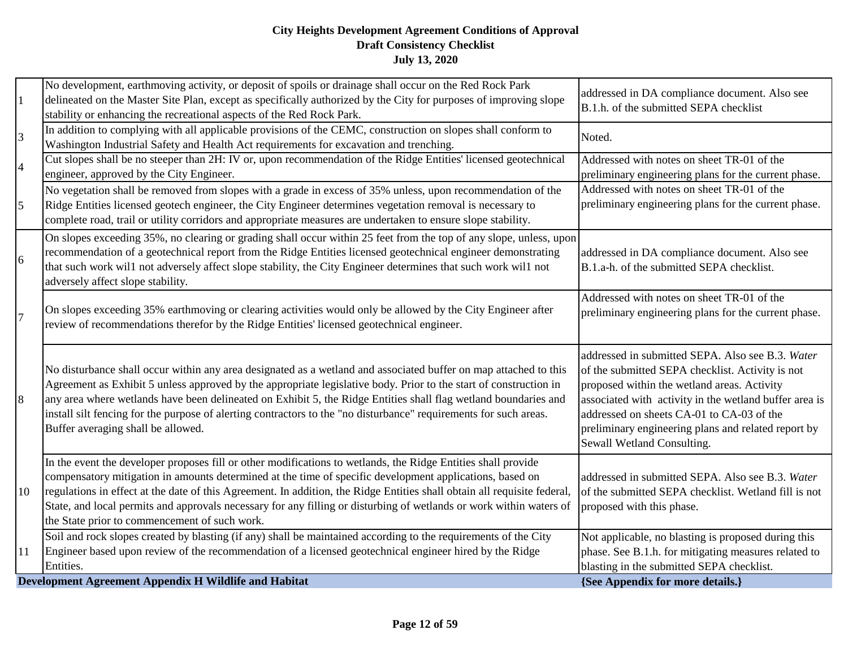| $\mathbf{1}$   | No development, earthmoving activity, or deposit of spoils or drainage shall occur on the Red Rock Park<br>delineated on the Master Site Plan, except as specifically authorized by the City for purposes of improving slope<br>stability or enhancing the recreational aspects of the Red Rock Park.                                                                                                                                                                                                                         | addressed in DA compliance document. Also see<br>B.1.h. of the submitted SEPA checklist                                                                                                                                                                                                                                                         |
|----------------|-------------------------------------------------------------------------------------------------------------------------------------------------------------------------------------------------------------------------------------------------------------------------------------------------------------------------------------------------------------------------------------------------------------------------------------------------------------------------------------------------------------------------------|-------------------------------------------------------------------------------------------------------------------------------------------------------------------------------------------------------------------------------------------------------------------------------------------------------------------------------------------------|
| 3              | In addition to complying with all applicable provisions of the CEMC, construction on slopes shall conform to<br>Washington Industrial Safety and Health Act requirements for excavation and trenching.                                                                                                                                                                                                                                                                                                                        | Noted.                                                                                                                                                                                                                                                                                                                                          |
| $\overline{4}$ | Cut slopes shall be no steeper than 2H: IV or, upon recommendation of the Ridge Entities' licensed geotechnical<br>engineer, approved by the City Engineer.                                                                                                                                                                                                                                                                                                                                                                   | Addressed with notes on sheet TR-01 of the<br>preliminary engineering plans for the current phase.                                                                                                                                                                                                                                              |
| 5              | No vegetation shall be removed from slopes with a grade in excess of 35% unless, upon recommendation of the<br>Ridge Entities licensed geotech engineer, the City Engineer determines vegetation removal is necessary to<br>complete road, trail or utility corridors and appropriate measures are undertaken to ensure slope stability.                                                                                                                                                                                      | Addressed with notes on sheet TR-01 of the<br>preliminary engineering plans for the current phase.                                                                                                                                                                                                                                              |
| 6              | On slopes exceeding 35%, no clearing or grading shall occur within 25 feet from the top of any slope, unless, upon<br>recommendation of a geotechnical report from the Ridge Entities licensed geotechnical engineer demonstrating<br>that such work will not adversely affect slope stability, the City Engineer determines that such work will not<br>adversely affect slope stability.                                                                                                                                     | addressed in DA compliance document. Also see<br>B.1.a-h. of the submitted SEPA checklist.                                                                                                                                                                                                                                                      |
| $\overline{7}$ | On slopes exceeding 35% earthmoving or clearing activities would only be allowed by the City Engineer after<br>review of recommendations therefor by the Ridge Entities' licensed geotechnical engineer.                                                                                                                                                                                                                                                                                                                      | Addressed with notes on sheet TR-01 of the<br>preliminary engineering plans for the current phase.                                                                                                                                                                                                                                              |
| 8              | No disturbance shall occur within any area designated as a wetland and associated buffer on map attached to this<br>Agreement as Exhibit 5 unless approved by the appropriate legislative body. Prior to the start of construction in<br>any area where wetlands have been delineated on Exhibit 5, the Ridge Entities shall flag wetland boundaries and<br>install silt fencing for the purpose of alerting contractors to the "no disturbance" requirements for such areas.<br>Buffer averaging shall be allowed.           | addressed in submitted SEPA. Also see B.3. Water<br>of the submitted SEPA checklist. Activity is not<br>proposed within the wetland areas. Activity<br>associated with activity in the wetland buffer area is<br>addressed on sheets CA-01 to CA-03 of the<br>preliminary engineering plans and related report by<br>Sewall Wetland Consulting. |
| 10             | In the event the developer proposes fill or other modifications to wetlands, the Ridge Entities shall provide<br>compensatory mitigation in amounts determined at the time of specific development applications, based on<br>regulations in effect at the date of this Agreement. In addition, the Ridge Entities shall obtain all requisite federal,<br>State, and local permits and approvals necessary for any filling or disturbing of wetlands or work within waters of<br>the State prior to commencement of such work. | addressed in submitted SEPA. Also see B.3. Water<br>of the submitted SEPA checklist. Wetland fill is not<br>proposed with this phase.                                                                                                                                                                                                           |
| 11             | Soil and rock slopes created by blasting (if any) shall be maintained according to the requirements of the City<br>Engineer based upon review of the recommendation of a licensed geotechnical engineer hired by the Ridge<br>Entities.                                                                                                                                                                                                                                                                                       | Not applicable, no blasting is proposed during this<br>phase. See B.1.h. for mitigating measures related to<br>blasting in the submitted SEPA checklist.                                                                                                                                                                                        |
|                | Development Agreement Appendix H Wildlife and Habitat                                                                                                                                                                                                                                                                                                                                                                                                                                                                         | {See Appendix for more details.}                                                                                                                                                                                                                                                                                                                |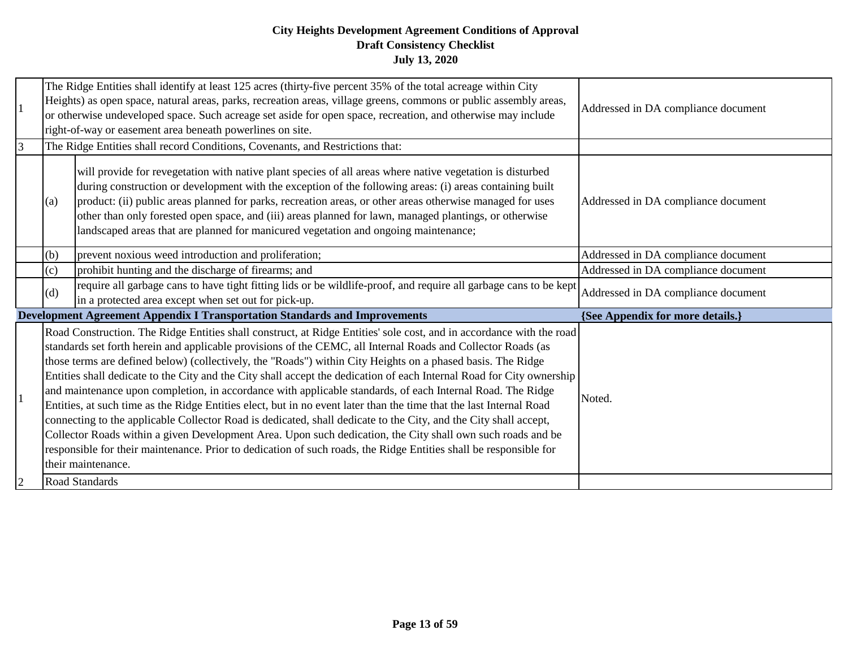| 3 |     | The Ridge Entities shall identify at least 125 acres (thirty-five percent 35% of the total acreage within City<br>Heights) as open space, natural areas, parks, recreation areas, village greens, commons or public assembly areas,<br>or otherwise undeveloped space. Such acreage set aside for open space, recreation, and otherwise may include<br>right-of-way or easement area beneath powerlines on site.<br>The Ridge Entities shall record Conditions, Covenants, and Restrictions that:                                                                                                                                                                                                                                                                                                                                                                                                                                                                                                                                                                                                                 | Addressed in DA compliance document |
|---|-----|-------------------------------------------------------------------------------------------------------------------------------------------------------------------------------------------------------------------------------------------------------------------------------------------------------------------------------------------------------------------------------------------------------------------------------------------------------------------------------------------------------------------------------------------------------------------------------------------------------------------------------------------------------------------------------------------------------------------------------------------------------------------------------------------------------------------------------------------------------------------------------------------------------------------------------------------------------------------------------------------------------------------------------------------------------------------------------------------------------------------|-------------------------------------|
|   | (a) | will provide for revegetation with native plant species of all areas where native vegetation is disturbed<br>during construction or development with the exception of the following areas: (i) areas containing built<br>product: (ii) public areas planned for parks, recreation areas, or other areas otherwise managed for uses<br>other than only forested open space, and (iii) areas planned for lawn, managed plantings, or otherwise<br>landscaped areas that are planned for manicured vegetation and ongoing maintenance;                                                                                                                                                                                                                                                                                                                                                                                                                                                                                                                                                                               | Addressed in DA compliance document |
|   | (b) | prevent noxious weed introduction and proliferation;                                                                                                                                                                                                                                                                                                                                                                                                                                                                                                                                                                                                                                                                                                                                                                                                                                                                                                                                                                                                                                                              | Addressed in DA compliance document |
|   | (c) | prohibit hunting and the discharge of firearms; and                                                                                                                                                                                                                                                                                                                                                                                                                                                                                                                                                                                                                                                                                                                                                                                                                                                                                                                                                                                                                                                               | Addressed in DA compliance document |
|   | (d) | require all garbage cans to have tight fitting lids or be wildlife-proof, and require all garbage cans to be kept<br>in a protected area except when set out for pick-up.                                                                                                                                                                                                                                                                                                                                                                                                                                                                                                                                                                                                                                                                                                                                                                                                                                                                                                                                         | Addressed in DA compliance document |
|   |     | <b>Development Agreement Appendix I Transportation Standards and Improvements</b>                                                                                                                                                                                                                                                                                                                                                                                                                                                                                                                                                                                                                                                                                                                                                                                                                                                                                                                                                                                                                                 | {See Appendix for more details.}    |
| 2 |     | Road Construction. The Ridge Entities shall construct, at Ridge Entities' sole cost, and in accordance with the road<br>standards set forth herein and applicable provisions of the CEMC, all Internal Roads and Collector Roads (as<br>those terms are defined below) (collectively, the "Roads") within City Heights on a phased basis. The Ridge<br>Entities shall dedicate to the City and the City shall accept the dedication of each Internal Road for City ownership<br>and maintenance upon completion, in accordance with applicable standards, of each Internal Road. The Ridge<br>Entities, at such time as the Ridge Entities elect, but in no event later than the time that the last Internal Road<br>connecting to the applicable Collector Road is dedicated, shall dedicate to the City, and the City shall accept,<br>Collector Roads within a given Development Area. Upon such dedication, the City shall own such roads and be<br>responsible for their maintenance. Prior to dedication of such roads, the Ridge Entities shall be responsible for<br>their maintenance.<br>Road Standards | Noted.                              |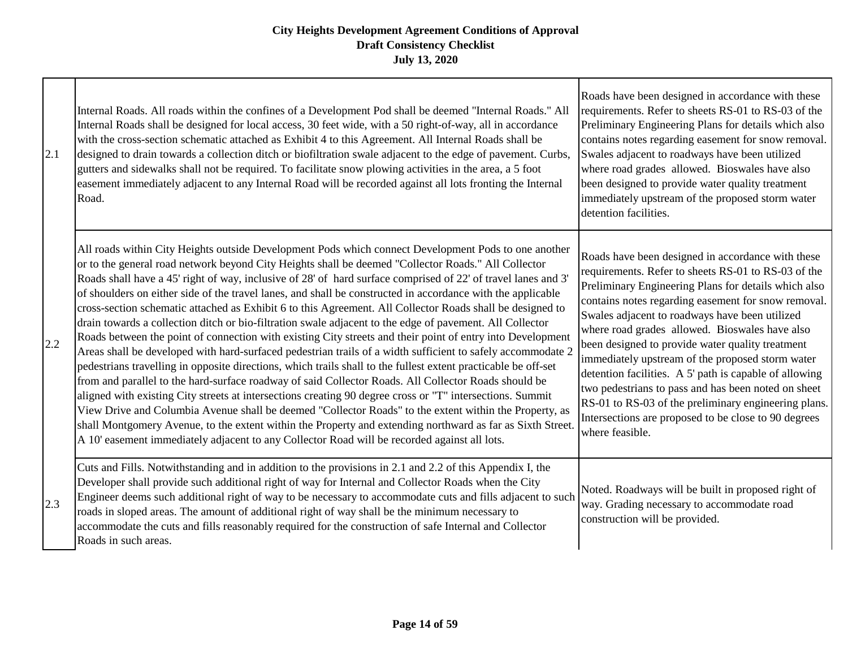| 2.1 | Internal Roads. All roads within the confines of a Development Pod shall be deemed "Internal Roads." All<br>Internal Roads shall be designed for local access, 30 feet wide, with a 50 right-of-way, all in accordance<br>with the cross-section schematic attached as Exhibit 4 to this Agreement. All Internal Roads shall be<br>designed to drain towards a collection ditch or biofiltration swale adjacent to the edge of pavement. Curbs,<br>gutters and sidewalks shall not be required. To facilitate snow plowing activities in the area, a 5 foot<br>easement immediately adjacent to any Internal Road will be recorded against all lots fronting the Internal<br>Road.                                                                                                                                                                                                                                                                                                                                                                                                                                                                                                                                                                                                                                                                                                                                                                                                                                                                               | Roads have been designed in accordance with these<br>requirements. Refer to sheets RS-01 to RS-03 of the<br>Preliminary Engineering Plans for details which also<br>contains notes regarding easement for snow removal.<br>Swales adjacent to roadways have been utilized<br>where road grades allowed. Bioswales have also<br>been designed to provide water quality treatment<br>immediately upstream of the proposed storm water<br>detention facilities.                                                                                                                                                                                                                            |
|-----|------------------------------------------------------------------------------------------------------------------------------------------------------------------------------------------------------------------------------------------------------------------------------------------------------------------------------------------------------------------------------------------------------------------------------------------------------------------------------------------------------------------------------------------------------------------------------------------------------------------------------------------------------------------------------------------------------------------------------------------------------------------------------------------------------------------------------------------------------------------------------------------------------------------------------------------------------------------------------------------------------------------------------------------------------------------------------------------------------------------------------------------------------------------------------------------------------------------------------------------------------------------------------------------------------------------------------------------------------------------------------------------------------------------------------------------------------------------------------------------------------------------------------------------------------------------|-----------------------------------------------------------------------------------------------------------------------------------------------------------------------------------------------------------------------------------------------------------------------------------------------------------------------------------------------------------------------------------------------------------------------------------------------------------------------------------------------------------------------------------------------------------------------------------------------------------------------------------------------------------------------------------------|
| 2.2 | All roads within City Heights outside Development Pods which connect Development Pods to one another<br>or to the general road network beyond City Heights shall be deemed "Collector Roads." All Collector<br>Roads shall have a 45' right of way, inclusive of 28' of hard surface comprised of 22' of travel lanes and 3'<br>of shoulders on either side of the travel lanes, and shall be constructed in accordance with the applicable<br>cross-section schematic attached as Exhibit 6 to this Agreement. All Collector Roads shall be designed to<br>drain towards a collection ditch or bio-filtration swale adjacent to the edge of pavement. All Collector<br>Roads between the point of connection with existing City streets and their point of entry into Development<br>Areas shall be developed with hard-surfaced pedestrian trails of a width sufficient to safely accommodate 2<br>pedestrians travelling in opposite directions, which trails shall to the fullest extent practicable be off-set<br>from and parallel to the hard-surface roadway of said Collector Roads. All Collector Roads should be<br>aligned with existing City streets at intersections creating 90 degree cross or "T" intersections. Summit<br>View Drive and Columbia Avenue shall be deemed "Collector Roads" to the extent within the Property, as<br>shall Montgomery Avenue, to the extent within the Property and extending northward as far as Sixth Street.<br>A 10' easement immediately adjacent to any Collector Road will be recorded against all lots. | Roads have been designed in accordance with these<br>requirements. Refer to sheets RS-01 to RS-03 of the<br>Preliminary Engineering Plans for details which also<br>contains notes regarding easement for snow removal.<br>Swales adjacent to roadways have been utilized<br>where road grades allowed. Bioswales have also<br>been designed to provide water quality treatment<br>immediately upstream of the proposed storm water<br>detention facilities. A 5' path is capable of allowing<br>two pedestrians to pass and has been noted on sheet<br>RS-01 to RS-03 of the preliminary engineering plans.<br>Intersections are proposed to be close to 90 degrees<br>where feasible. |
| 2.3 | Cuts and Fills. Notwithstanding and in addition to the provisions in 2.1 and 2.2 of this Appendix I, the<br>Developer shall provide such additional right of way for Internal and Collector Roads when the City<br>Engineer deems such additional right of way to be necessary to accommodate cuts and fills adjacent to such<br>roads in sloped areas. The amount of additional right of way shall be the minimum necessary to<br>accommodate the cuts and fills reasonably required for the construction of safe Internal and Collector<br>Roads in such areas.                                                                                                                                                                                                                                                                                                                                                                                                                                                                                                                                                                                                                                                                                                                                                                                                                                                                                                                                                                                                | Noted. Roadways will be built in proposed right of<br>way. Grading necessary to accommodate road<br>construction will be provided.                                                                                                                                                                                                                                                                                                                                                                                                                                                                                                                                                      |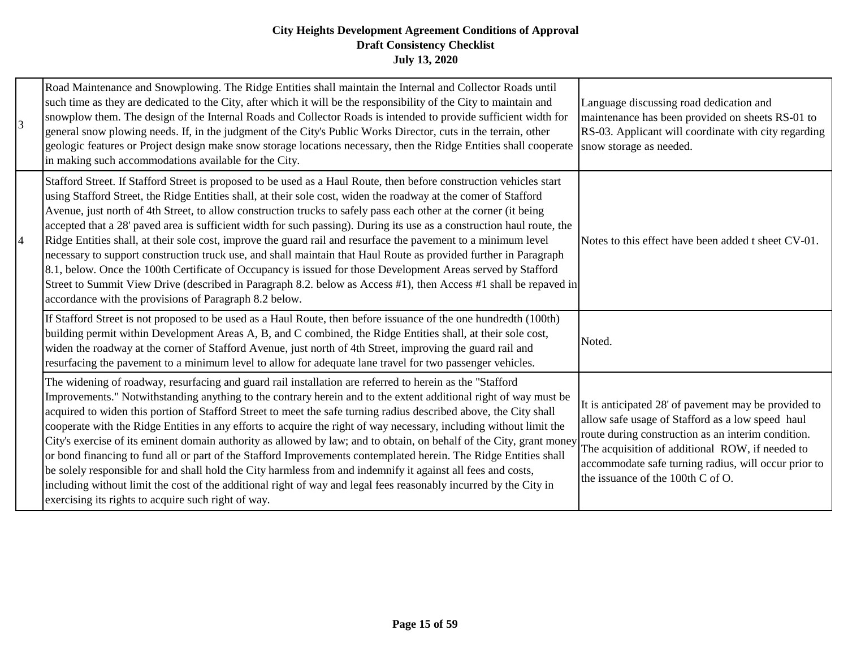| Road Maintenance and Snowplowing. The Ridge Entities shall maintain the Internal and Collector Roads until<br>such time as they are dedicated to the City, after which it will be the responsibility of the City to maintain and<br>snowplow them. The design of the Internal Roads and Collector Roads is intended to provide sufficient width for<br>general snow plowing needs. If, in the judgment of the City's Public Works Director, cuts in the terrain, other<br>geologic features or Project design make snow storage locations necessary, then the Ridge Entities shall cooperate<br>in making such accommodations available for the City.                                                                                                                                                                                                                                                                                                                                                                    | Language discussing road dedication and<br>maintenance has been provided on sheets RS-01 to<br>RS-03. Applicant will coordinate with city regarding<br>snow storage as needed.                                                                                                                                 |
|--------------------------------------------------------------------------------------------------------------------------------------------------------------------------------------------------------------------------------------------------------------------------------------------------------------------------------------------------------------------------------------------------------------------------------------------------------------------------------------------------------------------------------------------------------------------------------------------------------------------------------------------------------------------------------------------------------------------------------------------------------------------------------------------------------------------------------------------------------------------------------------------------------------------------------------------------------------------------------------------------------------------------|----------------------------------------------------------------------------------------------------------------------------------------------------------------------------------------------------------------------------------------------------------------------------------------------------------------|
| Stafford Street. If Stafford Street is proposed to be used as a Haul Route, then before construction vehicles start<br>using Stafford Street, the Ridge Entities shall, at their sole cost, widen the roadway at the comer of Stafford<br>Avenue, just north of 4th Street, to allow construction trucks to safely pass each other at the corner (it being<br>accepted that a 28' paved area is sufficient width for such passing). During its use as a construction haul route, the<br>Ridge Entities shall, at their sole cost, improve the guard rail and resurface the pavement to a minimum level<br>necessary to support construction truck use, and shall maintain that Haul Route as provided further in Paragraph<br>8.1, below. Once the 100th Certificate of Occupancy is issued for those Development Areas served by Stafford<br>Street to Summit View Drive (described in Paragraph 8.2. below as Access #1), then Access #1 shall be repaved in<br>accordance with the provisions of Paragraph 8.2 below. | Notes to this effect have been added t sheet CV-01.                                                                                                                                                                                                                                                            |
| If Stafford Street is not proposed to be used as a Haul Route, then before issuance of the one hundredth (100th)<br>building permit within Development Areas A, B, and C combined, the Ridge Entities shall, at their sole cost,<br>widen the roadway at the corner of Stafford Avenue, just north of 4th Street, improving the guard rail and<br>resurfacing the pavement to a minimum level to allow for adequate lane travel for two passenger vehicles.                                                                                                                                                                                                                                                                                                                                                                                                                                                                                                                                                              | Noted.                                                                                                                                                                                                                                                                                                         |
| The widening of roadway, resurfacing and guard rail installation are referred to herein as the "Stafford<br>Improvements." Notwithstanding anything to the contrary herein and to the extent additional right of way must be<br>acquired to widen this portion of Stafford Street to meet the safe turning radius described above, the City shall<br>cooperate with the Ridge Entities in any efforts to acquire the right of way necessary, including without limit the<br>City's exercise of its eminent domain authority as allowed by law; and to obtain, on behalf of the City, grant money<br>or bond financing to fund all or part of the Stafford Improvements contemplated herein. The Ridge Entities shall<br>be solely responsible for and shall hold the City harmless from and indemnify it against all fees and costs,<br>including without limit the cost of the additional right of way and legal fees reasonably incurred by the City in<br>exercising its rights to acquire such right of way.         | It is anticipated 28' of pavement may be provided to<br>allow safe usage of Stafford as a low speed haul<br>route during construction as an interim condition.<br>The acquisition of additional ROW, if needed to<br>accommodate safe turning radius, will occur prior to<br>the issuance of the 100th C of O. |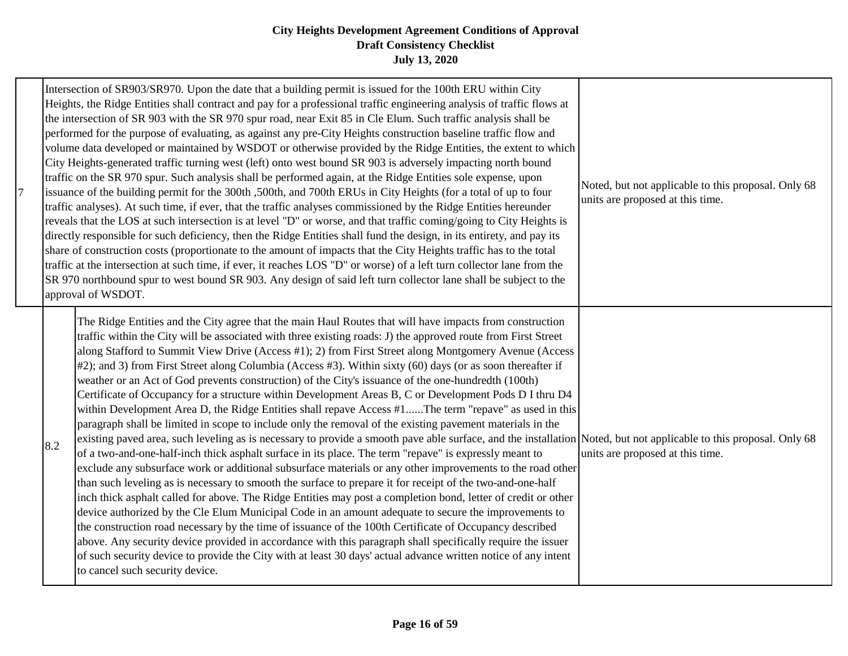|     | Intersection of SR903/SR970. Upon the date that a building permit is issued for the 100th ERU within City<br>Heights, the Ridge Entities shall contract and pay for a professional traffic engineering analysis of traffic flows at<br>the intersection of SR 903 with the SR 970 spur road, near Exit 85 in Cle Elum. Such traffic analysis shall be<br>performed for the purpose of evaluating, as against any pre-City Heights construction baseline traffic flow and<br>volume data developed or maintained by WSDOT or otherwise provided by the Ridge Entities, the extent to which<br>City Heights-generated traffic turning west (left) onto west bound SR 903 is adversely impacting north bound<br>traffic on the SR 970 spur. Such analysis shall be performed again, at the Ridge Entities sole expense, upon<br>issuance of the building permit for the 300th, 500th, and 700th ERUs in City Heights (for a total of up to four<br>traffic analyses). At such time, if ever, that the traffic analyses commissioned by the Ridge Entities hereunder<br>reveals that the LOS at such intersection is at level "D" or worse, and that traffic coming/going to City Heights is<br>directly responsible for such deficiency, then the Ridge Entities shall fund the design, in its entirety, and pay its<br>share of construction costs (proportionate to the amount of impacts that the City Heights traffic has to the total<br>traffic at the intersection at such time, if ever, it reaches LOS "D" or worse) of a left turn collector lane from the<br>SR 970 northbound spur to west bound SR 903. Any design of said left turn collector lane shall be subject to the<br>approval of WSDOT.                                                                                                                                                                                                                                                                                                 | Noted, but not applicable to this proposal. Only 68<br>units are proposed at this time. |
|-----|-------------------------------------------------------------------------------------------------------------------------------------------------------------------------------------------------------------------------------------------------------------------------------------------------------------------------------------------------------------------------------------------------------------------------------------------------------------------------------------------------------------------------------------------------------------------------------------------------------------------------------------------------------------------------------------------------------------------------------------------------------------------------------------------------------------------------------------------------------------------------------------------------------------------------------------------------------------------------------------------------------------------------------------------------------------------------------------------------------------------------------------------------------------------------------------------------------------------------------------------------------------------------------------------------------------------------------------------------------------------------------------------------------------------------------------------------------------------------------------------------------------------------------------------------------------------------------------------------------------------------------------------------------------------------------------------------------------------------------------------------------------------------------------------------------------------------------------------------------------------------------------------------------------------------------------------------------------------------------------------------------------|-----------------------------------------------------------------------------------------|
| 8.2 | The Ridge Entities and the City agree that the main Haul Routes that will have impacts from construction<br>traffic within the City will be associated with three existing roads: J) the approved route from First Street<br>along Stafford to Summit View Drive (Access #1); 2) from First Street along Montgomery Avenue (Access<br>#2); and 3) from First Street along Columbia (Access #3). Within sixty (60) days (or as soon thereafter if<br>weather or an Act of God prevents construction) of the City's issuance of the one-hundredth (100th)<br>Certificate of Occupancy for a structure within Development Areas B, C or Development Pods D I thru D4<br>within Development Area D, the Ridge Entities shall repave Access #1The term "repave" as used in this<br>paragraph shall be limited in scope to include only the removal of the existing pavement materials in the<br>existing paved area, such leveling as is necessary to provide a smooth pave able surface, and the installation Noted, but not applicable to this proposal. Only 68<br>of a two-and-one-half-inch thick asphalt surface in its place. The term "repave" is expressly meant to<br>exclude any subsurface work or additional subsurface materials or any other improvements to the road other<br>than such leveling as is necessary to smooth the surface to prepare it for receipt of the two-and-one-half<br>inch thick asphalt called for above. The Ridge Entities may post a completion bond, letter of credit or other<br>device authorized by the Cle Elum Municipal Code in an amount adequate to secure the improvements to<br>the construction road necessary by the time of issuance of the 100th Certificate of Occupancy described<br>above. Any security device provided in accordance with this paragraph shall specifically require the issuer<br>of such security device to provide the City with at least 30 days' actual advance written notice of any intent<br>to cancel such security device. | units are proposed at this time.                                                        |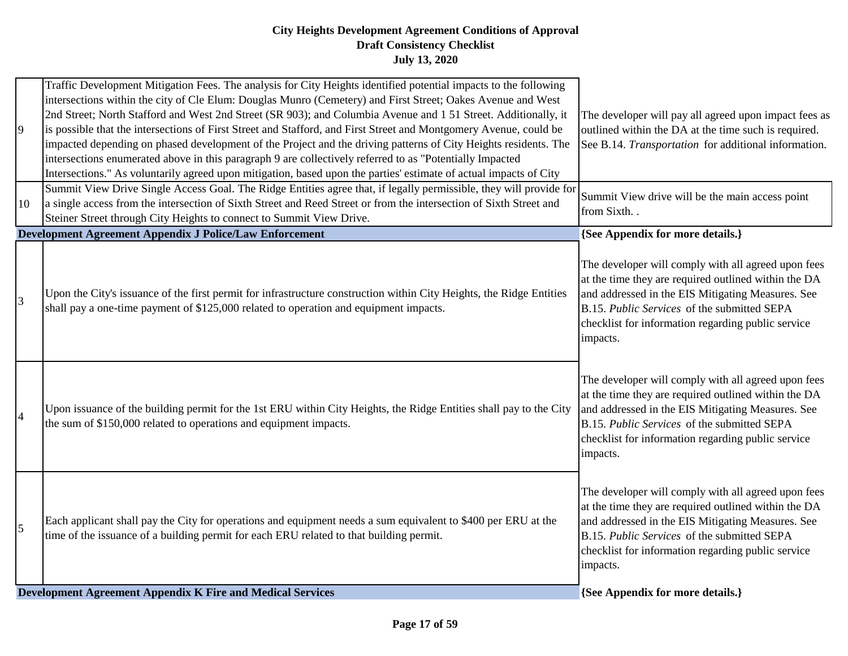| 9              | Traffic Development Mitigation Fees. The analysis for City Heights identified potential impacts to the following<br>intersections within the city of Cle Elum: Douglas Munro (Cemetery) and First Street; Oakes Avenue and West<br>2nd Street; North Stafford and West 2nd Street (SR 903); and Columbia Avenue and 1 51 Street. Additionally, it<br>is possible that the intersections of First Street and Stafford, and First Street and Montgomery Avenue, could be<br>impacted depending on phased development of the Project and the driving patterns of City Heights residents. The<br>intersections enumerated above in this paragraph 9 are collectively referred to as "Potentially Impacted<br>Intersections." As voluntarily agreed upon mitigation, based upon the parties' estimate of actual impacts of City | The developer will pay all agreed upon impact fees as<br>outlined within the DA at the time such is required.<br>See B.14. Transportation for additional information.                                                                                                             |
|----------------|----------------------------------------------------------------------------------------------------------------------------------------------------------------------------------------------------------------------------------------------------------------------------------------------------------------------------------------------------------------------------------------------------------------------------------------------------------------------------------------------------------------------------------------------------------------------------------------------------------------------------------------------------------------------------------------------------------------------------------------------------------------------------------------------------------------------------|-----------------------------------------------------------------------------------------------------------------------------------------------------------------------------------------------------------------------------------------------------------------------------------|
| 10             | Summit View Drive Single Access Goal. The Ridge Entities agree that, if legally permissible, they will provide for<br>a single access from the intersection of Sixth Street and Reed Street or from the intersection of Sixth Street and<br>Steiner Street through City Heights to connect to Summit View Drive.                                                                                                                                                                                                                                                                                                                                                                                                                                                                                                           | Summit View drive will be the main access point<br>from Sixth                                                                                                                                                                                                                     |
|                | Development Agreement Appendix J Police/Law Enforcement                                                                                                                                                                                                                                                                                                                                                                                                                                                                                                                                                                                                                                                                                                                                                                    | {See Appendix for more details.}                                                                                                                                                                                                                                                  |
| 3              | Upon the City's issuance of the first permit for infrastructure construction within City Heights, the Ridge Entities<br>shall pay a one-time payment of \$125,000 related to operation and equipment impacts.                                                                                                                                                                                                                                                                                                                                                                                                                                                                                                                                                                                                              | The developer will comply with all agreed upon fees<br>at the time they are required outlined within the DA<br>and addressed in the EIS Mitigating Measures. See<br>B.15. Public Services of the submitted SEPA<br>checklist for information regarding public service<br>impacts. |
| $\overline{4}$ | Upon issuance of the building permit for the 1st ERU within City Heights, the Ridge Entities shall pay to the City<br>the sum of \$150,000 related to operations and equipment impacts.                                                                                                                                                                                                                                                                                                                                                                                                                                                                                                                                                                                                                                    | The developer will comply with all agreed upon fees<br>at the time they are required outlined within the DA<br>and addressed in the EIS Mitigating Measures. See<br>B.15. Public Services of the submitted SEPA<br>checklist for information regarding public service<br>impacts. |
| $\overline{5}$ | Each applicant shall pay the City for operations and equipment needs a sum equivalent to \$400 per ERU at the<br>time of the issuance of a building permit for each ERU related to that building permit.                                                                                                                                                                                                                                                                                                                                                                                                                                                                                                                                                                                                                   | The developer will comply with all agreed upon fees<br>at the time they are required outlined within the DA<br>and addressed in the EIS Mitigating Measures. See<br>B.15. Public Services of the submitted SEPA<br>checklist for information regarding public service<br>impacts. |
|                | Development Agreement Appendix K Fire and Medical Services                                                                                                                                                                                                                                                                                                                                                                                                                                                                                                                                                                                                                                                                                                                                                                 | {See Appendix for more details.}                                                                                                                                                                                                                                                  |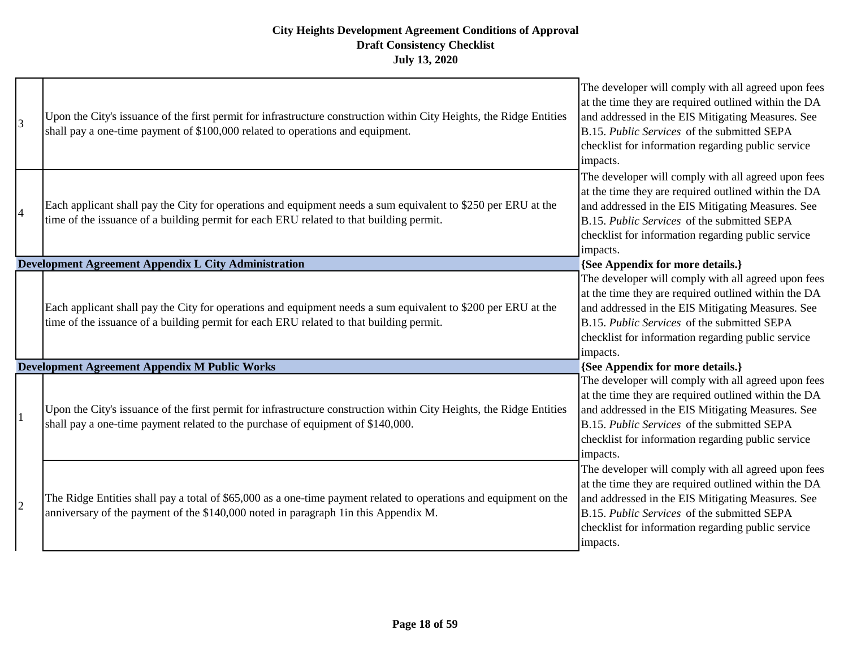| $\overline{3}$ | Upon the City's issuance of the first permit for infrastructure construction within City Heights, the Ridge Entities<br>shall pay a one-time payment of \$100,000 related to operations and equipment.   | The developer will comply with all agreed upon fees<br>at the time they are required outlined within the DA<br>and addressed in the EIS Mitigating Measures. See<br>B.15. Public Services of the submitted SEPA<br>checklist for information regarding public service<br>impacts. |
|----------------|----------------------------------------------------------------------------------------------------------------------------------------------------------------------------------------------------------|-----------------------------------------------------------------------------------------------------------------------------------------------------------------------------------------------------------------------------------------------------------------------------------|
| 4              | Each applicant shall pay the City for operations and equipment needs a sum equivalent to \$250 per ERU at the<br>time of the issuance of a building permit for each ERU related to that building permit. | The developer will comply with all agreed upon fees<br>at the time they are required outlined within the DA<br>and addressed in the EIS Mitigating Measures. See<br>B.15. Public Services of the submitted SEPA<br>checklist for information regarding public service<br>impacts. |
|                | Development Agreement Appendix L City Administration                                                                                                                                                     | {See Appendix for more details.}                                                                                                                                                                                                                                                  |
|                | Each applicant shall pay the City for operations and equipment needs a sum equivalent to \$200 per ERU at the<br>time of the issuance of a building permit for each ERU related to that building permit. | The developer will comply with all agreed upon fees<br>at the time they are required outlined within the DA<br>and addressed in the EIS Mitigating Measures. See<br>B.15. Public Services of the submitted SEPA<br>checklist for information regarding public service<br>impacts. |
|                | <b>Development Agreement Appendix M Public Works</b>                                                                                                                                                     | {See Appendix for more details.}                                                                                                                                                                                                                                                  |
|                | Upon the City's issuance of the first permit for infrastructure construction within City Heights, the Ridge Entities<br>shall pay a one-time payment related to the purchase of equipment of \$140,000.  | The developer will comply with all agreed upon fees<br>at the time they are required outlined within the DA<br>and addressed in the EIS Mitigating Measures. See<br>B.15. Public Services of the submitted SEPA<br>checklist for information regarding public service<br>impacts. |
| $\overline{2}$ | The Ridge Entities shall pay a total of \$65,000 as a one-time payment related to operations and equipment on the<br>anniversary of the payment of the \$140,000 noted in paragraph 1in this Appendix M. | The developer will comply with all agreed upon fees<br>at the time they are required outlined within the DA<br>and addressed in the EIS Mitigating Measures. See<br>B.15. Public Services of the submitted SEPA<br>checklist for information regarding public service<br>impacts. |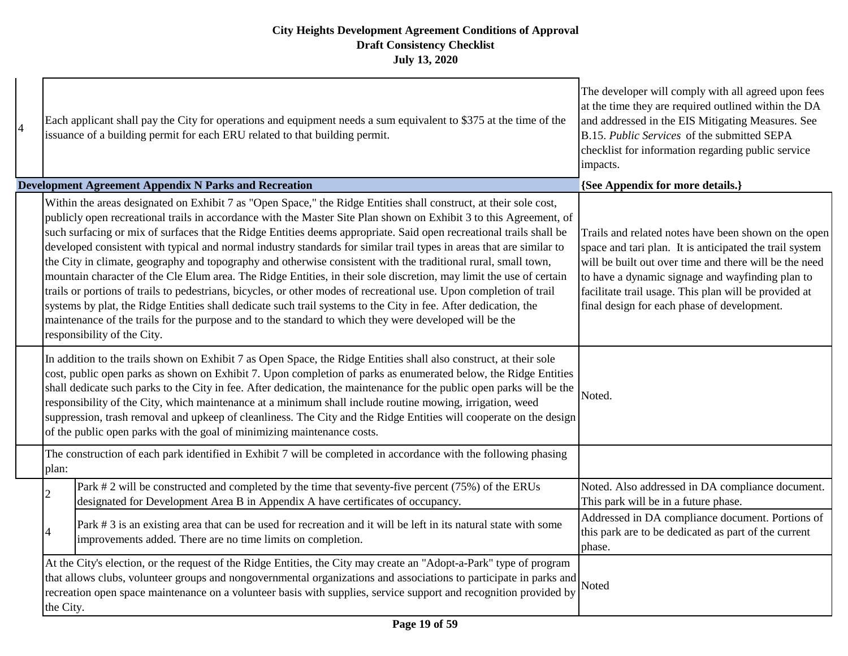| $\overline{4}$ |           | Each applicant shall pay the City for operations and equipment needs a sum equivalent to \$375 at the time of the<br>issuance of a building permit for each ERU related to that building permit.                                                                                                                                                                                                                                                                                                                                                                                                                                                                                                                                                                                                                                                                                                                                                                                                                                                                                                                   | The developer will comply with all agreed upon fees<br>at the time they are required outlined within the DA<br>and addressed in the EIS Mitigating Measures. See<br>B.15. Public Services of the submitted SEPA<br>checklist for information regarding public service<br>impacts.                                                     |
|----------------|-----------|--------------------------------------------------------------------------------------------------------------------------------------------------------------------------------------------------------------------------------------------------------------------------------------------------------------------------------------------------------------------------------------------------------------------------------------------------------------------------------------------------------------------------------------------------------------------------------------------------------------------------------------------------------------------------------------------------------------------------------------------------------------------------------------------------------------------------------------------------------------------------------------------------------------------------------------------------------------------------------------------------------------------------------------------------------------------------------------------------------------------|---------------------------------------------------------------------------------------------------------------------------------------------------------------------------------------------------------------------------------------------------------------------------------------------------------------------------------------|
|                |           | <b>Development Agreement Appendix N Parks and Recreation</b>                                                                                                                                                                                                                                                                                                                                                                                                                                                                                                                                                                                                                                                                                                                                                                                                                                                                                                                                                                                                                                                       | {See Appendix for more details.}                                                                                                                                                                                                                                                                                                      |
|                |           | Within the areas designated on Exhibit 7 as "Open Space," the Ridge Entities shall construct, at their sole cost,<br>publicly open recreational trails in accordance with the Master Site Plan shown on Exhibit 3 to this Agreement, of<br>such surfacing or mix of surfaces that the Ridge Entities deems appropriate. Said open recreational trails shall be<br>developed consistent with typical and normal industry standards for similar trail types in areas that are similar to<br>the City in climate, geography and topography and otherwise consistent with the traditional rural, small town,<br>mountain character of the Cle Elum area. The Ridge Entities, in their sole discretion, may limit the use of certain<br>trails or portions of trails to pedestrians, bicycles, or other modes of recreational use. Upon completion of trail<br>systems by plat, the Ridge Entities shall dedicate such trail systems to the City in fee. After dedication, the<br>maintenance of the trails for the purpose and to the standard to which they were developed will be the<br>responsibility of the City. | Trails and related notes have been shown on the open<br>space and tari plan. It is anticipated the trail system<br>will be built out over time and there will be the need<br>to have a dynamic signage and wayfinding plan to<br>facilitate trail usage. This plan will be provided at<br>final design for each phase of development. |
|                |           | In addition to the trails shown on Exhibit 7 as Open Space, the Ridge Entities shall also construct, at their sole<br>cost, public open parks as shown on Exhibit 7. Upon completion of parks as enumerated below, the Ridge Entities<br>shall dedicate such parks to the City in fee. After dedication, the maintenance for the public open parks will be the<br>responsibility of the City, which maintenance at a minimum shall include routine mowing, irrigation, weed<br>suppression, trash removal and upkeep of cleanliness. The City and the Ridge Entities will cooperate on the design<br>of the public open parks with the goal of minimizing maintenance costs.                                                                                                                                                                                                                                                                                                                                                                                                                                       | Noted.                                                                                                                                                                                                                                                                                                                                |
|                | plan:     | The construction of each park identified in Exhibit 7 will be completed in accordance with the following phasing                                                                                                                                                                                                                                                                                                                                                                                                                                                                                                                                                                                                                                                                                                                                                                                                                                                                                                                                                                                                   |                                                                                                                                                                                                                                                                                                                                       |
|                | 2         | Park # 2 will be constructed and completed by the time that seventy-five percent (75%) of the ERUs<br>designated for Development Area B in Appendix A have certificates of occupancy.                                                                                                                                                                                                                                                                                                                                                                                                                                                                                                                                                                                                                                                                                                                                                                                                                                                                                                                              | Noted. Also addressed in DA compliance document.<br>This park will be in a future phase.                                                                                                                                                                                                                                              |
|                |           | Park #3 is an existing area that can be used for recreation and it will be left in its natural state with some<br>improvements added. There are no time limits on completion.                                                                                                                                                                                                                                                                                                                                                                                                                                                                                                                                                                                                                                                                                                                                                                                                                                                                                                                                      | Addressed in DA compliance document. Portions of<br>this park are to be dedicated as part of the current<br>phase.                                                                                                                                                                                                                    |
|                | the City. | At the City's election, or the request of the Ridge Entities, the City may create an "Adopt-a-Park" type of program<br>that allows clubs, volunteer groups and nongovernmental organizations and associations to participate in parks and<br>recreation open space maintenance on a volunteer basis with supplies, service support and recognition provided by                                                                                                                                                                                                                                                                                                                                                                                                                                                                                                                                                                                                                                                                                                                                                     | Noted                                                                                                                                                                                                                                                                                                                                 |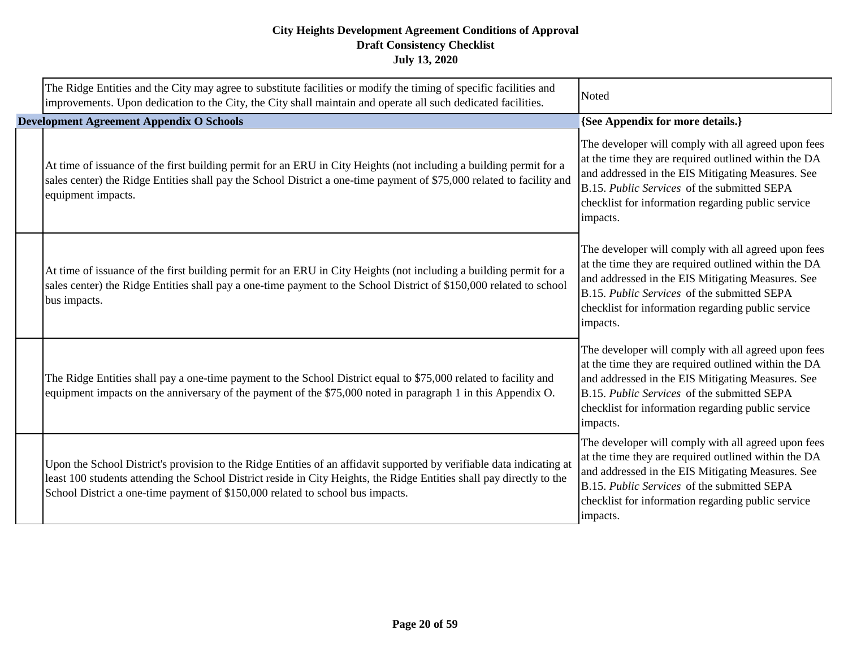| The Ridge Entities and the City may agree to substitute facilities or modify the timing of specific facilities and<br>improvements. Upon dedication to the City, the City shall maintain and operate all such dedicated facilities.                                                                                              | Noted                                                                                                                                                                                                                                                                             |
|----------------------------------------------------------------------------------------------------------------------------------------------------------------------------------------------------------------------------------------------------------------------------------------------------------------------------------|-----------------------------------------------------------------------------------------------------------------------------------------------------------------------------------------------------------------------------------------------------------------------------------|
| <b>Development Agreement Appendix O Schools</b>                                                                                                                                                                                                                                                                                  | {See Appendix for more details.}                                                                                                                                                                                                                                                  |
| At time of issuance of the first building permit for an ERU in City Heights (not including a building permit for a<br>sales center) the Ridge Entities shall pay the School District a one-time payment of \$75,000 related to facility and<br>equipment impacts.                                                                | The developer will comply with all agreed upon fees<br>at the time they are required outlined within the DA<br>and addressed in the EIS Mitigating Measures. See<br>B.15. Public Services of the submitted SEPA<br>checklist for information regarding public service<br>impacts. |
| At time of issuance of the first building permit for an ERU in City Heights (not including a building permit for a<br>sales center) the Ridge Entities shall pay a one-time payment to the School District of \$150,000 related to school<br>bus impacts.                                                                        | The developer will comply with all agreed upon fees<br>at the time they are required outlined within the DA<br>and addressed in the EIS Mitigating Measures. See<br>B.15. Public Services of the submitted SEPA<br>checklist for information regarding public service<br>impacts. |
| The Ridge Entities shall pay a one-time payment to the School District equal to \$75,000 related to facility and<br>equipment impacts on the anniversary of the payment of the \$75,000 noted in paragraph 1 in this Appendix O.                                                                                                 | The developer will comply with all agreed upon fees<br>at the time they are required outlined within the DA<br>and addressed in the EIS Mitigating Measures. See<br>B.15. Public Services of the submitted SEPA<br>checklist for information regarding public service<br>impacts. |
| Upon the School District's provision to the Ridge Entities of an affidavit supported by verifiable data indicating at<br>least 100 students attending the School District reside in City Heights, the Ridge Entities shall pay directly to the<br>School District a one-time payment of \$150,000 related to school bus impacts. | The developer will comply with all agreed upon fees<br>at the time they are required outlined within the DA<br>and addressed in the EIS Mitigating Measures. See<br>B.15. Public Services of the submitted SEPA<br>checklist for information regarding public service<br>impacts. |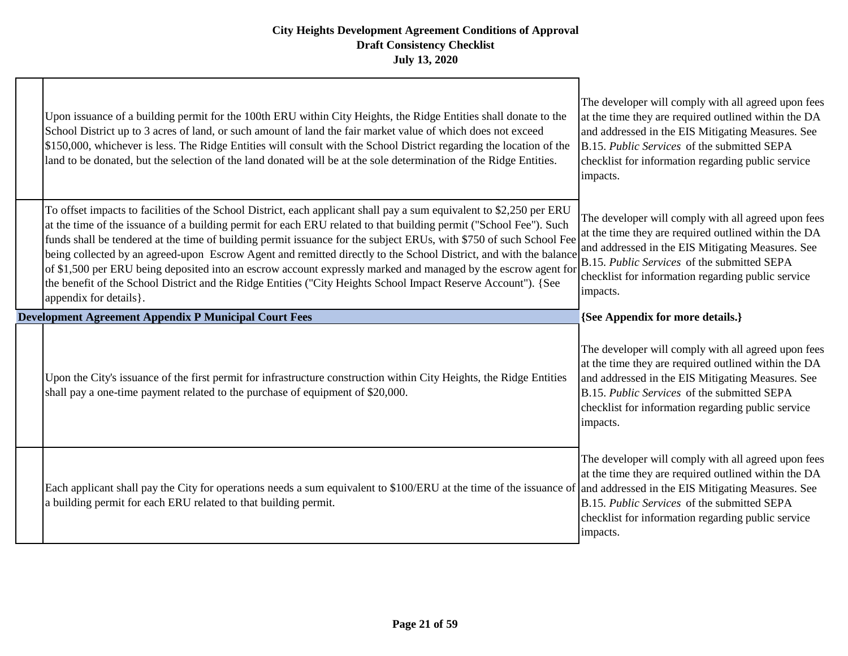| Upon issuance of a building permit for the 100th ERU within City Heights, the Ridge Entities shall donate to the<br>School District up to 3 acres of land, or such amount of land the fair market value of which does not exceed<br>\$150,000, whichever is less. The Ridge Entities will consult with the School District regarding the location of the<br>land to be donated, but the selection of the land donated will be at the sole determination of the Ridge Entities.                                                                                                                                                                                                                                                                        | The developer will comply with all agreed upon fees<br>at the time they are required outlined within the DA<br>and addressed in the EIS Mitigating Measures. See<br>B.15. Public Services of the submitted SEPA<br>checklist for information regarding public service<br>impacts. |
|-------------------------------------------------------------------------------------------------------------------------------------------------------------------------------------------------------------------------------------------------------------------------------------------------------------------------------------------------------------------------------------------------------------------------------------------------------------------------------------------------------------------------------------------------------------------------------------------------------------------------------------------------------------------------------------------------------------------------------------------------------|-----------------------------------------------------------------------------------------------------------------------------------------------------------------------------------------------------------------------------------------------------------------------------------|
| To offset impacts to facilities of the School District, each applicant shall pay a sum equivalent to \$2,250 per ERU<br>at the time of the issuance of a building permit for each ERU related to that building permit ("School Fee"). Such<br>funds shall be tendered at the time of building permit issuance for the subject ERUs, with \$750 of such School Fee<br>being collected by an agreed-upon Escrow Agent and remitted directly to the School District, and with the balance<br>of \$1,500 per ERU being deposited into an escrow account expressly marked and managed by the escrow agent for<br>the benefit of the School District and the Ridge Entities ("City Heights School Impact Reserve Account"). {See<br>appendix for details }. | The developer will comply with all agreed upon fees<br>at the time they are required outlined within the DA<br>and addressed in the EIS Mitigating Measures. See<br>B.15. Public Services of the submitted SEPA<br>checklist for information regarding public service<br>impacts. |
| <b>Development Agreement Appendix P Municipal Court Fees</b>                                                                                                                                                                                                                                                                                                                                                                                                                                                                                                                                                                                                                                                                                          | {See Appendix for more details.}                                                                                                                                                                                                                                                  |
|                                                                                                                                                                                                                                                                                                                                                                                                                                                                                                                                                                                                                                                                                                                                                       |                                                                                                                                                                                                                                                                                   |
| Upon the City's issuance of the first permit for infrastructure construction within City Heights, the Ridge Entities<br>shall pay a one-time payment related to the purchase of equipment of \$20,000.                                                                                                                                                                                                                                                                                                                                                                                                                                                                                                                                                | The developer will comply with all agreed upon fees<br>at the time they are required outlined within the DA<br>and addressed in the EIS Mitigating Measures. See<br>B.15. Public Services of the submitted SEPA<br>checklist for information regarding public service<br>impacts. |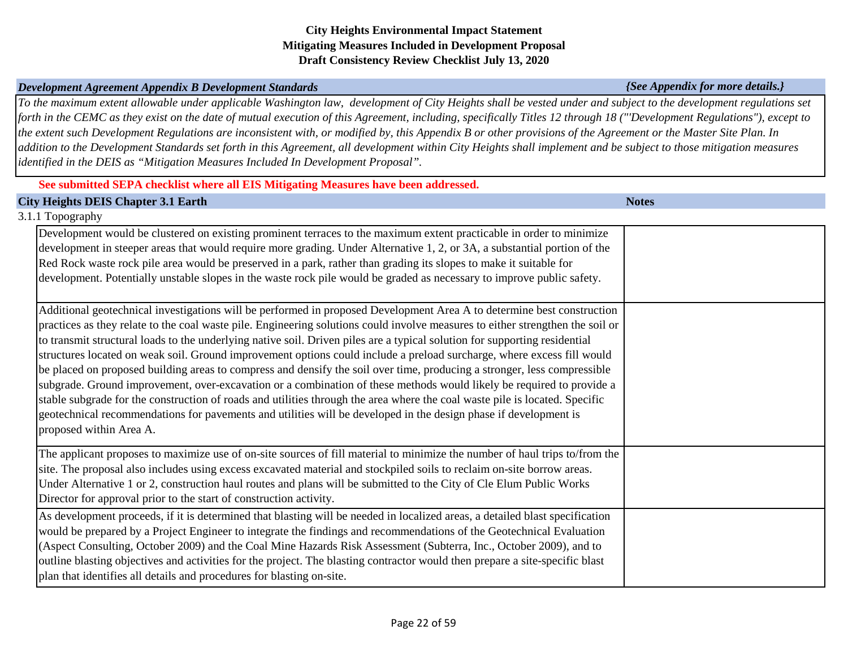### *Development Agreement Appendix B Development Standards {See Appendix for more details.}*

*To the maximum extent allowable under applicable Washington law, development of City Heights shall be vested under and subject to the development regulations set forth in the CEMC as they exist on the date of mutual execution of this Agreement, including, specifically Titles 12 through 18 ("'Development Regulations"), except to the extent such Development Regulations are inconsistent with, or modified by, this Appendix B or other provisions of the Agreement or the Master Site Plan. In addition to the Development Standards set forth in this Agreement, all development within City Heights shall implement and be subject to those mitigation measures identified in the DEIS as "Mitigation Measures Included In Development Proposal".* 

#### **See submitted SEPA checklist where all EIS Mitigating Measures have been addressed.**

| <b>City Heights DEIS Chapter 3.1 Earth</b>                                                                                                                                                                                                                                                                                                                                                                                                                                                                                                                                                                                                                                                                                                                                                                                                                                                                                                                                                                                                          | <b>Notes</b> |
|-----------------------------------------------------------------------------------------------------------------------------------------------------------------------------------------------------------------------------------------------------------------------------------------------------------------------------------------------------------------------------------------------------------------------------------------------------------------------------------------------------------------------------------------------------------------------------------------------------------------------------------------------------------------------------------------------------------------------------------------------------------------------------------------------------------------------------------------------------------------------------------------------------------------------------------------------------------------------------------------------------------------------------------------------------|--------------|
| 3.1.1 Topography                                                                                                                                                                                                                                                                                                                                                                                                                                                                                                                                                                                                                                                                                                                                                                                                                                                                                                                                                                                                                                    |              |
| Development would be clustered on existing prominent terraces to the maximum extent practicable in order to minimize<br>development in steeper areas that would require more grading. Under Alternative 1, 2, or 3A, a substantial portion of the<br>Red Rock waste rock pile area would be preserved in a park, rather than grading its slopes to make it suitable for<br>development. Potentially unstable slopes in the waste rock pile would be graded as necessary to improve public safety.                                                                                                                                                                                                                                                                                                                                                                                                                                                                                                                                                   |              |
| Additional geotechnical investigations will be performed in proposed Development Area A to determine best construction<br>practices as they relate to the coal waste pile. Engineering solutions could involve measures to either strengthen the soil or<br>to transmit structural loads to the underlying native soil. Driven piles are a typical solution for supporting residential<br>structures located on weak soil. Ground improvement options could include a preload surcharge, where excess fill would<br>be placed on proposed building areas to compress and densify the soil over time, producing a stronger, less compressible<br>subgrade. Ground improvement, over-excavation or a combination of these methods would likely be required to provide a<br>stable subgrade for the construction of roads and utilities through the area where the coal waste pile is located. Specific<br>geotechnical recommendations for pavements and utilities will be developed in the design phase if development is<br>proposed within Area A. |              |
| The applicant proposes to maximize use of on-site sources of fill material to minimize the number of haul trips to/from the<br>site. The proposal also includes using excess excavated material and stockpiled soils to reclaim on-site borrow areas.<br>Under Alternative 1 or 2, construction haul routes and plans will be submitted to the City of Cle Elum Public Works<br>Director for approval prior to the start of construction activity.                                                                                                                                                                                                                                                                                                                                                                                                                                                                                                                                                                                                  |              |
| As development proceeds, if it is determined that blasting will be needed in localized areas, a detailed blast specification<br>would be prepared by a Project Engineer to integrate the findings and recommendations of the Geotechnical Evaluation<br>(Aspect Consulting, October 2009) and the Coal Mine Hazards Risk Assessment (Subterra, Inc., October 2009), and to<br>outline blasting objectives and activities for the project. The blasting contractor would then prepare a site-specific blast<br>plan that identifies all details and procedures for blasting on-site.                                                                                                                                                                                                                                                                                                                                                                                                                                                                 |              |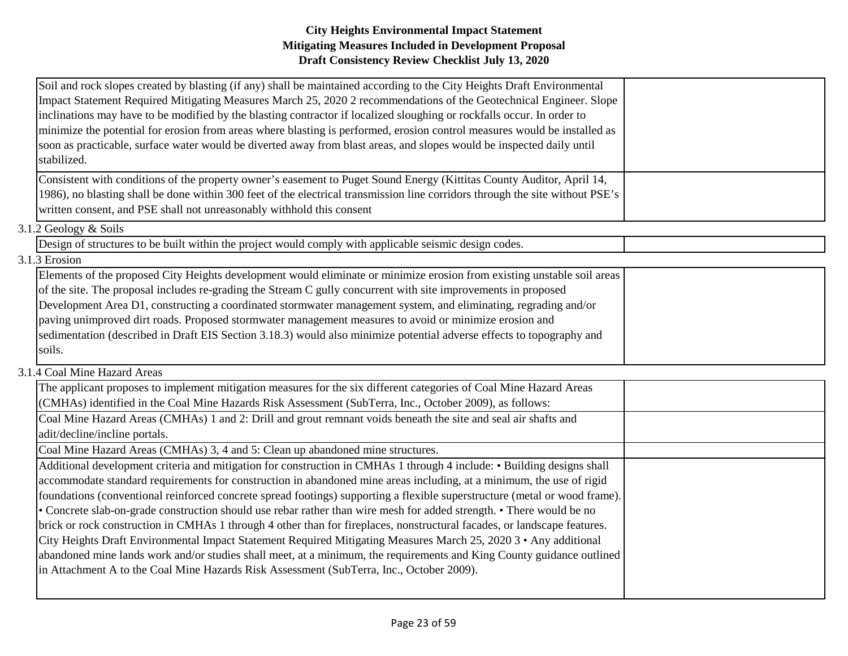| Soil and rock slopes created by blasting (if any) shall be maintained according to the City Heights Draft Environmental       |  |
|-------------------------------------------------------------------------------------------------------------------------------|--|
| Impact Statement Required Mitigating Measures March 25, 2020 2 recommendations of the Geotechnical Engineer. Slope            |  |
| inclinations may have to be modified by the blasting contractor if localized sloughing or rockfalls occur. In order to        |  |
| minimize the potential for erosion from areas where blasting is performed, erosion control measures would be installed as     |  |
| soon as practicable, surface water would be diverted away from blast areas, and slopes would be inspected daily until         |  |
| stabilized.                                                                                                                   |  |
| Consistent with conditions of the property owner's easement to Puget Sound Energy (Kittitas County Auditor, April 14,         |  |
| 1986), no blasting shall be done within 300 feet of the electrical transmission line corridors through the site without PSE's |  |
| written consent, and PSE shall not unreasonably withhold this consent                                                         |  |
| 3.1.2 Geology $&$ Soils                                                                                                       |  |
| Design of structures to be built within the project would comply with applicable seismic design codes.                        |  |
| 3.1.3 Erosion                                                                                                                 |  |
| Elements of the proposed City Heights development would eliminate or minimize erosion from existing unstable soil areas       |  |
| of the site. The proposal includes re-grading the Stream C gully concurrent with site improvements in proposed                |  |
| Development Area D1, constructing a coordinated stormwater management system, and eliminating, regrading and/or               |  |

| paving unimproved dirt roads. Proposed stormwater management measures to avoid or minimize erosion and                |  |
|-----------------------------------------------------------------------------------------------------------------------|--|
| sedimentation (described in Draft EIS Section 3.18.3) would also minimize potential adverse effects to topography and |  |
| soils.                                                                                                                |  |

3.1.4 Coal Mine Hazard Areas

| The applicant proposes to implement mitigation measures for the six different categories of Coal Mine Hazard Areas         |  |
|----------------------------------------------------------------------------------------------------------------------------|--|
| (CMHAs) identified in the Coal Mine Hazards Risk Assessment (SubTerra, Inc., October 2009), as follows:                    |  |
| Coal Mine Hazard Areas (CMHAs) 1 and 2: Drill and grout remnant voids beneath the site and seal air shafts and             |  |
| adit/decline/incline portals.                                                                                              |  |
| Coal Mine Hazard Areas (CMHAs) 3, 4 and 5: Clean up abandoned mine structures.                                             |  |
| Additional development criteria and mitigation for construction in CMHAs 1 through 4 include: • Building designs shall     |  |
| accommodate standard requirements for construction in abandoned mine areas including, at a minimum, the use of rigid       |  |
| foundations (conventional reinforced concrete spread footings) supporting a flexible superstructure (metal or wood frame). |  |
| • Concrete slab-on-grade construction should use rebar rather than wire mesh for added strength. • There would be no       |  |
| brick or rock construction in CMHAs 1 through 4 other than for fireplaces, nonstructural facades, or landscape features.   |  |
| City Heights Draft Environmental Impact Statement Required Mitigating Measures March 25, 2020 3 • Any additional           |  |
| abandoned mine lands work and/or studies shall meet, at a minimum, the requirements and King County guidance outlined      |  |
| in Attachment A to the Coal Mine Hazards Risk Assessment (SubTerra, Inc., October 2009).                                   |  |
|                                                                                                                            |  |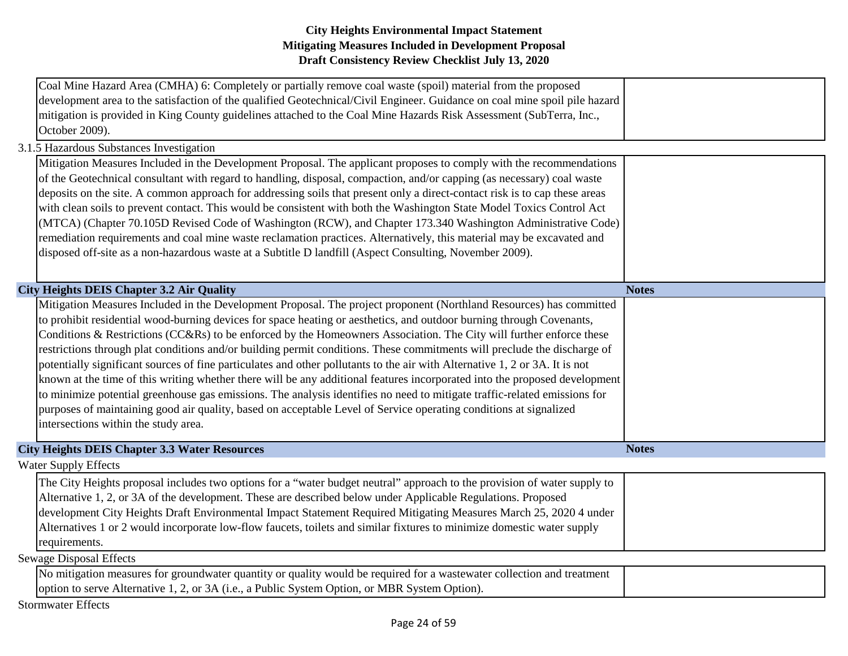| Coal Mine Hazard Area (CMHA) 6: Completely or partially remove coal waste (spoil) material from the proposed<br>development area to the satisfaction of the qualified Geotechnical/Civil Engineer. Guidance on coal mine spoil pile hazard<br>mitigation is provided in King County guidelines attached to the Coal Mine Hazards Risk Assessment (SubTerra, Inc.,<br>October 2009).                                                                                                                                                                                                                                                                                                                                                                                                                                                                                                                                                                                                                                                                   |              |
|-------------------------------------------------------------------------------------------------------------------------------------------------------------------------------------------------------------------------------------------------------------------------------------------------------------------------------------------------------------------------------------------------------------------------------------------------------------------------------------------------------------------------------------------------------------------------------------------------------------------------------------------------------------------------------------------------------------------------------------------------------------------------------------------------------------------------------------------------------------------------------------------------------------------------------------------------------------------------------------------------------------------------------------------------------|--------------|
| 3.1.5 Hazardous Substances Investigation                                                                                                                                                                                                                                                                                                                                                                                                                                                                                                                                                                                                                                                                                                                                                                                                                                                                                                                                                                                                              |              |
| Mitigation Measures Included in the Development Proposal. The applicant proposes to comply with the recommendations<br>of the Geotechnical consultant with regard to handling, disposal, compaction, and/or capping (as necessary) coal waste<br>deposits on the site. A common approach for addressing soils that present only a direct-contact risk is to cap these areas<br>with clean soils to prevent contact. This would be consistent with both the Washington State Model Toxics Control Act<br>(MTCA) (Chapter 70.105D Revised Code of Washington (RCW), and Chapter 173.340 Washington Administrative Code)<br>remediation requirements and coal mine waste reclamation practices. Alternatively, this material may be excavated and<br>disposed off-site as a non-hazardous waste at a Subtitle D landfill (Aspect Consulting, November 2009).                                                                                                                                                                                             |              |
| <b>City Heights DEIS Chapter 3.2 Air Quality</b>                                                                                                                                                                                                                                                                                                                                                                                                                                                                                                                                                                                                                                                                                                                                                                                                                                                                                                                                                                                                      |              |
|                                                                                                                                                                                                                                                                                                                                                                                                                                                                                                                                                                                                                                                                                                                                                                                                                                                                                                                                                                                                                                                       | <b>Notes</b> |
| Mitigation Measures Included in the Development Proposal. The project proponent (Northland Resources) has committed<br>to prohibit residential wood-burning devices for space heating or aesthetics, and outdoor burning through Covenants,<br>Conditions & Restrictions (CC&Rs) to be enforced by the Homeowners Association. The City will further enforce these<br>restrictions through plat conditions and/or building permit conditions. These commitments will preclude the discharge of<br>potentially significant sources of fine particulates and other pollutants to the air with Alternative 1, 2 or 3A. It is not<br>known at the time of this writing whether there will be any additional features incorporated into the proposed development<br>to minimize potential greenhouse gas emissions. The analysis identifies no need to mitigate traffic-related emissions for<br>purposes of maintaining good air quality, based on acceptable Level of Service operating conditions at signalized<br>intersections within the study area. |              |
| <b>City Heights DEIS Chapter 3.3 Water Resources</b>                                                                                                                                                                                                                                                                                                                                                                                                                                                                                                                                                                                                                                                                                                                                                                                                                                                                                                                                                                                                  | <b>Notes</b> |

| The City Heights proposal includes two options for a "water budget neutral" approach to the provision of water supply to |  |
|--------------------------------------------------------------------------------------------------------------------------|--|
| Alternative 1, 2, or 3A of the development. These are described below under Applicable Regulations. Proposed             |  |
| development City Heights Draft Environmental Impact Statement Required Mitigating Measures March 25, 2020 4 under        |  |
| Alternatives 1 or 2 would incorporate low-flow faucets, toilets and similar fixtures to minimize domestic water supply   |  |
| requirements.                                                                                                            |  |
| <b>Sewage Disposal Effects</b>                                                                                           |  |

No mitigation measures for groundwater quantity or quality would be required for a wastewater collection and treatment option to serve Alternative 1, 2, or 3A (i.e., a Public System Option, or MBR System Option).

Stormwater Effects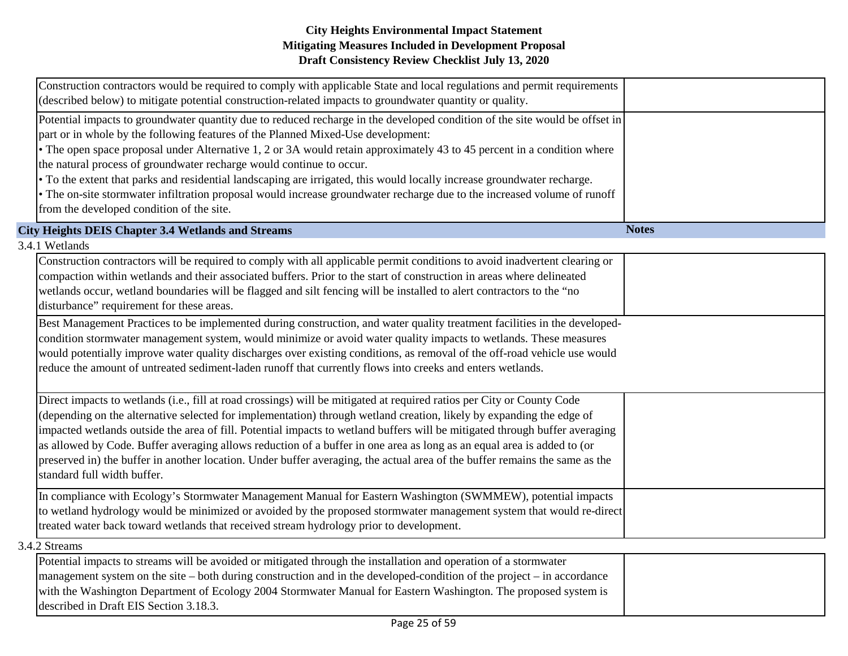| Construction contractors would be required to comply with applicable State and local regulations and permit requirements<br>(described below) to mitigate potential construction-related impacts to groundwater quantity or quality.                                                                                                                                                                                                                                                                                                                                                                                                                                                                                   |              |
|------------------------------------------------------------------------------------------------------------------------------------------------------------------------------------------------------------------------------------------------------------------------------------------------------------------------------------------------------------------------------------------------------------------------------------------------------------------------------------------------------------------------------------------------------------------------------------------------------------------------------------------------------------------------------------------------------------------------|--------------|
| Potential impacts to groundwater quantity due to reduced recharge in the developed condition of the site would be offset in<br>part or in whole by the following features of the Planned Mixed-Use development:<br>• The open space proposal under Alternative 1, 2 or 3A would retain approximately 43 to 45 percent in a condition where<br>the natural process of groundwater recharge would continue to occur.<br>• To the extent that parks and residential landscaping are irrigated, this would locally increase groundwater recharge.<br>• The on-site stormwater infiltration proposal would increase groundwater recharge due to the increased volume of runoff<br>from the developed condition of the site. |              |
| <b>City Heights DEIS Chapter 3.4 Wetlands and Streams</b>                                                                                                                                                                                                                                                                                                                                                                                                                                                                                                                                                                                                                                                              | <b>Notes</b> |
| 3.4.1 Wetlands                                                                                                                                                                                                                                                                                                                                                                                                                                                                                                                                                                                                                                                                                                         |              |
| Construction contractors will be required to comply with all applicable permit conditions to avoid inadvertent clearing or<br>compaction within wetlands and their associated buffers. Prior to the start of construction in areas where delineated<br>wetlands occur, wetland boundaries will be flagged and silt fencing will be installed to alert contractors to the "no<br>disturbance" requirement for these areas.                                                                                                                                                                                                                                                                                              |              |
| Best Management Practices to be implemented during construction, and water quality treatment facilities in the developed-<br>condition stormwater management system, would minimize or avoid water quality impacts to wetlands. These measures<br>would potentially improve water quality discharges over existing conditions, as removal of the off-road vehicle use would<br>reduce the amount of untreated sediment-laden runoff that currently flows into creeks and enters wetlands.                                                                                                                                                                                                                              |              |
| Direct impacts to wetlands $(i \in \text{fill}$ at road crossings) will be mitigated at required ratios per City or County Code                                                                                                                                                                                                                                                                                                                                                                                                                                                                                                                                                                                        |              |

igated at required ratios pe (depending on the alternative selected for implementation) through wetland creation, likely by expanding the edge of impacted wetlands outside the area of fill. Potential impacts to wetland buffers will be mitigated through buffer averaging as allowed by Code. Buffer averaging allows reduction of a buffer in one area as long as an equal area is added to (or preserved in) the buffer in another location. Under buffer averaging, the actual area of the buffer remains the same as the standard full width buffer.

In compliance with Ecology's Stormwater Management Manual for Eastern Washington (SWMMEW), potential impacts to wetland hydrology would be minimized or avoided by the proposed stormwater management system that would re-direct treated water back toward wetlands that received stream hydrology prior to development.

3.4.2 Streams

Potential impacts to streams will be avoided or mitigated through the installation and operation of a stormwater management system on the site – both during construction and in the developed-condition of the project – in accordance with the Washington Department of Ecology 2004 Stormwater Manual for Eastern Washington. The proposed system is described in Draft EIS Section 3.18.3.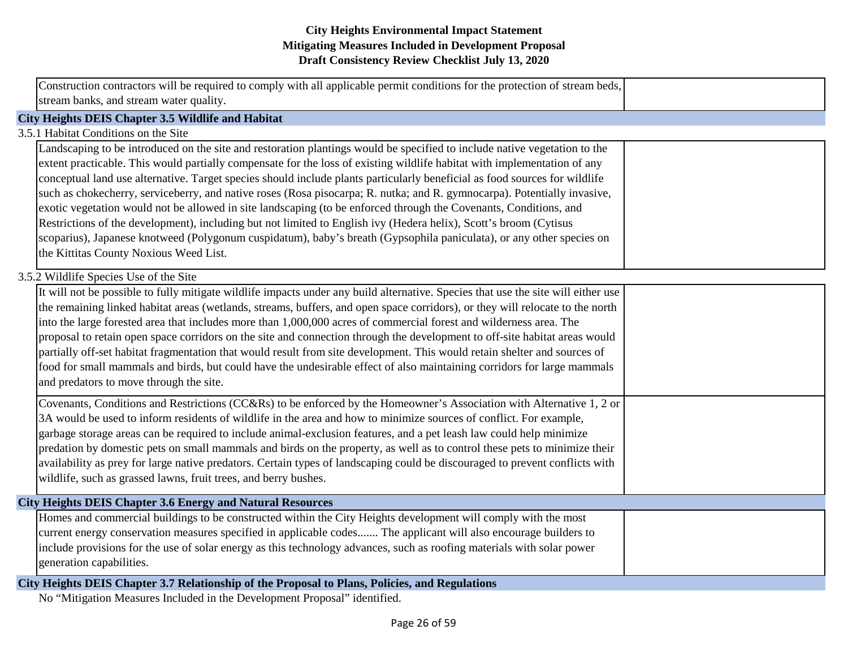| Construction contractors will be required to comply with all applicable permit conditions for the protection of stream beds,<br>stream banks, and stream water quality. |
|-------------------------------------------------------------------------------------------------------------------------------------------------------------------------|
| City Heights DEIS Chapter 3.5 Wildlife and Habitat                                                                                                                      |

### 3.5.1 Habitat Conditions on the Site

| Landscaping to be introduced on the site and restoration plantings would be specified to include native vegetation to the  |  |
|----------------------------------------------------------------------------------------------------------------------------|--|
| extent practicable. This would partially compensate for the loss of existing wildlife habitat with implementation of any   |  |
| conceptual land use alternative. Target species should include plants particularly beneficial as food sources for wildlife |  |
| such as chokecherry, serviceberry, and native roses (Rosa pisocarpa; R. nutka; and R. gymnocarpa). Potentially invasive,   |  |
| exotic vegetation would not be allowed in site landscaping (to be enforced through the Covenants, Conditions, and          |  |
| Restrictions of the development), including but not limited to English ivy (Hedera helix), Scott's broom (Cytisus          |  |
| scoparius), Japanese knotweed (Polygonum cuspidatum), baby's breath (Gypsophila paniculata), or any other species on       |  |
| the Kittitas County Noxious Weed List.                                                                                     |  |
|                                                                                                                            |  |

# 3.5.2 Wildlife Species Use of the Site

| It will not be possible to fully mitigate wildlife impacts under any build alternative. Species that use the site will either use |  |
|-----------------------------------------------------------------------------------------------------------------------------------|--|
| the remaining linked habitat areas (wetlands, streams, buffers, and open space corridors), or they will relocate to the north     |  |
| into the large forested area that includes more than 1,000,000 acres of commercial forest and wilderness area. The                |  |
| proposal to retain open space corridors on the site and connection through the development to off-site habitat areas would        |  |
| partially off-set habitat fragmentation that would result from site development. This would retain shelter and sources of         |  |
| food for small mammals and birds, but could have the undesirable effect of also maintaining corridors for large mammals           |  |
| and predators to move through the site.                                                                                           |  |
|                                                                                                                                   |  |
| Covenants, Conditions and Restrictions (CC&Rs) to be enforced by the Homeowner's Association with Alternative 1, 2 or             |  |
| 3A would be used to inform residents of wildlife in the area and how to minimize sources of conflict. For example,                |  |
| garbage storage areas can be required to include animal-exclusion features, and a pet leash law could help minimize               |  |
| predation by domestic pets on small mammals and birds on the property, as well as to control these pets to minimize their         |  |
| availability as prey for large native predators. Certain types of landscaping could be discouraged to prevent conflicts with      |  |
| wildlife, such as grassed lawns, fruit trees, and berry bushes.                                                                   |  |
|                                                                                                                                   |  |
| <b>City Heights DEIS Chapter 3.6 Energy and Natural Resources</b>                                                                 |  |
| Homes and commercial buildings to be constructed within the City Heights development will comply with the most                    |  |
| current energy conservation measures specified in applicable codes The applicant will also encourage builders to                  |  |
| include provisions for the use of solar energy as this technology advances, such as roofing materials with solar power            |  |
| generation capabilities.                                                                                                          |  |
| City Heights DEIS Chapter 3.7 Relationship of the Proposal to Plans, Policies, and Regulations                                    |  |

No "Mitigation Measures Included in the Development Proposal" identified.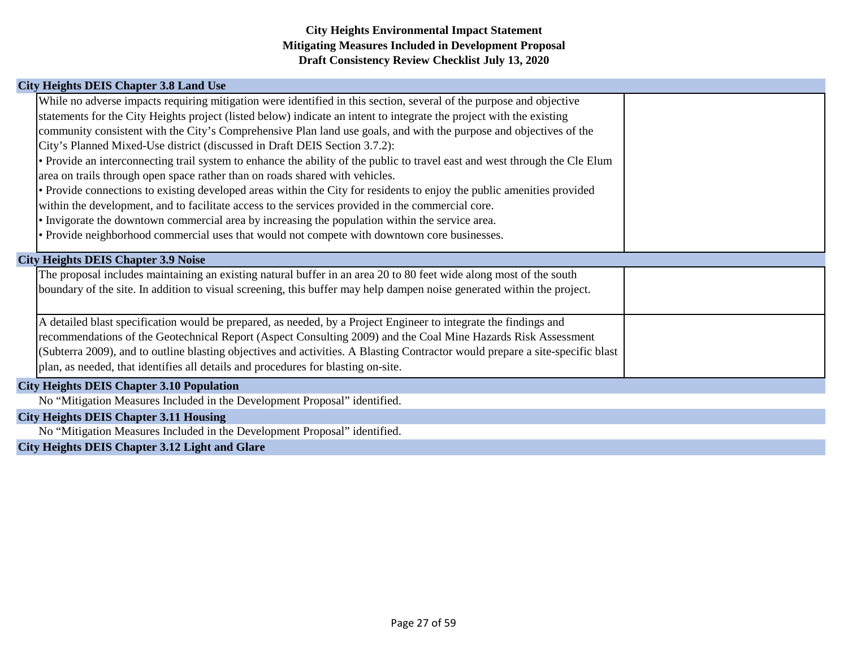# **City Heights DEIS Chapter 3.8 Land Use**

| While no adverse impacts requiring mitigation were identified in this section, several of the purpose and objective           |
|-------------------------------------------------------------------------------------------------------------------------------|
| statements for the City Heights project (listed below) indicate an intent to integrate the project with the existing          |
| community consistent with the City's Comprehensive Plan land use goals, and with the purpose and objectives of the            |
| City's Planned Mixed-Use district (discussed in Draft DEIS Section 3.7.2):                                                    |
| • Provide an interconnecting trail system to enhance the ability of the public to travel east and west through the Cle Elum   |
| area on trails through open space rather than on roads shared with vehicles.                                                  |
| • Provide connections to existing developed areas within the City for residents to enjoy the public amenities provided        |
| within the development, and to facilitate access to the services provided in the commercial core.                             |
| • Invigorate the downtown commercial area by increasing the population within the service area.                               |
| • Provide neighborhood commercial uses that would not compete with downtown core businesses.                                  |
|                                                                                                                               |
| <b>City Heights DEIS Chapter 3.9 Noise</b>                                                                                    |
| The proposal includes maintaining an existing natural buffer in an area 20 to 80 feet wide along most of the south            |
| boundary of the site. In addition to visual screening, this buffer may help dampen noise generated within the project.        |
|                                                                                                                               |
| A detailed blast specification would be prepared, as needed, by a Project Engineer to integrate the findings and              |
| recommendations of the Geotechnical Report (Aspect Consulting 2009) and the Coal Mine Hazards Risk Assessment                 |
| (Subterra 2009), and to outline blasting objectives and activities. A Blasting Contractor would prepare a site-specific blast |
| plan, as needed, that identifies all details and procedures for blasting on-site.                                             |
| <b>City Heights DEIS Chapter 3.10 Population</b>                                                                              |
| No "Mitigation Measures Included in the Development Proposal" identified.                                                     |
| <b>City Heights DEIS Chapter 3.11 Housing</b>                                                                                 |
| No "Mitigation Measures Included in the Development Proposal" identified.                                                     |
|                                                                                                                               |

**City Heights DEIS Chapter 3.12 Light and Glare**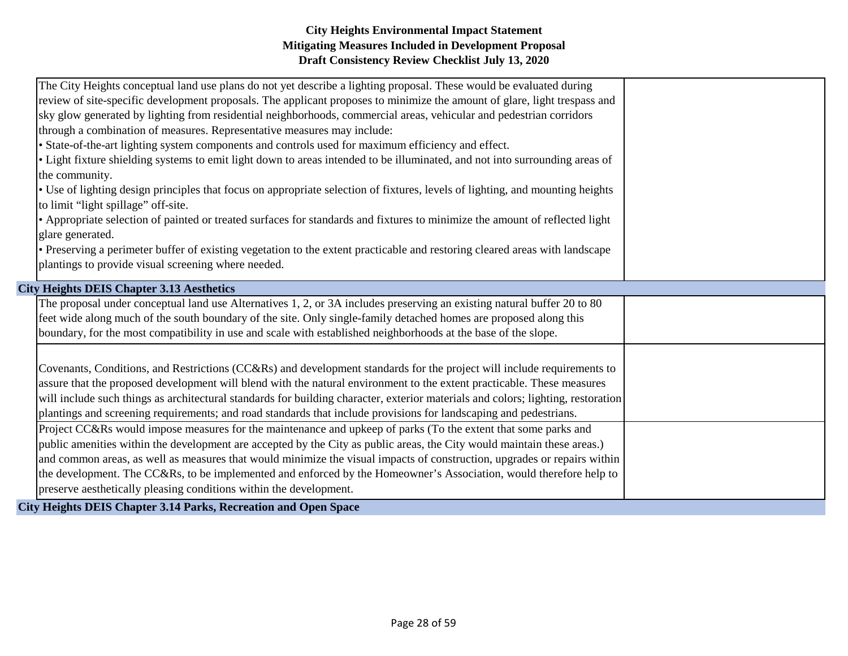| The City Heights conceptual land use plans do not yet describe a lighting proposal. These would be evaluated during              |  |
|----------------------------------------------------------------------------------------------------------------------------------|--|
| review of site-specific development proposals. The applicant proposes to minimize the amount of glare, light trespass and        |  |
| sky glow generated by lighting from residential neighborhoods, commercial areas, vehicular and pedestrian corridors              |  |
| through a combination of measures. Representative measures may include:                                                          |  |
| • State-of-the-art lighting system components and controls used for maximum efficiency and effect.                               |  |
| • Light fixture shielding systems to emit light down to areas intended to be illuminated, and not into surrounding areas of      |  |
| the community.                                                                                                                   |  |
| • Use of lighting design principles that focus on appropriate selection of fixtures, levels of lighting, and mounting heights    |  |
| to limit "light spillage" off-site.                                                                                              |  |
| • Appropriate selection of painted or treated surfaces for standards and fixtures to minimize the amount of reflected light      |  |
| glare generated.                                                                                                                 |  |
| • Preserving a perimeter buffer of existing vegetation to the extent practicable and restoring cleared areas with landscape      |  |
| plantings to provide visual screening where needed.                                                                              |  |
| <b>City Heights DEIS Chapter 3.13 Aesthetics</b>                                                                                 |  |
| The proposal under conceptual land use Alternatives 1, 2, or 3A includes preserving an existing natural buffer 20 to 80          |  |
| feet wide along much of the south boundary of the site. Only single-family detached homes are proposed along this                |  |
| boundary, for the most compatibility in use and scale with established neighborhoods at the base of the slope.                   |  |
|                                                                                                                                  |  |
| Covenants, Conditions, and Restrictions (CC&Rs) and development standards for the project will include requirements to           |  |
| assure that the proposed development will blend with the natural environment to the extent practicable. These measures           |  |
| will include such things as architectural standards for building character, exterior materials and colors; lighting, restoration |  |
| plantings and screening requirements; and road standards that include provisions for landscaping and pedestrians.                |  |
| Project CC&Rs would impose measures for the maintenance and upkeep of parks (To the extent that some parks and                   |  |
| public amenities within the development are accepted by the City as public areas, the City would maintain these areas.)          |  |
| and common areas, as well as measures that would minimize the visual impacts of construction, upgrades or repairs within         |  |
| the development. The CC&Rs, to be implemented and enforced by the Homeowner's Association, would therefore help to               |  |
|                                                                                                                                  |  |
| preserve aesthetically pleasing conditions within the development.                                                               |  |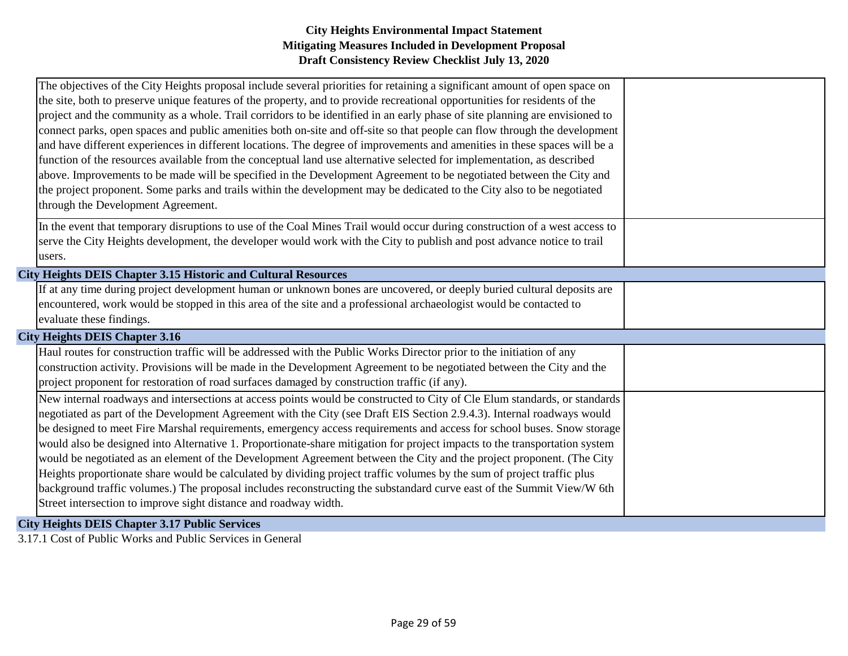| The objectives of the City Heights proposal include several priorities for retaining a significant amount of open space on                                                                                                                                                                                                         |  |
|------------------------------------------------------------------------------------------------------------------------------------------------------------------------------------------------------------------------------------------------------------------------------------------------------------------------------------|--|
| the site, both to preserve unique features of the property, and to provide recreational opportunities for residents of the                                                                                                                                                                                                         |  |
| project and the community as a whole. Trail corridors to be identified in an early phase of site planning are envisioned to                                                                                                                                                                                                        |  |
| connect parks, open spaces and public amenities both on-site and off-site so that people can flow through the development                                                                                                                                                                                                          |  |
| and have different experiences in different locations. The degree of improvements and amenities in these spaces will be a                                                                                                                                                                                                          |  |
| function of the resources available from the conceptual land use alternative selected for implementation, as described                                                                                                                                                                                                             |  |
| above. Improvements to be made will be specified in the Development Agreement to be negotiated between the City and                                                                                                                                                                                                                |  |
| the project proponent. Some parks and trails within the development may be dedicated to the City also to be negotiated                                                                                                                                                                                                             |  |
| through the Development Agreement.                                                                                                                                                                                                                                                                                                 |  |
|                                                                                                                                                                                                                                                                                                                                    |  |
| In the event that temporary disruptions to use of the Coal Mines Trail would occur during construction of a west access to                                                                                                                                                                                                         |  |
| serve the City Heights development, the developer would work with the City to publish and post advance notice to trail                                                                                                                                                                                                             |  |
| users.                                                                                                                                                                                                                                                                                                                             |  |
| <b>City Heights DEIS Chapter 3.15 Historic and Cultural Resources</b>                                                                                                                                                                                                                                                              |  |
| If at any time during project development human or unknown bones are uncovered, or deeply buried cultural deposits are                                                                                                                                                                                                             |  |
| encountered, work would be stopped in this area of the site and a professional archaeologist would be contacted to                                                                                                                                                                                                                 |  |
| evaluate these findings.                                                                                                                                                                                                                                                                                                           |  |
| <b>City Heights DEIS Chapter 3.16</b>                                                                                                                                                                                                                                                                                              |  |
| Haul routes for construction traffic will be addressed with the Public Works Director prior to the initiation of any                                                                                                                                                                                                               |  |
| construction activity. Provisions will be made in the Development Agreement to be negotiated between the City and the                                                                                                                                                                                                              |  |
| project proponent for restoration of road surfaces damaged by construction traffic (if any).                                                                                                                                                                                                                                       |  |
| New internal roadways and intersections at access points would be constructed to City of Cle Elum standards, or standards                                                                                                                                                                                                          |  |
| negotiated as part of the Development Agreement with the City (see Draft EIS Section 2.9.4.3). Internal roadways would                                                                                                                                                                                                             |  |
| be designed to meet Fire Marshal requirements, emergency access requirements and access for school buses. Snow storage                                                                                                                                                                                                             |  |
| would also be designed into Alternative 1. Proportionate-share mitigation for project impacts to the transportation system                                                                                                                                                                                                         |  |
| would be negotiated as an element of the Development Agreement between the City and the project proponent. (The City                                                                                                                                                                                                               |  |
| Heights proportionate share would be calculated by dividing project traffic volumes by the sum of project traffic plus                                                                                                                                                                                                             |  |
| background traffic volumes.) The proposal includes reconstructing the substandard curve east of the Summit View/W 6th                                                                                                                                                                                                              |  |
| Street intersection to improve sight distance and roadway width.                                                                                                                                                                                                                                                                   |  |
| $\mathbf{r}$ $\mathbf{r}$ $\mathbf{r}$ $\mathbf{r}$ $\mathbf{r}$ $\mathbf{r}$ $\mathbf{r}$ $\mathbf{r}$ $\mathbf{r}$ $\mathbf{r}$ $\mathbf{r}$ $\mathbf{r}$ $\mathbf{r}$ $\mathbf{r}$ $\mathbf{r}$ $\mathbf{r}$ $\mathbf{r}$ $\mathbf{r}$ $\mathbf{r}$ $\mathbf{r}$ $\mathbf{r}$ $\mathbf{r}$ $\mathbf{r}$ $\mathbf{r}$ $\mathbf{$ |  |

# **City Heights DEIS Chapter 3.17 Public Services**

3.17.1 Cost of Public Works and Public Services in General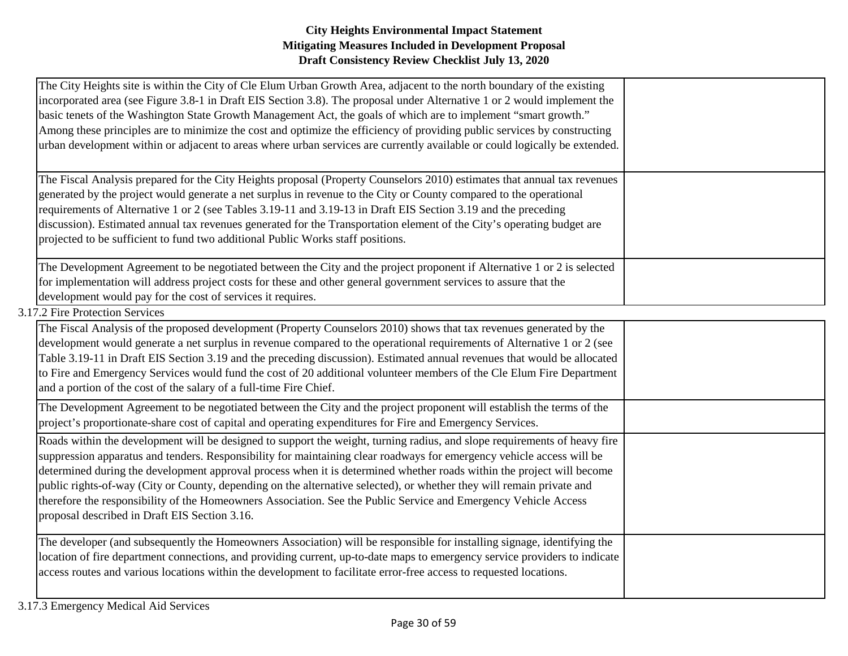| The City Heights site is within the City of Cle Elum Urban Growth Area, adjacent to the north boundary of the existing<br>incorporated area (see Figure 3.8-1 in Draft EIS Section 3.8). The proposal under Alternative 1 or 2 would implement the<br>basic tenets of the Washington State Growth Management Act, the goals of which are to implement "smart growth."<br>Among these principles are to minimize the cost and optimize the efficiency of providing public services by constructing<br>urban development within or adjacent to areas where urban services are currently available or could logically be extended.                                          |  |
|--------------------------------------------------------------------------------------------------------------------------------------------------------------------------------------------------------------------------------------------------------------------------------------------------------------------------------------------------------------------------------------------------------------------------------------------------------------------------------------------------------------------------------------------------------------------------------------------------------------------------------------------------------------------------|--|
| The Fiscal Analysis prepared for the City Heights proposal (Property Counselors 2010) estimates that annual tax revenues<br>generated by the project would generate a net surplus in revenue to the City or County compared to the operational<br>requirements of Alternative 1 or 2 (see Tables 3.19-11 and 3.19-13 in Draft EIS Section 3.19 and the preceding<br>discussion). Estimated annual tax revenues generated for the Transportation element of the City's operating budget are<br>projected to be sufficient to fund two additional Public Works staff positions.                                                                                            |  |
| The Development Agreement to be negotiated between the City and the project proponent if Alternative 1 or 2 is selected<br>for implementation will address project costs for these and other general government services to assure that the<br>development would pay for the cost of services it requires.                                                                                                                                                                                                                                                                                                                                                               |  |
| 3.17.2 Fire Protection Services                                                                                                                                                                                                                                                                                                                                                                                                                                                                                                                                                                                                                                          |  |
| The Fiscal Analysis of the proposed development (Property Counselors 2010) shows that tax revenues generated by the<br>development would generate a net surplus in revenue compared to the operational requirements of Alternative 1 or 2 (see<br>Table 3.19-11 in Draft EIS Section 3.19 and the preceding discussion). Estimated annual revenues that would be allocated<br>to Fire and Emergency Services would fund the cost of 20 additional volunteer members of the Cle Elum Fire Department<br>and a portion of the cost of the salary of a full-time Fire Chief.                                                                                                |  |
| The Development Agreement to be negotiated between the City and the project proponent will establish the terms of the<br>project's proportionate-share cost of capital and operating expenditures for Fire and Emergency Services.                                                                                                                                                                                                                                                                                                                                                                                                                                       |  |
| Roads within the development will be designed to support the weight, turning radius, and slope requirements of heavy fire<br>suppression apparatus and tenders. Responsibility for maintaining clear roadways for emergency vehicle access will be<br>determined during the development approval process when it is determined whether roads within the project will become<br>public rights-of-way (City or County, depending on the alternative selected), or whether they will remain private and<br>therefore the responsibility of the Homeowners Association. See the Public Service and Emergency Vehicle Access<br>proposal described in Draft EIS Section 3.16. |  |
| The developer (and subsequently the Homeowners Association) will be responsible for installing signage, identifying the<br>location of fire department connections, and providing current, up-to-date maps to emergency service providers to indicate<br>access routes and various locations within the development to facilitate error-free access to requested locations.                                                                                                                                                                                                                                                                                              |  |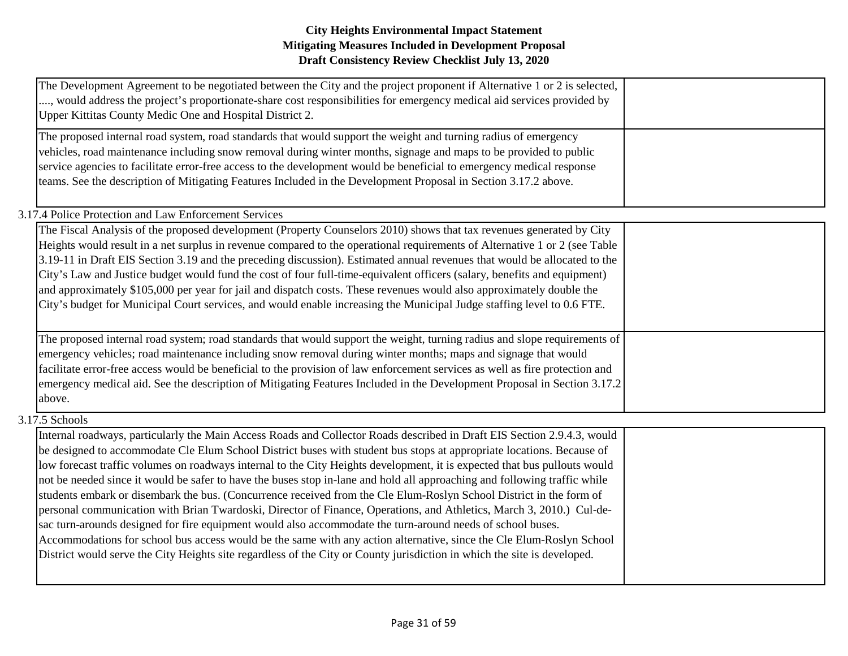| The Development Agreement to be negotiated between the City and the project proponent if Alternative 1 or 2 is selected,<br>, would address the project's proportionate-share cost responsibilities for emergency medical aid services provided by<br>Upper Kittitas County Medic One and Hospital District 2.                                                                                                                                                                                                                                                                                                                                                                                                                                                |  |
|---------------------------------------------------------------------------------------------------------------------------------------------------------------------------------------------------------------------------------------------------------------------------------------------------------------------------------------------------------------------------------------------------------------------------------------------------------------------------------------------------------------------------------------------------------------------------------------------------------------------------------------------------------------------------------------------------------------------------------------------------------------|--|
| The proposed internal road system, road standards that would support the weight and turning radius of emergency<br>vehicles, road maintenance including snow removal during winter months, signage and maps to be provided to public<br>service agencies to facilitate error-free access to the development would be beneficial to emergency medical response<br>teams. See the description of Mitigating Features Included in the Development Proposal in Section 3.17.2 above.                                                                                                                                                                                                                                                                              |  |
| 3.17.4 Police Protection and Law Enforcement Services                                                                                                                                                                                                                                                                                                                                                                                                                                                                                                                                                                                                                                                                                                         |  |
| The Fiscal Analysis of the proposed development (Property Counselors 2010) shows that tax revenues generated by City<br>Heights would result in a net surplus in revenue compared to the operational requirements of Alternative 1 or 2 (see Table<br>3.19-11 in Draft EIS Section 3.19 and the preceding discussion). Estimated annual revenues that would be allocated to the<br>City's Law and Justice budget would fund the cost of four full-time-equivalent officers (salary, benefits and equipment)<br>and approximately \$105,000 per year for jail and dispatch costs. These revenues would also approximately double the<br>City's budget for Municipal Court services, and would enable increasing the Municipal Judge staffing level to 0.6 FTE. |  |
| The proposed internal road system; road standards that would support the weight, turning radius and slope requirements of<br>emergency vehicles; road maintenance including snow removal during winter months; maps and signage that would<br>facilitate error-free access would be beneficial to the provision of law enforcement services as well as fire protection and<br>emergency medical aid. See the description of Mitigating Features Included in the Development Proposal in Section 3.17.2<br>above.                                                                                                                                                                                                                                              |  |
| 3.17.5 Schools                                                                                                                                                                                                                                                                                                                                                                                                                                                                                                                                                                                                                                                                                                                                                |  |
| Internal readways, pertiaularly the Main Agence Reads and Collector Reads described in Droft EIS Section 2012 would                                                                                                                                                                                                                                                                                                                                                                                                                                                                                                                                                                                                                                           |  |

| Internal roadways, particularly the Main Access Roads and Collector Roads described in Draft EIS Section 2.9.4.3, would   |
|---------------------------------------------------------------------------------------------------------------------------|
| be designed to accommodate Cle Elum School District buses with student bus stops at appropriate locations. Because of     |
| low forecast traffic volumes on roadways internal to the City Heights development, it is expected that bus pullouts would |
| not be needed since it would be safer to have the buses stop in-lane and hold all approaching and following traffic while |
| students embark or disembark the bus. (Concurrence received from the Cle Elum-Roslyn School District in the form of       |
| personal communication with Brian Twardoski, Director of Finance, Operations, and Athletics, March 3, 2010.) Cul-de-      |
| sac turn-arounds designed for fire equipment would also accommodate the turn-around needs of school buses.                |
| Accommodations for school bus access would be the same with any action alternative, since the Cle Elum-Roslyn School      |
| District would serve the City Heights site regardless of the City or County jurisdiction in which the site is developed.  |
|                                                                                                                           |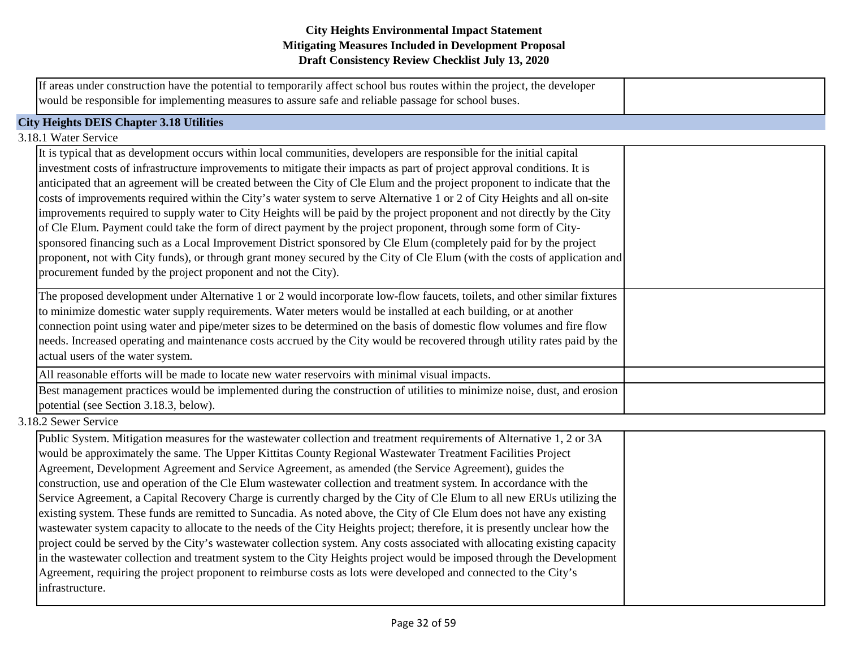| If areas under construction have the potential to temporarily affect school bus routes within the project, the developer<br>would be responsible for implementing measures to assure safe and reliable passage for school buses. |  |
|----------------------------------------------------------------------------------------------------------------------------------------------------------------------------------------------------------------------------------|--|
| <b>City Heights DEIS Chapter 3.18 Utilities</b>                                                                                                                                                                                  |  |

# 3.18.1 Water Service

| It is typical that as development occurs within local communities, developers are responsible for the initial capital      |  |
|----------------------------------------------------------------------------------------------------------------------------|--|
| investment costs of infrastructure improvements to mitigate their impacts as part of project approval conditions. It is    |  |
| anticipated that an agreement will be created between the City of Cle Elum and the project proponent to indicate that the  |  |
| costs of improvements required within the City's water system to serve Alternative 1 or 2 of City Heights and all on-site  |  |
| improvements required to supply water to City Heights will be paid by the project proponent and not directly by the City   |  |
| of Cle Elum. Payment could take the form of direct payment by the project proponent, through some form of City-            |  |
| sponsored financing such as a Local Improvement District sponsored by Cle Elum (completely paid for by the project         |  |
| proponent, not with City funds), or through grant money secured by the City of Cle Elum (with the costs of application and |  |
| procurement funded by the project proponent and not the City).                                                             |  |
| The proposed development under Alternative 1 or 2 would incorporate low-flow faucets, toilets, and other similar fixtures  |  |
| to minimize domestic water supply requirements. Water meters would be installed at each building, or at another            |  |
| connection point using water and pipe/meter sizes to be determined on the basis of domestic flow volumes and fire flow     |  |
| needs. Increased operating and maintenance costs accrued by the City would be recovered through utility rates paid by the  |  |
| actual users of the water system.                                                                                          |  |
| All reasonable efforts will be made to locate new water reservoirs with minimal visual impacts.                            |  |
| Best management practices would be implemented during the construction of utilities to minimize noise, dust, and erosion   |  |
| potential (see Section 3.18.3, below).                                                                                     |  |

# 3.18.2 Sewer Service

| Public System. Mitigation measures for the wastewater collection and treatment requirements of Alternative 1, 2 or 3A        |
|------------------------------------------------------------------------------------------------------------------------------|
| would be approximately the same. The Upper Kittitas County Regional Wastewater Treatment Facilities Project                  |
| Agreement, Development Agreement and Service Agreement, as amended (the Service Agreement), guides the                       |
| construction, use and operation of the Cle Elum wastewater collection and treatment system. In accordance with the           |
| Service Agreement, a Capital Recovery Charge is currently charged by the City of Cle Elum to all new ERUs utilizing the      |
| existing system. These funds are remitted to Suncadia. As noted above, the City of Cle Elum does not have any existing       |
| was tewater system capacity to allocate to the needs of the City Heights project; therefore, it is presently unclear how the |
| project could be served by the City's wastewater collection system. Any costs associated with allocating existing capacity   |
| in the wastewater collection and treatment system to the City Heights project would be imposed through the Development       |
| Agreement, requiring the project proponent to reimburse costs as lots were developed and connected to the City's             |
| infrastructure.                                                                                                              |
|                                                                                                                              |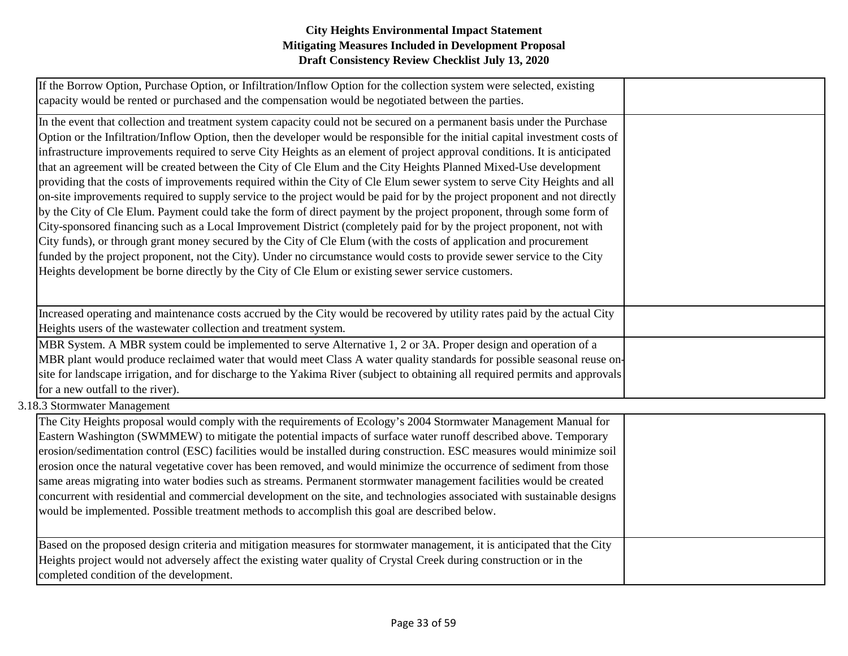| If the Borrow Option, Purchase Option, or Infiltration/Inflow Option for the collection system were selected, existing<br>capacity would be rented or purchased and the compensation would be negotiated between the parties.                                                                                                                                                                                                                                                                                                                                                                                                                                                                                                                                                                                                                                                                                                                                                                                                                                                                                                                                                                                                                                                                                                                                                 |  |
|-------------------------------------------------------------------------------------------------------------------------------------------------------------------------------------------------------------------------------------------------------------------------------------------------------------------------------------------------------------------------------------------------------------------------------------------------------------------------------------------------------------------------------------------------------------------------------------------------------------------------------------------------------------------------------------------------------------------------------------------------------------------------------------------------------------------------------------------------------------------------------------------------------------------------------------------------------------------------------------------------------------------------------------------------------------------------------------------------------------------------------------------------------------------------------------------------------------------------------------------------------------------------------------------------------------------------------------------------------------------------------|--|
| In the event that collection and treatment system capacity could not be secured on a permanent basis under the Purchase<br>Option or the Infiltration/Inflow Option, then the developer would be responsible for the initial capital investment costs of<br>infrastructure improvements required to serve City Heights as an element of project approval conditions. It is anticipated<br>that an agreement will be created between the City of Cle Elum and the City Heights Planned Mixed-Use development<br>providing that the costs of improvements required within the City of Cle Elum sewer system to serve City Heights and all<br>on-site improvements required to supply service to the project would be paid for by the project proponent and not directly<br>by the City of Cle Elum. Payment could take the form of direct payment by the project proponent, through some form of<br>City-sponsored financing such as a Local Improvement District (completely paid for by the project proponent, not with<br>City funds), or through grant money secured by the City of Cle Elum (with the costs of application and procurement<br>funded by the project proponent, not the City). Under no circumstance would costs to provide sewer service to the City<br>Heights development be borne directly by the City of Cle Elum or existing sewer service customers. |  |
| Increased operating and maintenance costs accrued by the City would be recovered by utility rates paid by the actual City<br>Heights users of the wastewater collection and treatment system.                                                                                                                                                                                                                                                                                                                                                                                                                                                                                                                                                                                                                                                                                                                                                                                                                                                                                                                                                                                                                                                                                                                                                                                 |  |
| MBR System. A MBR system could be implemented to serve Alternative 1, 2 or 3A. Proper design and operation of a<br>MBR plant would produce reclaimed water that would meet Class A water quality standards for possible seasonal reuse on-<br>site for landscape irrigation, and for discharge to the Yakima River (subject to obtaining all required permits and approvals<br>for a new outfall to the river).                                                                                                                                                                                                                                                                                                                                                                                                                                                                                                                                                                                                                                                                                                                                                                                                                                                                                                                                                               |  |
| 3.18.3 Stormwater Management                                                                                                                                                                                                                                                                                                                                                                                                                                                                                                                                                                                                                                                                                                                                                                                                                                                                                                                                                                                                                                                                                                                                                                                                                                                                                                                                                  |  |
| The City Heights proposal would comply with the requirements of Ecology's 2004 Stormwater Management Manual for<br>Eastern Washington (SWMMEW) to mitigate the potential impacts of surface water runoff described above. Temporary                                                                                                                                                                                                                                                                                                                                                                                                                                                                                                                                                                                                                                                                                                                                                                                                                                                                                                                                                                                                                                                                                                                                           |  |

| erosion/sedimentation control (ESC) facilities would be installed during construction. ESC measures would minimize soil  |
|--------------------------------------------------------------------------------------------------------------------------|
| erosion once the natural vegetative cover has been removed, and would minimize the occurrence of sediment from those     |
| same areas migrating into water bodies such as streams. Permanent stormwater management facilities would be created      |
| concurrent with residential and commercial development on the site, and technologies associated with sustainable designs |
| would be implemented. Possible treatment methods to accomplish this goal are described below.                            |
|                                                                                                                          |
| Based on the proposed design criteria and mitigation measures for stormwater management, it is anticipated that the City |
|                                                                                                                          |
| Heights project would not adversely affect the existing water quality of Crystal Creek during construction or in the     |
| completed condition of the development.                                                                                  |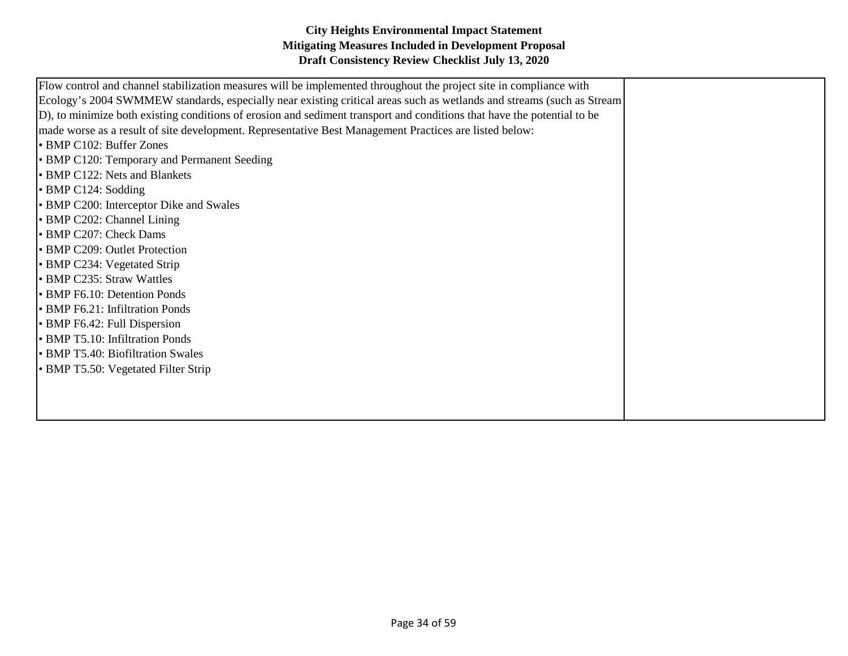| Flow control and channel stabilization measures will be implemented throughout the project site in compliance with      |  |
|-------------------------------------------------------------------------------------------------------------------------|--|
| Ecology's 2004 SWMMEW standards, especially near existing critical areas such as wetlands and streams (such as Stream)  |  |
| D), to minimize both existing conditions of erosion and sediment transport and conditions that have the potential to be |  |
| made worse as a result of site development. Representative Best Management Practices are listed below:                  |  |
| • BMP C102: Buffer Zones                                                                                                |  |
| • BMP C120: Temporary and Permanent Seeding                                                                             |  |
| • BMP C122: Nets and Blankets                                                                                           |  |
| $\cdot$ BMP C124: Sodding                                                                                               |  |
| • BMP C200: Interceptor Dike and Swales                                                                                 |  |
| • BMP C202: Channel Lining                                                                                              |  |
| • BMP C207: Check Dams                                                                                                  |  |
| • BMP C209: Outlet Protection                                                                                           |  |
| • BMP C234: Vegetated Strip                                                                                             |  |
| • BMP C235: Straw Wattles                                                                                               |  |
| • BMP F6.10: Detention Ponds                                                                                            |  |
| • BMP F6.21: Infiltration Ponds                                                                                         |  |
| • BMP F6.42: Full Dispersion                                                                                            |  |
| • BMP T5.10: Infiltration Ponds                                                                                         |  |
| • BMP T5.40: Biofiltration Swales                                                                                       |  |
| • BMP T5.50: Vegetated Filter Strip                                                                                     |  |
|                                                                                                                         |  |
|                                                                                                                         |  |
|                                                                                                                         |  |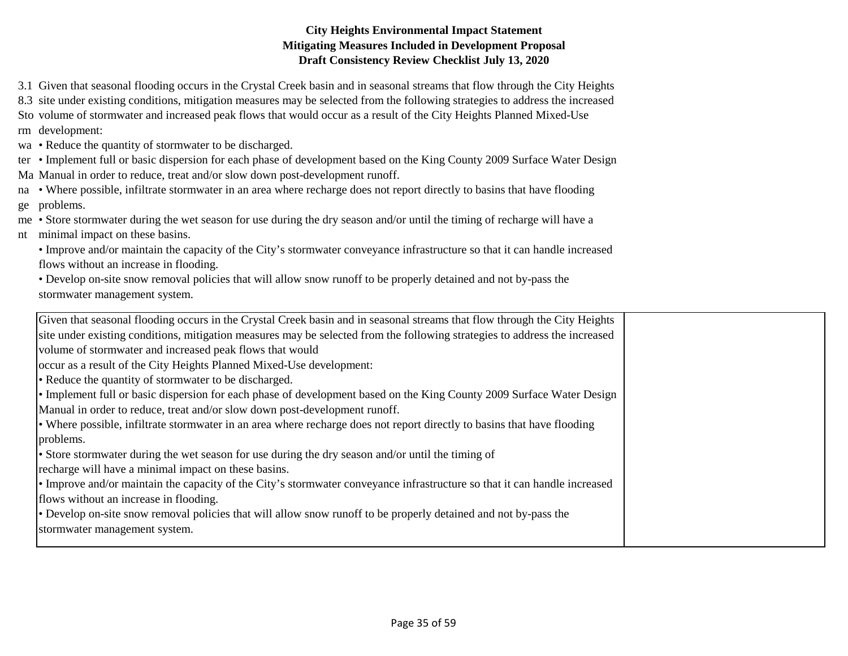3.1 Given that seasonal flooding occurs in the Crystal Creek basin and in seasonal streams that flow through the City Heights

8.3 site under existing conditions, mitigation measures may be selected from the following strategies to address the increased Sto volume of stormwater and increased peak flows that would occur as a result of the City Heights Planned Mixed-Use rm development:

- wa Reduce the quantity of stormwater to be discharged.
- ter Implement full or basic dispersion for each phase of development based on the King County 2009 Surface Water Design
- Ma Manual in order to reduce, treat and/or slow down post-development runoff.
- na Where possible, infiltrate stormwater in an area where recharge does not report directly to basins that have flooding ge problems.
- me Store stormwater during the wet season for use during the dry season and/or until the timing of recharge will have a
- nt minimal impact on these basins.
	- Improve and/or maintain the capacity of the City's stormwater conveyance infrastructure so that it can handle increased flows without an increase in flooding.
	- Develop on-site snow removal policies that will allow snow runoff to be properly detained and not by-pass the stormwater management system.

| Given that seasonal flooding occurs in the Crystal Creek basin and in seasonal streams that flow through the City Heights  |  |
|----------------------------------------------------------------------------------------------------------------------------|--|
| site under existing conditions, mitigation measures may be selected from the following strategies to address the increased |  |
| volume of stormwater and increased peak flows that would                                                                   |  |
| occur as a result of the City Heights Planned Mixed-Use development:                                                       |  |
| • Reduce the quantity of stormwater to be discharged.                                                                      |  |
| • Implement full or basic dispersion for each phase of development based on the King County 2009 Surface Water Design      |  |
| Manual in order to reduce, treat and/or slow down post-development runoff.                                                 |  |
| • Where possible, infiltrate stormwater in an area where recharge does not report directly to basins that have flooding    |  |
| problems.                                                                                                                  |  |
| Store stormwater during the wet season for use during the dry season and/or until the timing of                            |  |
| recharge will have a minimal impact on these basins.                                                                       |  |
| • Improve and/or maintain the capacity of the City's stormwater conveyance infrastructure so that it can handle increased  |  |
| flows without an increase in flooding.                                                                                     |  |
| • Develop on-site snow removal policies that will allow snow runoff to be properly detained and not by-pass the            |  |
| stormwater management system.                                                                                              |  |
|                                                                                                                            |  |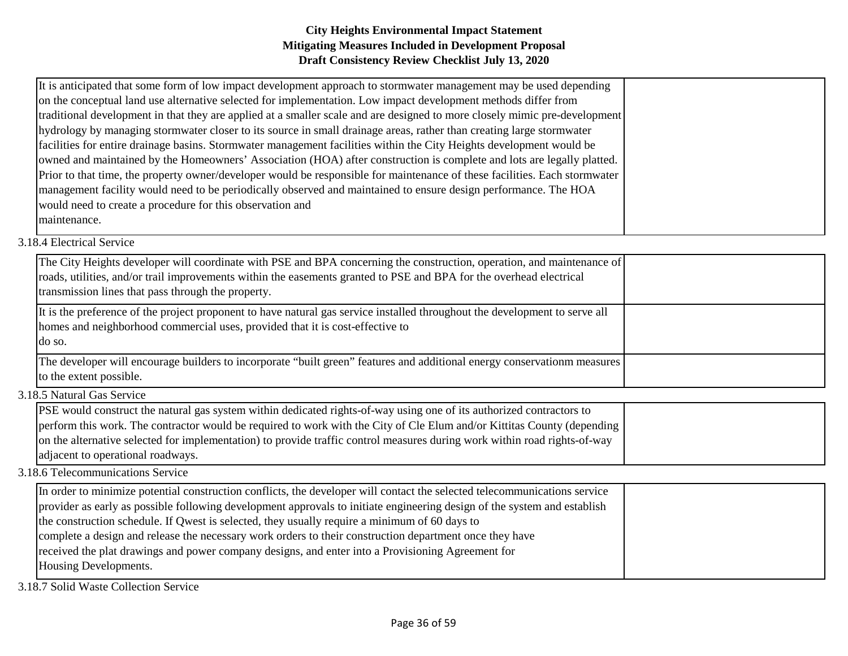| It is anticipated that some form of low impact development approach to stormwater management may be used depending         |
|----------------------------------------------------------------------------------------------------------------------------|
| on the conceptual land use alternative selected for implementation. Low impact development methods differ from             |
| traditional development in that they are applied at a smaller scale and are designed to more closely mimic pre-development |
| hydrology by managing stormwater closer to its source in small drainage areas, rather than creating large stormwater       |
| facilities for entire drainage basins. Stormwater management facilities within the City Heights development would be       |
| owned and maintained by the Homeowners' Association (HOA) after construction is complete and lots are legally platted.     |
| Prior to that time, the property owner/developer would be responsible for maintenance of these facilities. Each stormwater |
| management facility would need to be periodically observed and maintained to ensure design performance. The HOA            |
| would need to create a procedure for this observation and                                                                  |
| maintenance.                                                                                                               |
|                                                                                                                            |

# 3.18.4 Electrical Service

| The City Heights developer will coordinate with PSE and BPA concerning the construction, operation, and maintenance of      |  |
|-----------------------------------------------------------------------------------------------------------------------------|--|
| roads, utilities, and/or trail improvements within the easements granted to PSE and BPA for the overhead electrical         |  |
| transmission lines that pass through the property.                                                                          |  |
| It is the preference of the project proponent to have natural gas service installed throughout the development to serve all |  |
| homes and neighborhood commercial uses, provided that it is cost-effective to                                               |  |
| do so.                                                                                                                      |  |
| The developer will encourage builders to incorporate "built green" features and additional energy conservationm measures    |  |
| to the extent possible.                                                                                                     |  |

3.18.5 Natural Gas Service

| <b>PSE</b> would construct the natural gas system within dedicated rights-of-way using one of its authorized contractors to |  |
|-----------------------------------------------------------------------------------------------------------------------------|--|
| perform this work. The contractor would be required to work with the City of Cle Elum and/or Kittitas County (depending)    |  |
| on the alternative selected for implementation) to provide traffic control measures during work within road rights-of-way   |  |
| adjacent to operational roadways.                                                                                           |  |

### 3.18.6 Telecommunications Service

| In order to minimize potential construction conflicts, the developer will contact the selected telecommunications service |  |  |  |  |  |  |  |  |  |  |  |  |  |  |  |  |  |  |  |  |  |  |  |  |  |  |  |  |  |  |  |  |  |
|---------------------------------------------------------------------------------------------------------------------------|--|--|--|--|--|--|--|--|--|--|--|--|--|--|--|--|--|--|--|--|--|--|--|--|--|--|--|--|--|--|--|--|--|
| provider as early as possible following development approvals to initiate engineering design of the system and establish  |  |  |  |  |  |  |  |  |  |  |  |  |  |  |  |  |  |  |  |  |  |  |  |  |  |  |  |  |  |  |  |  |  |
| the construction schedule. If Qwest is selected, they usually require a minimum of 60 days to                             |  |  |  |  |  |  |  |  |  |  |  |  |  |  |  |  |  |  |  |  |  |  |  |  |  |  |  |  |  |  |  |  |  |
| complete a design and release the necessary work orders to their construction department once they have                   |  |  |  |  |  |  |  |  |  |  |  |  |  |  |  |  |  |  |  |  |  |  |  |  |  |  |  |  |  |  |  |  |  |
| received the plat drawings and power company designs, and enter into a Provisioning Agreement for                         |  |  |  |  |  |  |  |  |  |  |  |  |  |  |  |  |  |  |  |  |  |  |  |  |  |  |  |  |  |  |  |  |  |
| Housing Developments.                                                                                                     |  |  |  |  |  |  |  |  |  |  |  |  |  |  |  |  |  |  |  |  |  |  |  |  |  |  |  |  |  |  |  |  |  |
|                                                                                                                           |  |  |  |  |  |  |  |  |  |  |  |  |  |  |  |  |  |  |  |  |  |  |  |  |  |  |  |  |  |  |  |  |  |

3.18.7 Solid Waste Collection Service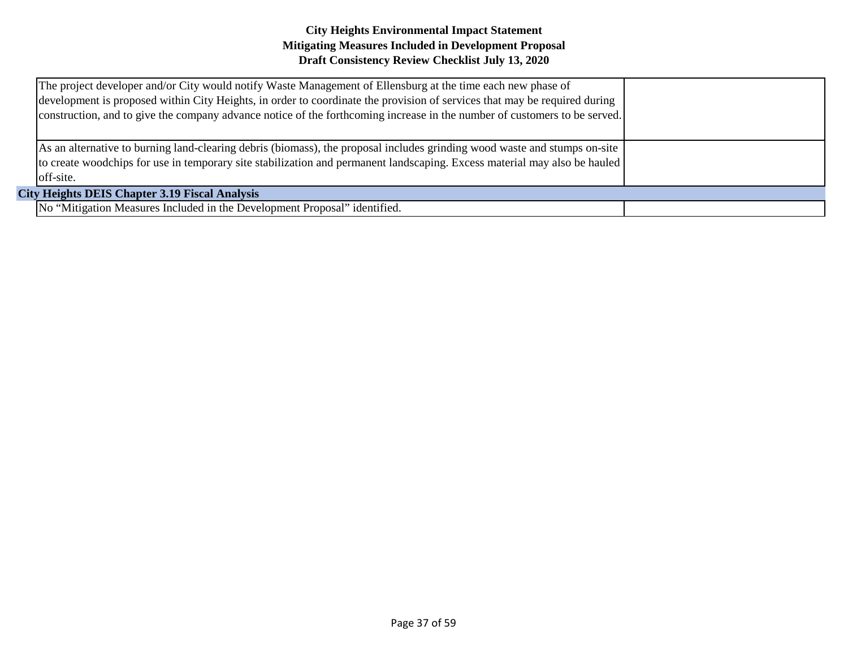| The project developer and/or City would notify Waste Management of Ellensburg at the time each new phase of<br>development is proposed within City Heights, in order to coordinate the provision of services that may be required during<br>construction, and to give the company advance notice of the forthcoming increase in the number of customers to be served. |  |
|-----------------------------------------------------------------------------------------------------------------------------------------------------------------------------------------------------------------------------------------------------------------------------------------------------------------------------------------------------------------------|--|
| As an alternative to burning land-clearing debris (biomass), the proposal includes grinding wood waste and stumps on-site<br>to create woodchips for use in temporary site stabilization and permanent landscaping. Excess material may also be hauled<br>off-site.                                                                                                   |  |
| <b>City Heights DEIS Chapter 3.19 Fiscal Analysis</b>                                                                                                                                                                                                                                                                                                                 |  |
| No "Mitigation Measures Included in the Development Proposal" identified.                                                                                                                                                                                                                                                                                             |  |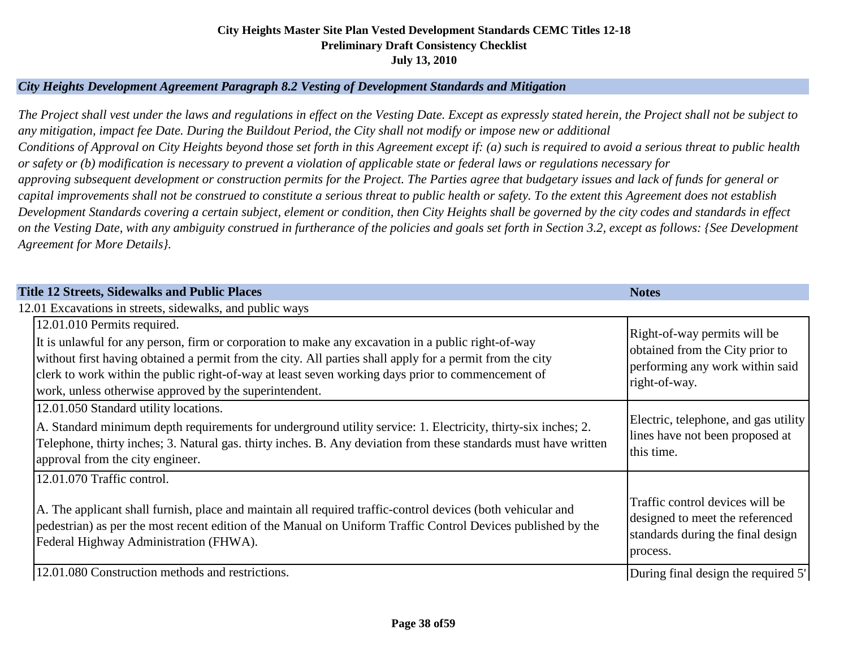#### *City Heights Development Agreement Paragraph 8.2 Vesting of Development Standards and Mitigation*

*The Project shall vest under the laws and regulations in effect on the Vesting Date. Except as expressly stated herein, the Project shall not be subject to any mitigation, impact fee Date. During the Buildout Period, the City shall not modify or impose new or additional Conditions of Approval on City Heights beyond those set forth in this Agreement except if: (a) such is required to avoid a serious threat to public health or safety or (b) modification is necessary to prevent a violation of applicable state or federal laws or regulations necessary for approving subsequent development or construction permits for the Project. The Parties agree that budgetary issues and lack of funds for general or capital improvements shall not be construed to constitute a serious threat to public health or safety. To the extent this Agreement does not establish Development Standards covering a certain subject, element or condition, then City Heights shall be governed by the city codes and standards in effect on the Vesting Date, with any ambiguity construed in furtherance of the policies and goals set forth in Section 3.2, except as follows: {See Development Agreement for More Details}.*

| <b>Title 12 Streets, Sidewalks and Public Places</b>                                                                                                                                                                                                                                                                                                                                                         | <b>Notes</b>                                                                                                        |
|--------------------------------------------------------------------------------------------------------------------------------------------------------------------------------------------------------------------------------------------------------------------------------------------------------------------------------------------------------------------------------------------------------------|---------------------------------------------------------------------------------------------------------------------|
| 12.01 Excavations in streets, sidewalks, and public ways                                                                                                                                                                                                                                                                                                                                                     |                                                                                                                     |
| 12.01.010 Permits required.<br>It is unlawful for any person, firm or corporation to make any excavation in a public right-of-way<br>without first having obtained a permit from the city. All parties shall apply for a permit from the city<br>clerk to work within the public right-of-way at least seven working days prior to commencement of<br>work, unless otherwise approved by the superintendent. | Right-of-way permits will be<br>obtained from the City prior to<br>performing any work within said<br>right-of-way. |
| 12.01.050 Standard utility locations.<br>A. Standard minimum depth requirements for underground utility service: 1. Electricity, thirty-six inches; 2.<br>Telephone, thirty inches; 3. Natural gas. thirty inches. B. Any deviation from these standards must have written<br>approval from the city engineer.                                                                                               | Electric, telephone, and gas utility<br>lines have not been proposed at<br>this time.                               |
| 12.01.070 Traffic control.<br>A. The applicant shall furnish, place and maintain all required traffic-control devices (both vehicular and<br>pedestrian) as per the most recent edition of the Manual on Uniform Traffic Control Devices published by the<br>Federal Highway Administration (FHWA).                                                                                                          | Traffic control devices will be<br>designed to meet the referenced<br>standards during the final design<br>process. |
| 12.01.080 Construction methods and restrictions.                                                                                                                                                                                                                                                                                                                                                             | During final design the required 5'                                                                                 |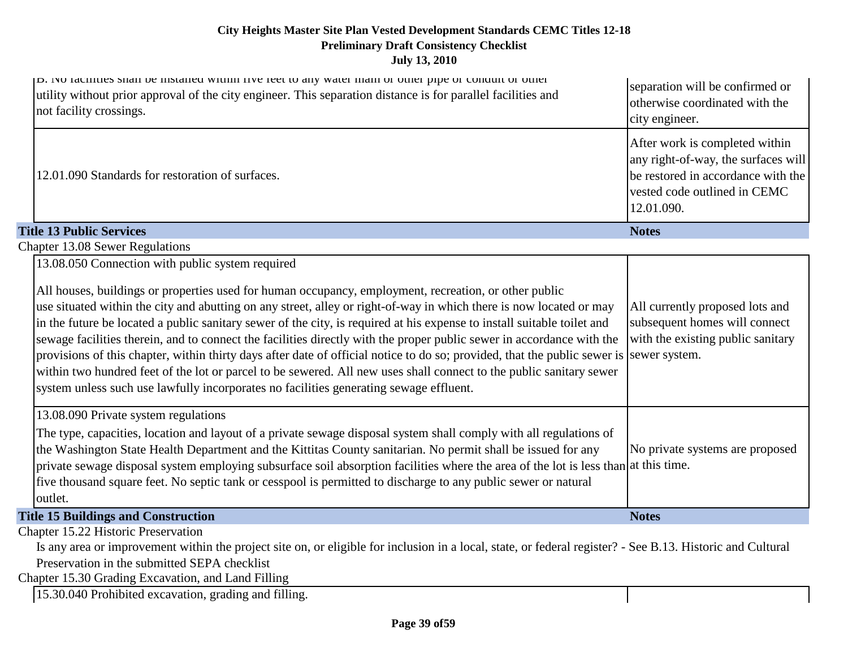| p. ivo racinties snan de instancu within five feet to any water main or other pipe or contunt or other<br>utility without prior approval of the city engineer. This separation distance is for parallel facilities and<br>not facility crossings.                                                                                                                                                                                                                                                                                                                                                                                                                                                                                                                                                                                                                                  | separation will be confirmed or<br>otherwise coordinated with the<br>city engineer.                                                                       |
|------------------------------------------------------------------------------------------------------------------------------------------------------------------------------------------------------------------------------------------------------------------------------------------------------------------------------------------------------------------------------------------------------------------------------------------------------------------------------------------------------------------------------------------------------------------------------------------------------------------------------------------------------------------------------------------------------------------------------------------------------------------------------------------------------------------------------------------------------------------------------------|-----------------------------------------------------------------------------------------------------------------------------------------------------------|
| 12.01.090 Standards for restoration of surfaces.                                                                                                                                                                                                                                                                                                                                                                                                                                                                                                                                                                                                                                                                                                                                                                                                                                   | After work is completed within<br>any right-of-way, the surfaces will<br>be restored in accordance with the<br>vested code outlined in CEMC<br>12.01.090. |
| <b>Title 13 Public Services</b>                                                                                                                                                                                                                                                                                                                                                                                                                                                                                                                                                                                                                                                                                                                                                                                                                                                    | <b>Notes</b>                                                                                                                                              |
| <b>Chapter 13.08 Sewer Regulations</b>                                                                                                                                                                                                                                                                                                                                                                                                                                                                                                                                                                                                                                                                                                                                                                                                                                             |                                                                                                                                                           |
| 13.08.050 Connection with public system required<br>All houses, buildings or properties used for human occupancy, employment, recreation, or other public<br>use situated within the city and abutting on any street, alley or right-of-way in which there is now located or may<br>in the future be located a public sanitary sewer of the city, is required at his expense to install suitable toilet and<br>sewage facilities therein, and to connect the facilities directly with the proper public sewer in accordance with the<br>provisions of this chapter, within thirty days after date of official notice to do so; provided, that the public sewer is<br>within two hundred feet of the lot or parcel to be sewered. All new uses shall connect to the public sanitary sewer<br>system unless such use lawfully incorporates no facilities generating sewage effluent. | All currently proposed lots and<br>subsequent homes will connect<br>with the existing public sanitary<br>sewer system.                                    |
| 13.08.090 Private system regulations<br>The type, capacities, location and layout of a private sewage disposal system shall comply with all regulations of<br>the Washington State Health Department and the Kittitas County sanitarian. No permit shall be issued for any<br>private sewage disposal system employing subsurface soil absorption facilities where the area of the lot is less than at this time.<br>five thousand square feet. No septic tank or cesspool is permitted to discharge to any public sewer or natural<br>outlet.                                                                                                                                                                                                                                                                                                                                     | No private systems are proposed                                                                                                                           |
| <b>Title 15 Buildings and Construction</b>                                                                                                                                                                                                                                                                                                                                                                                                                                                                                                                                                                                                                                                                                                                                                                                                                                         | <b>Notes</b>                                                                                                                                              |
| Chapter 15.22 Historic Preservation                                                                                                                                                                                                                                                                                                                                                                                                                                                                                                                                                                                                                                                                                                                                                                                                                                                |                                                                                                                                                           |

Is any area or improvement within the project site on, or eligible for inclusion in a local, state, or federal register? - See B.13. Historic and Cultural Preservation in the submitted SEPA checklist

Chapter 15.30 Grading Excavation, and Land Filling

15.30.040 Prohibited excavation, grading and filling.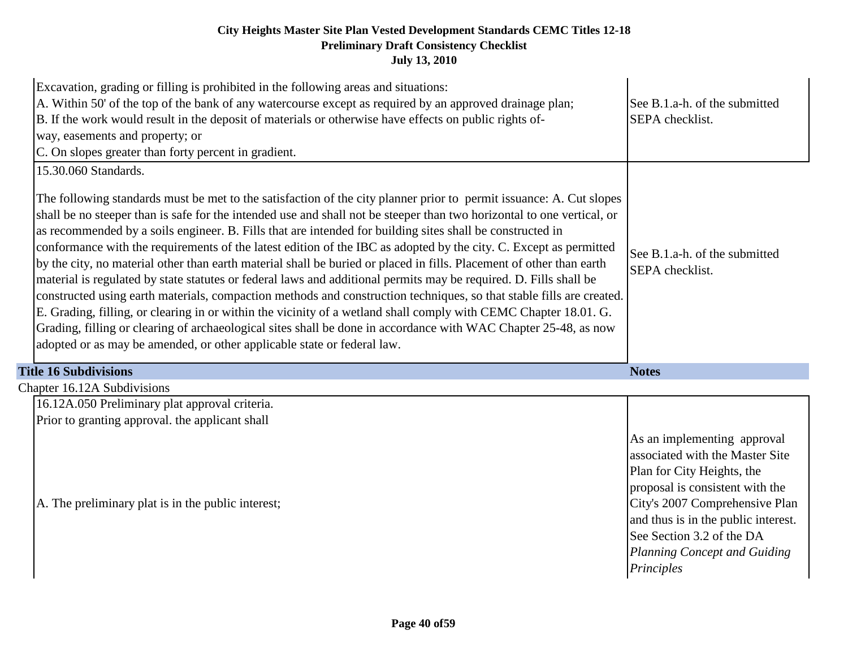| Excavation, grading or filling is prohibited in the following areas and situations:<br>A. Within 50' of the top of the bank of any watercourse except as required by an approved drainage plan;<br>B. If the work would result in the deposit of materials or otherwise have effects on public rights of-<br>way, easements and property; or<br>C. On slopes greater than forty percent in gradient.                                                                                                                                                                                                                                                                                                                                                                                                                                                                                                                                                                                                                                                                                                                                                                                           | See B.1.a-h. of the submitted<br>SEPA checklist.                                                                                                                  |
|------------------------------------------------------------------------------------------------------------------------------------------------------------------------------------------------------------------------------------------------------------------------------------------------------------------------------------------------------------------------------------------------------------------------------------------------------------------------------------------------------------------------------------------------------------------------------------------------------------------------------------------------------------------------------------------------------------------------------------------------------------------------------------------------------------------------------------------------------------------------------------------------------------------------------------------------------------------------------------------------------------------------------------------------------------------------------------------------------------------------------------------------------------------------------------------------|-------------------------------------------------------------------------------------------------------------------------------------------------------------------|
| 15.30.060 Standards.<br>The following standards must be met to the satisfaction of the city planner prior to permit issuance: A. Cut slopes<br>shall be no steeper than is safe for the intended use and shall not be steeper than two horizontal to one vertical, or<br>as recommended by a soils engineer. B. Fills that are intended for building sites shall be constructed in<br>conformance with the requirements of the latest edition of the IBC as adopted by the city. C. Except as permitted<br>by the city, no material other than earth material shall be buried or placed in fills. Placement of other than earth<br>material is regulated by state statutes or federal laws and additional permits may be required. D. Fills shall be<br>constructed using earth materials, compaction methods and construction techniques, so that stable fills are created.<br>E. Grading, filling, or clearing in or within the vicinity of a wetland shall comply with CEMC Chapter 18.01. G.<br>Grading, filling or clearing of archaeological sites shall be done in accordance with WAC Chapter 25-48, as now<br>adopted or as may be amended, or other applicable state or federal law. | See B.1.a-h. of the submitted<br>SEPA checklist.                                                                                                                  |
| <b>Title 16 Subdivisions</b>                                                                                                                                                                                                                                                                                                                                                                                                                                                                                                                                                                                                                                                                                                                                                                                                                                                                                                                                                                                                                                                                                                                                                                   | <b>Notes</b>                                                                                                                                                      |
| Chapter 16.12A Subdivisions<br>16.12A.050 Preliminary plat approval criteria.                                                                                                                                                                                                                                                                                                                                                                                                                                                                                                                                                                                                                                                                                                                                                                                                                                                                                                                                                                                                                                                                                                                  |                                                                                                                                                                   |
| Prior to granting approval. the applicant shall                                                                                                                                                                                                                                                                                                                                                                                                                                                                                                                                                                                                                                                                                                                                                                                                                                                                                                                                                                                                                                                                                                                                                |                                                                                                                                                                   |
|                                                                                                                                                                                                                                                                                                                                                                                                                                                                                                                                                                                                                                                                                                                                                                                                                                                                                                                                                                                                                                                                                                                                                                                                | As an implementing approval<br>associated with the Master Site<br>Plan for City Heights, the<br>proposal is consistent with the<br>City's 2007 Comprehensive Plan |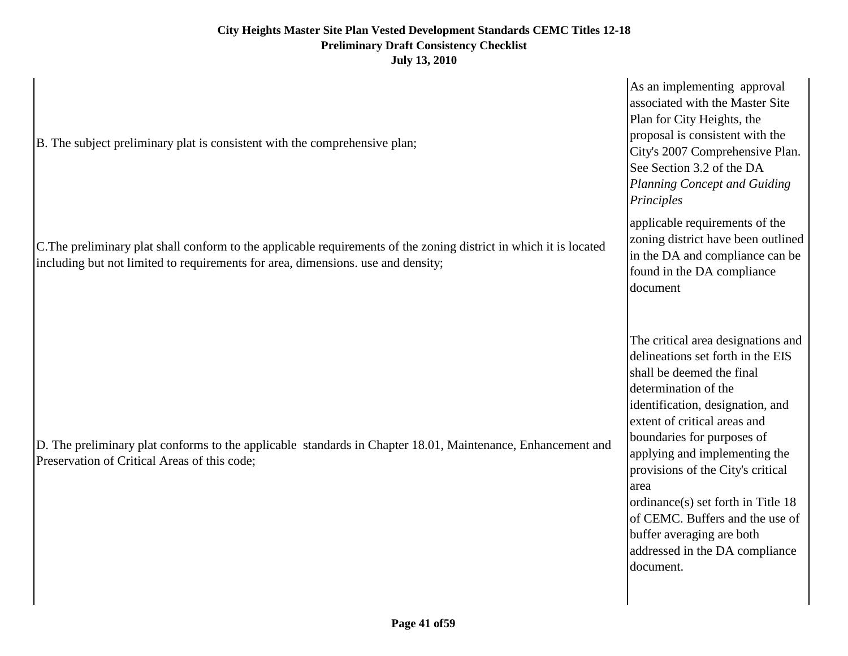| B. The subject preliminary plat is consistent with the comprehensive plan;                                                                                                                             | As an implementing approval<br>associated with the Master Site<br>Plan for City Heights, the<br>proposal is consistent with the<br>City's 2007 Comprehensive Plan.<br>See Section 3.2 of the DA<br>Planning Concept and Guiding<br>Principles                                                                                                                                                                                                                     |  |
|--------------------------------------------------------------------------------------------------------------------------------------------------------------------------------------------------------|-------------------------------------------------------------------------------------------------------------------------------------------------------------------------------------------------------------------------------------------------------------------------------------------------------------------------------------------------------------------------------------------------------------------------------------------------------------------|--|
| C. The preliminary plat shall conform to the applicable requirements of the zoning district in which it is located<br>including but not limited to requirements for area, dimensions. use and density; | applicable requirements of the<br>zoning district have been outlined<br>in the DA and compliance can be<br>found in the DA compliance<br>document                                                                                                                                                                                                                                                                                                                 |  |
| D. The preliminary plat conforms to the applicable standards in Chapter 18.01, Maintenance, Enhancement and<br>Preservation of Critical Areas of this code;                                            | The critical area designations and<br>delineations set forth in the EIS<br>shall be deemed the final<br>determination of the<br>identification, designation, and<br>extent of critical areas and<br>boundaries for purposes of<br>applying and implementing the<br>provisions of the City's critical<br>area<br>ordinance(s) set forth in Title 18<br>of CEMC. Buffers and the use of<br>buffer averaging are both<br>addressed in the DA compliance<br>document. |  |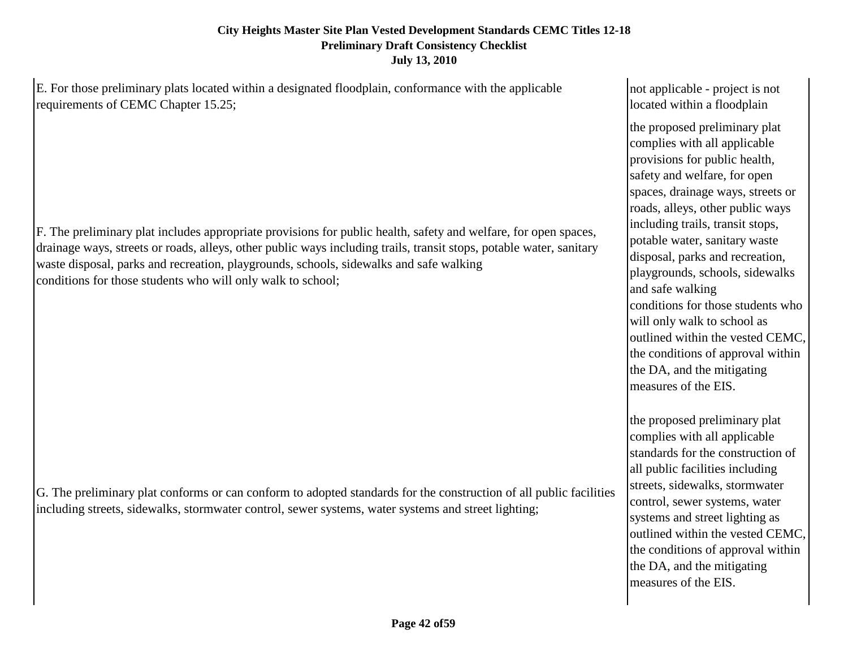E. For those preliminary plats located within a designated floodplain, conformance with the applicable requirements of CEMC Chapter 15.25;

F. The preliminary plat includes appropriate provisions for public health, safety and welfare, for open spaces, drainage ways, streets or roads, alleys, other public ways including trails, transit stops, potable water, sanitary waste disposal, parks and recreation, playgrounds, schools, sidewalks and safe walking conditions for those students who will only walk to school;

G. The preliminary plat conforms or can conform to adopted standards for the construction of all public facilities including streets, sidewalks, stormwater control, sewer systems, water systems and street lighting;

not applicable - project is not located within a floodplain

the proposed preliminary plat complies with all applicable provisions for public health, safety and welfare, for open spaces, drainage ways, streets or roads, alleys, other public ways including trails, transit stops, potable water, sanitary waste disposal, parks and recreation, playgrounds, schools, sidewalks and safe walking conditions for those students who will only walk to school as outlined within the vested CEMC, the conditions of approval within the DA, and the mitigating measures of the EIS.

the proposed preliminary plat complies with all applicable standards for the construction of all public facilities including streets, sidewalks, stormwater control, sewer systems, water systems and street lighting as outlined within the vested CEMC, the conditions of approval within the DA, and the mitigating measures of the EIS.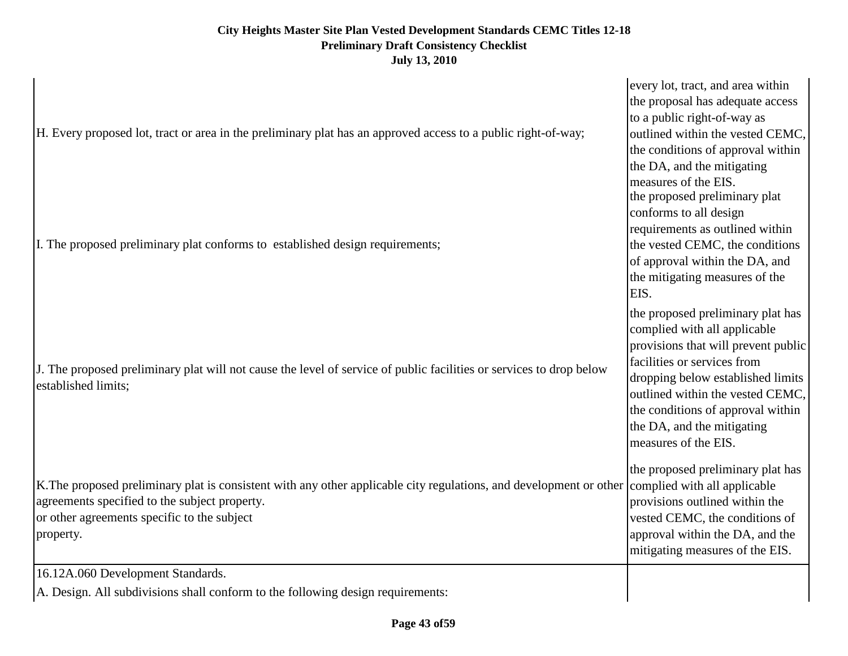$\overline{\phantom{a}}$ 

| H. Every proposed lot, tract or area in the preliminary plat has an approved access to a public right-of-way;                                                                                                                    | every lot, tract, and area within<br>the proposal has adequate access<br>to a public right-of-way as<br>outlined within the vested CEMC,<br>the conditions of approval within<br>the DA, and the mitigating                                                                                                 |
|----------------------------------------------------------------------------------------------------------------------------------------------------------------------------------------------------------------------------------|-------------------------------------------------------------------------------------------------------------------------------------------------------------------------------------------------------------------------------------------------------------------------------------------------------------|
| I. The proposed preliminary plat conforms to established design requirements;                                                                                                                                                    | measures of the EIS.<br>the proposed preliminary plat<br>conforms to all design<br>requirements as outlined within<br>the vested CEMC, the conditions<br>of approval within the DA, and<br>the mitigating measures of the<br>EIS.                                                                           |
| J. The proposed preliminary plat will not cause the level of service of public facilities or services to drop below<br>established limits;                                                                                       | the proposed preliminary plat has<br>complied with all applicable<br>provisions that will prevent public<br>facilities or services from<br>dropping below established limits<br>outlined within the vested CEMC,<br>the conditions of approval within<br>the DA, and the mitigating<br>measures of the EIS. |
| K. The proposed preliminary plat is consistent with any other applicable city regulations, and development or other<br>agreements specified to the subject property.<br>or other agreements specific to the subject<br>property. | the proposed preliminary plat has<br>complied with all applicable<br>provisions outlined within the<br>vested CEMC, the conditions of<br>approval within the DA, and the<br>mitigating measures of the EIS.                                                                                                 |
| 16.12A.060 Development Standards.<br>A. Design. All subdivisions shall conform to the following design requirements:                                                                                                             |                                                                                                                                                                                                                                                                                                             |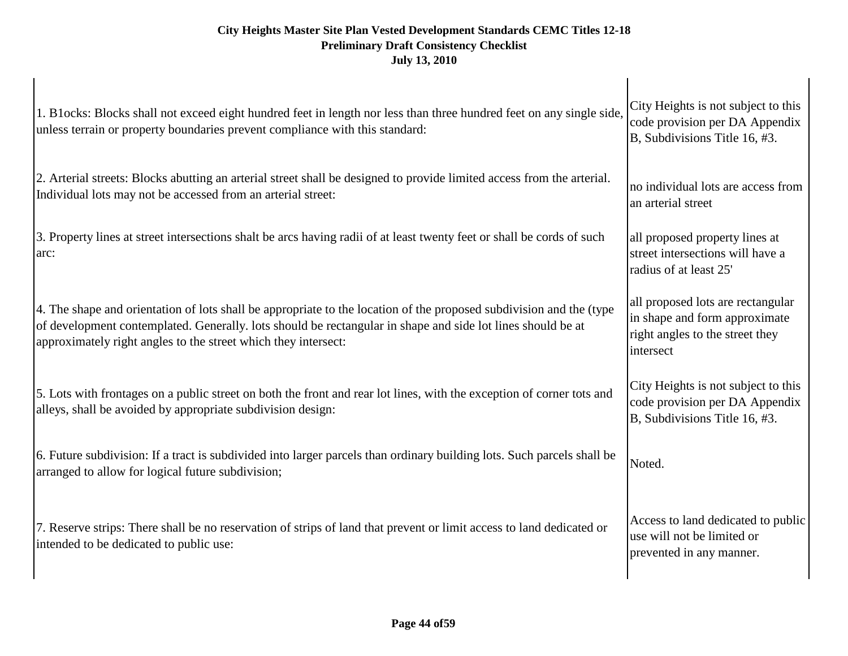| 1. B1ocks: Blocks shall not exceed eight hundred feet in length nor less than three hundred feet on any single side,<br>unless terrain or property boundaries prevent compliance with this standard:                                                                                                 | City Heights is not subject to this<br>code provision per DA Appendix<br>B, Subdivisions Title 16, #3.             |
|------------------------------------------------------------------------------------------------------------------------------------------------------------------------------------------------------------------------------------------------------------------------------------------------------|--------------------------------------------------------------------------------------------------------------------|
| 2. Arterial streets: Blocks abutting an arterial street shall be designed to provide limited access from the arterial.<br>Individual lots may not be accessed from an arterial street:                                                                                                               | no individual lots are access from<br>an arterial street                                                           |
| 3. Property lines at street intersections shalt be arcs having radii of at least twenty feet or shall be cords of such<br>arc:                                                                                                                                                                       | all proposed property lines at<br>street intersections will have a<br>radius of at least 25'                       |
| 4. The shape and orientation of lots shall be appropriate to the location of the proposed subdivision and the (type<br>of development contemplated. Generally. lots should be rectangular in shape and side lot lines should be at<br>approximately right angles to the street which they intersect: | all proposed lots are rectangular<br>in shape and form approximate<br>right angles to the street they<br>intersect |
| 5. Lots with frontages on a public street on both the front and rear lot lines, with the exception of corner tots and<br>alleys, shall be avoided by appropriate subdivision design:                                                                                                                 | City Heights is not subject to this<br>code provision per DA Appendix<br>B, Subdivisions Title 16, #3.             |
| 6. Future subdivision: If a tract is subdivided into larger parcels than ordinary building lots. Such parcels shall be<br>arranged to allow for logical future subdivision;                                                                                                                          | Noted.                                                                                                             |
| 7. Reserve strips: There shall be no reservation of strips of land that prevent or limit access to land dedicated or<br>intended to be dedicated to public use:                                                                                                                                      | Access to land dedicated to public<br>use will not be limited or<br>prevented in any manner.                       |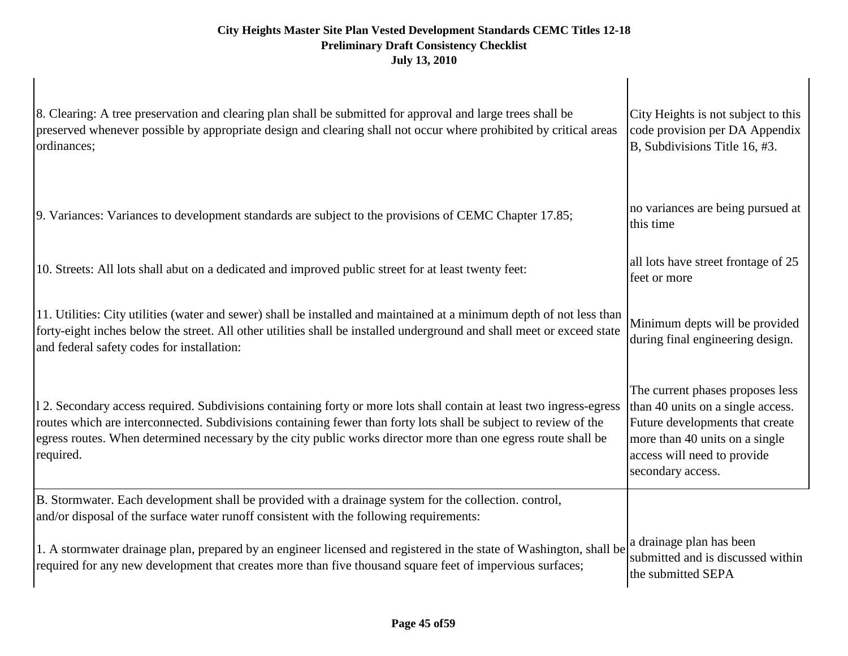| 8. Clearing: A tree preservation and clearing plan shall be submitted for approval and large trees shall be<br>preserved whenever possible by appropriate design and clearing shall not occur where prohibited by critical areas<br>ordinances;                                                                                                                        | City Heights is not subject to this<br>code provision per DA Appendix<br>B, Subdivisions Title 16, #3.                                                                                         |
|------------------------------------------------------------------------------------------------------------------------------------------------------------------------------------------------------------------------------------------------------------------------------------------------------------------------------------------------------------------------|------------------------------------------------------------------------------------------------------------------------------------------------------------------------------------------------|
| 9. Variances: Variances to development standards are subject to the provisions of CEMC Chapter 17.85;                                                                                                                                                                                                                                                                  | no variances are being pursued at<br>this time                                                                                                                                                 |
| 10. Streets: All lots shall abut on a dedicated and improved public street for at least twenty feet:                                                                                                                                                                                                                                                                   | all lots have street frontage of 25<br>feet or more                                                                                                                                            |
| 11. Utilities: City utilities (water and sewer) shall be installed and maintained at a minimum depth of not less than<br>forty-eight inches below the street. All other utilities shall be installed underground and shall meet or exceed state<br>and federal safety codes for installation:                                                                          | Minimum depts will be provided<br>during final engineering design.                                                                                                                             |
| 12. Secondary access required. Subdivisions containing forty or more lots shall contain at least two ingress-egress<br>routes which are interconnected. Subdivisions containing fewer than forty lots shall be subject to review of the<br>egress routes. When determined necessary by the city public works director more than one egress route shall be<br>required. | The current phases proposes less<br>than 40 units on a single access.<br>Future developments that create<br>more than 40 units on a single<br>access will need to provide<br>secondary access. |
| B. Stormwater. Each development shall be provided with a drainage system for the collection. control,<br>and/or disposal of the surface water runoff consistent with the following requirements:                                                                                                                                                                       |                                                                                                                                                                                                |
| 1. A stormwater drainage plan, prepared by an engineer licensed and registered in the state of Washington, shall be<br>required for any new development that creates more than five thousand square feet of impervious surfaces;                                                                                                                                       | a drainage plan has been<br>submitted and is discussed within<br>the submitted SEPA                                                                                                            |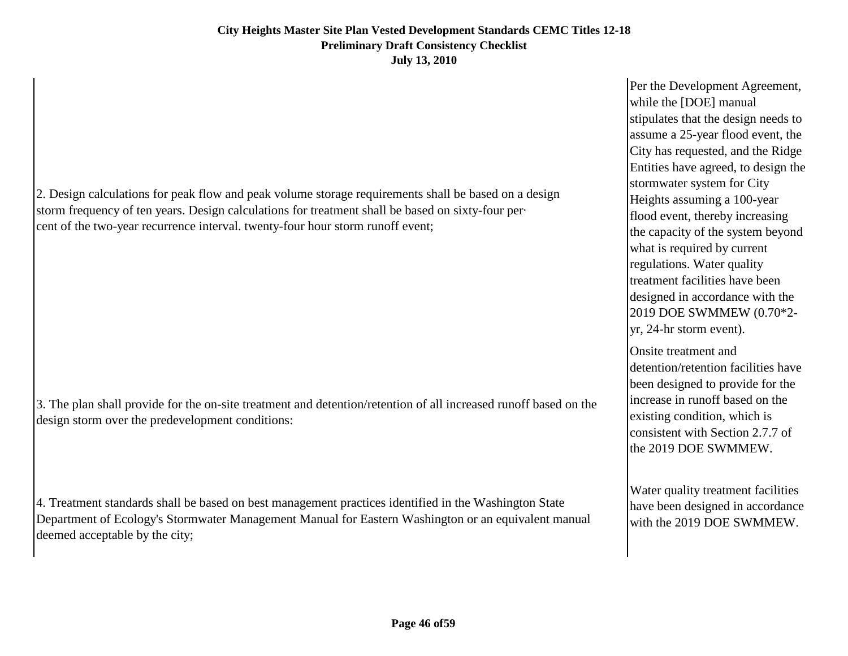2. Design calculations for peak flow and peak volume storage requirements shall be based on a design storm frequency of ten years. Design calculations for treatment shall be based on sixty-four per· cent of the two-year recurrence interval. twenty-four hour storm runoff event;

3. The plan shall provide for the on-site treatment and detention/retention of all increased runoff based on the design storm over the predevelopment conditions:

4. Treatment standards shall be based on best management practices identified in the Washington State Department of Ecology's Stormwater Management Manual for Eastern Washington or an equivalent manual deemed acceptable by the city;

Per the Development Agreement, while the [DOE] manual stipulates that the design needs to assume a 25-year flood event, the City has requested, and the Ridge Entities have agreed, to design the stormwater system for City Heights assuming a 100-year flood event, thereby increasing the capacity of the system beyond what is required by current regulations. Water quality treatment facilities have been designed in accordance with the 2019 DOE SWMMEW (0.70\*2 yr, 24-hr storm event).

Onsite treatment and detention/retention facilities have been designed to provide for the increase in runoff based on the existing condition, which is consistent with Section 2.7.7 of the 2019 DOE SWMMEW.

Water quality treatment facilities have been designed in accordance with the 2019 DOE SWMMEW.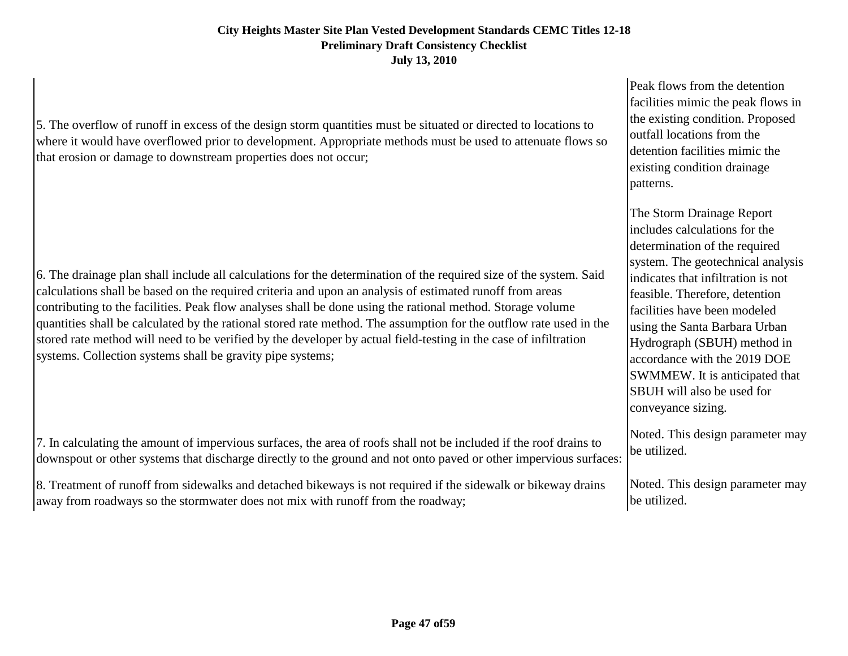5. The overflow of runoff in excess of the design storm quantities must be situated or directed to locations to where it would have overflowed prior to development. Appropriate methods must be used to attenuate flows so that erosion or damage to downstream properties does not occur;

6. The drainage plan shall include all calculations for the determination of the required size of the system. Said calculations shall be based on the required criteria and upon an analysis of estimated runoff from areas contributing to the facilities. Peak flow analyses shall be done using the rational method. Storage volume quantities shall be calculated by the rational stored rate method. The assumption for the outflow rate used in the stored rate method will need to be verified by the developer by actual field-testing in the case of infiltration systems. Collection systems shall be gravity pipe systems;

7. In calculating the amount of impervious surfaces, the area of roofs shall not be included if the roof drains to downspout or other systems that discharge directly to the ground and not onto paved or other impervious surfaces:

8. Treatment of runoff from sidewalks and detached bikeways is not required if the sidewalk or bikeway drains away from roadways so the stormwater does not mix with runoff from the roadway;

Peak flows from the detention facilities mimic the peak flows in the existing condition. Proposed outfall locations from the detention facilities mimic the existing condition drainage patterns.

The Storm Drainage Report includes calculations for the determination of the required system. The geotechnical analysis indicates that infiltration is not feasible. Therefore, detention facilities have been modeled using the Santa Barbara Urban Hydrograph (SBUH) method in accordance with the 2019 DOE SWMMEW. It is anticipated that SBUH will also be used for conveyance sizing.

Noted. This design parameter may be utilized.

Noted. This design parameter may be utilized.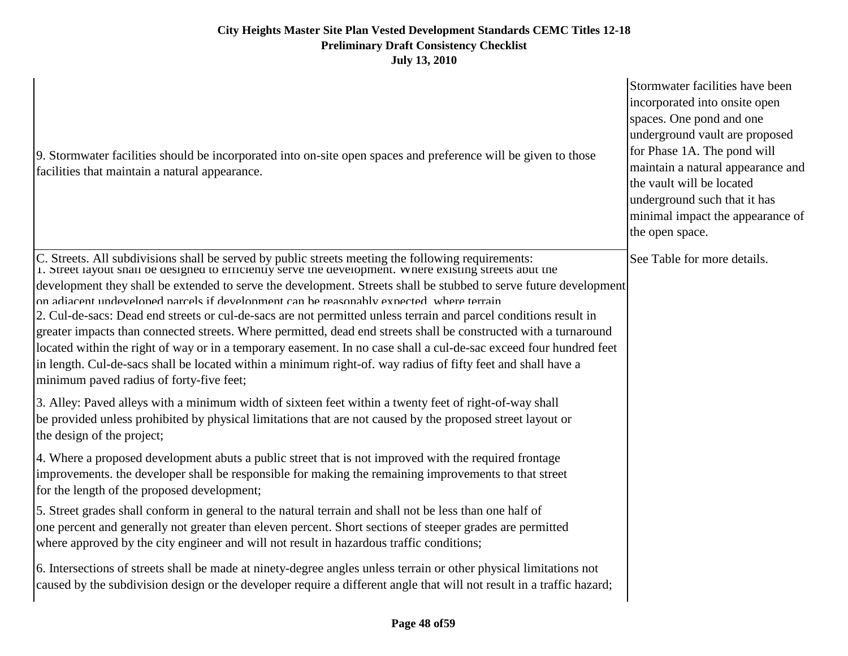| 9. Stormwater facilities should be incorporated into on-site open spaces and preference will be given to those<br>facilities that maintain a natural appearance.                                               | Stormwater facilities have been<br>incorporated into onsite open<br>spaces. One pond and one<br>underground vault are proposed<br>for Phase 1A. The pond will<br>maintain a natural appearance and<br>the vault will be located<br>underground such that it has<br>minimal impact the appearance of<br>the open space. |
|----------------------------------------------------------------------------------------------------------------------------------------------------------------------------------------------------------------|------------------------------------------------------------------------------------------------------------------------------------------------------------------------------------------------------------------------------------------------------------------------------------------------------------------------|
| C. Streets. All subdivisions shall be served by public streets meeting the following requirements:<br>1. Street layout snall be designed to erriclently serve the development. Where existing streets abut the | See Table for more details.                                                                                                                                                                                                                                                                                            |
| development they shall be extended to serve the development. Streets shall be stubbed to serve future development                                                                                              |                                                                                                                                                                                                                                                                                                                        |
| on adiacent undeveloned narcels if develonment can he reasonably expected where terrain                                                                                                                        |                                                                                                                                                                                                                                                                                                                        |
| 2. Cul-de-sacs: Dead end streets or cul-de-sacs are not permitted unless terrain and parcel conditions result in                                                                                               |                                                                                                                                                                                                                                                                                                                        |
| greater impacts than connected streets. Where permitted, dead end streets shall be constructed with a turnaround                                                                                               |                                                                                                                                                                                                                                                                                                                        |
| located within the right of way or in a temporary easement. In no case shall a cul-de-sac exceed four hundred feet                                                                                             |                                                                                                                                                                                                                                                                                                                        |
| in length. Cul-de-sacs shall be located within a minimum right-of. way radius of fifty feet and shall have a<br>minimum paved radius of forty-five feet;                                                       |                                                                                                                                                                                                                                                                                                                        |
| 3. Alley: Paved alleys with a minimum width of sixteen feet within a twenty feet of right-of-way shall                                                                                                         |                                                                                                                                                                                                                                                                                                                        |
| be provided unless prohibited by physical limitations that are not caused by the proposed street layout or<br>the design of the project;                                                                       |                                                                                                                                                                                                                                                                                                                        |
| 4. Where a proposed development abuts a public street that is not improved with the required frontage                                                                                                          |                                                                                                                                                                                                                                                                                                                        |
| improvements. the developer shall be responsible for making the remaining improvements to that street                                                                                                          |                                                                                                                                                                                                                                                                                                                        |
| for the length of the proposed development;                                                                                                                                                                    |                                                                                                                                                                                                                                                                                                                        |
| 5. Street grades shall conform in general to the natural terrain and shall not be less than one half of                                                                                                        |                                                                                                                                                                                                                                                                                                                        |
| one percent and generally not greater than eleven percent. Short sections of steeper grades are permitted<br>where approved by the city engineer and will not result in hazardous traffic conditions;          |                                                                                                                                                                                                                                                                                                                        |
| 6. Intersections of streets shall be made at ninety-degree angles unless terrain or other physical limitations not                                                                                             |                                                                                                                                                                                                                                                                                                                        |
| caused by the subdivision design or the developer require a different angle that will not result in a traffic hazard;                                                                                          |                                                                                                                                                                                                                                                                                                                        |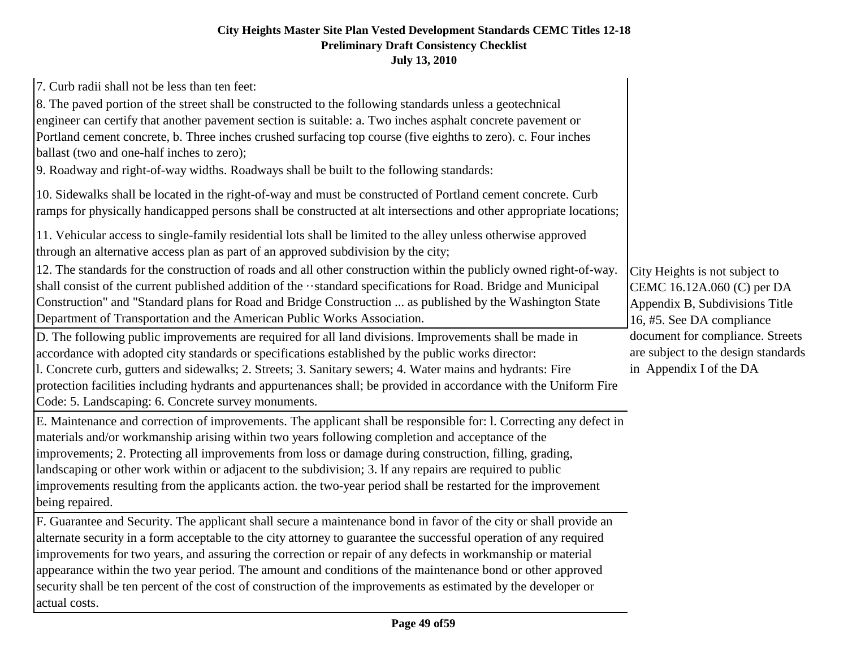| 7. Curb radii shall not be less than ten feet:<br>8. The paved portion of the street shall be constructed to the following standards unless a geotechnical<br>engineer can certify that another pavement section is suitable: a. Two inches asphalt concrete pavement or<br>Portland cement concrete, b. Three inches crushed surfacing top course (five eighths to zero). c. Four inches<br>ballast (two and one-half inches to zero);<br>9. Roadway and right-of-way widths. Roadways shall be built to the following standards:<br>10. Sidewalks shall be located in the right-of-way and must be constructed of Portland cement concrete. Curb<br>ramps for physically handicapped persons shall be constructed at alt intersections and other appropriate locations;<br>11. Vehicular access to single-family residential lots shall be limited to the alley unless otherwise approved<br>through an alternative access plan as part of an approved subdivision by the city;<br>12. The standards for the construction of roads and all other construction within the publicly owned right-of-way.<br>shall consist of the current published addition of the ··standard specifications for Road. Bridge and Municipal<br>Construction" and "Standard plans for Road and Bridge Construction  as published by the Washington State<br>Department of Transportation and the American Public Works Association.<br>D. The following public improvements are required for all land divisions. Improvements shall be made in<br>accordance with adopted city standards or specifications established by the public works director:<br>1. Concrete curb, gutters and sidewalks; 2. Streets; 3. Sanitary sewers; 4. Water mains and hydrants: Fire<br>protection facilities including hydrants and appurtenances shall; be provided in accordance with the Uniform Fire<br>Code: 5. Landscaping: 6. Concrete survey monuments.<br>E. Maintenance and correction of improvements. The applicant shall be responsible for: 1. Correcting any defect in<br>materials and/or workmanship arising within two years following completion and acceptance of the<br>improvements; 2. Protecting all improvements from loss or damage during construction, filling, grading,<br>landscaping or other work within or adjacent to the subdivision; 3. If any repairs are required to public<br>improvements resulting from the applicants action. the two-year period shall be restarted for the improvement<br>being repaired. | City Heights is not subject to<br>CEMC 16.12A.060 (C) per DA<br>Appendix B, Subdivisions Title<br>16, #5. See DA compliance<br>document for compliance. Streets<br>are subject to the design standards<br>in Appendix I of the DA |
|--------------------------------------------------------------------------------------------------------------------------------------------------------------------------------------------------------------------------------------------------------------------------------------------------------------------------------------------------------------------------------------------------------------------------------------------------------------------------------------------------------------------------------------------------------------------------------------------------------------------------------------------------------------------------------------------------------------------------------------------------------------------------------------------------------------------------------------------------------------------------------------------------------------------------------------------------------------------------------------------------------------------------------------------------------------------------------------------------------------------------------------------------------------------------------------------------------------------------------------------------------------------------------------------------------------------------------------------------------------------------------------------------------------------------------------------------------------------------------------------------------------------------------------------------------------------------------------------------------------------------------------------------------------------------------------------------------------------------------------------------------------------------------------------------------------------------------------------------------------------------------------------------------------------------------------------------------------------------------------------------------------------------------------------------------------------------------------------------------------------------------------------------------------------------------------------------------------------------------------------------------------------------------------------------------------------------------------------------------------------------------------------------------------------------------------------------------------------------------------------------------------------|-----------------------------------------------------------------------------------------------------------------------------------------------------------------------------------------------------------------------------------|
| F. Guarantee and Security. The applicant shall secure a maintenance bond in favor of the city or shall provide an                                                                                                                                                                                                                                                                                                                                                                                                                                                                                                                                                                                                                                                                                                                                                                                                                                                                                                                                                                                                                                                                                                                                                                                                                                                                                                                                                                                                                                                                                                                                                                                                                                                                                                                                                                                                                                                                                                                                                                                                                                                                                                                                                                                                                                                                                                                                                                                                  |                                                                                                                                                                                                                                   |
| alternate security in a form acceptable to the city attorney to guarantee the successful operation of any required<br>improvements for two years, and assuring the correction or repair of any defects in workmanship or material<br>appearance within the two year period. The amount and conditions of the maintenance bond or other approved<br>security shall be ten percent of the cost of construction of the improvements as estimated by the developer or<br>actual costs.                                                                                                                                                                                                                                                                                                                                                                                                                                                                                                                                                                                                                                                                                                                                                                                                                                                                                                                                                                                                                                                                                                                                                                                                                                                                                                                                                                                                                                                                                                                                                                                                                                                                                                                                                                                                                                                                                                                                                                                                                                 |                                                                                                                                                                                                                                   |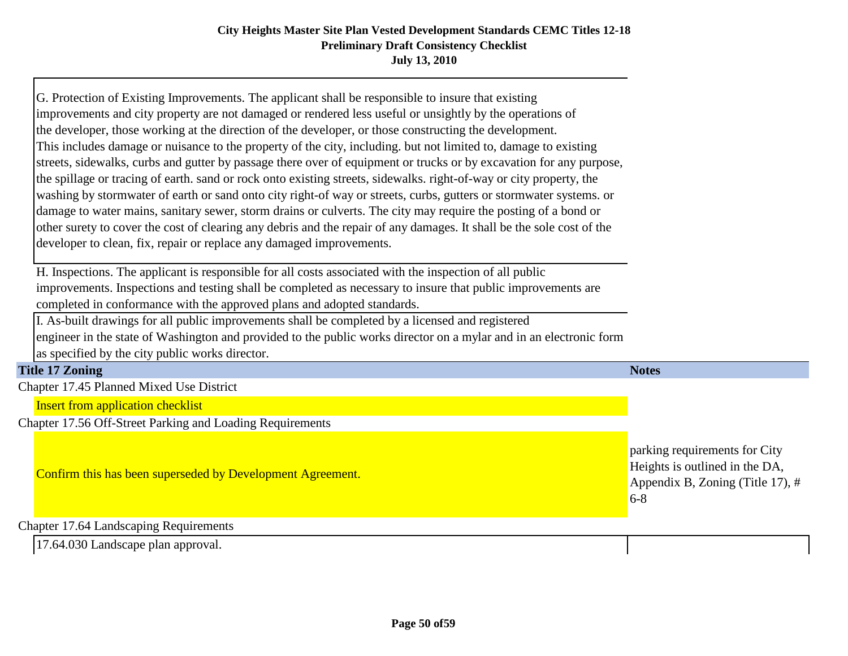G. Protection of Existing Improvements. The applicant shall be responsible to insure that existing improvements and city property are not damaged or rendered less useful or unsightly by the operations of the developer, those working at the direction of the developer, or those constructing the development. This includes damage or nuisance to the property of the city, including. but not limited to, damage to existing streets, sidewalks, curbs and gutter by passage there over of equipment or trucks or by excavation for any purpose, the spillage or tracing of earth. sand or rock onto existing streets, sidewalks. right-of-way or city property, the washing by stormwater of earth or sand onto city right-of way or streets, curbs, gutters or stormwater systems. or damage to water mains, sanitary sewer, storm drains or culverts. The city may require the posting of a bond or other surety to cover the cost of clearing any debris and the repair of any damages. It shall be the sole cost of the developer to clean, fix, repair or replace any damaged improvements.

H. Inspections. The applicant is responsible for all costs associated with the inspection of all public improvements. Inspections and testing shall be completed as necessary to insure that public improvements are completed in conformance with the approved plans and adopted standards.

I. As-built drawings for all public improvements shall be completed by a licensed and registered engineer in the state of Washington and provided to the public works director on a mylar and in an electronic form as specified by the city public works director.

### **Title 17 Zoning Notes**

Chapter 17.45 Planned Mixed Use District

Insert from application checklist

Chapter 17.56 Off-Street Parking and Loading Requirements

Confirm this has been superseded by Development Agreement.

Chapter 17.64 Landscaping Requirements

17.64.030 Landscape plan approval.

parking requirements for City Heights is outlined in the DA, Appendix B, Zoning (Title 17), #

6-8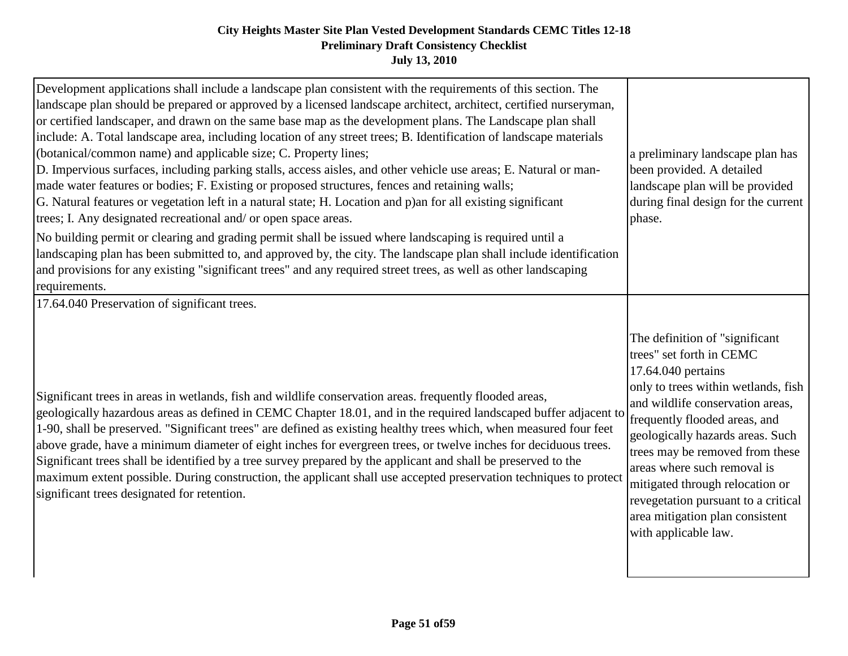| Development applications shall include a landscape plan consistent with the requirements of this section. The<br>landscape plan should be prepared or approved by a licensed landscape architect, architect, certified nurseryman,<br>or certified landscaper, and drawn on the same base map as the development plans. The Landscape plan shall<br>include: A. Total landscape area, including location of any street trees; B. Identification of landscape materials<br>(botanical/common name) and applicable size; C. Property lines;<br>D. Impervious surfaces, including parking stalls, access aisles, and other vehicle use areas; E. Natural or man-<br>made water features or bodies; F. Existing or proposed structures, fences and retaining walls;<br>G. Natural features or vegetation left in a natural state; H. Location and p)an for all existing significant<br>trees; I. Any designated recreational and/ or open space areas.<br>No building permit or clearing and grading permit shall be issued where landscaping is required until a<br>landscaping plan has been submitted to, and approved by, the city. The landscape plan shall include identification<br>and provisions for any existing "significant trees" and any required street trees, as well as other landscaping<br>requirements. | a preliminary landscape plan has<br>been provided. A detailed<br>landscape plan will be provided<br>during final design for the current<br>phase.                                                                                                                                                                                                                                                                                        |
|-------------------------------------------------------------------------------------------------------------------------------------------------------------------------------------------------------------------------------------------------------------------------------------------------------------------------------------------------------------------------------------------------------------------------------------------------------------------------------------------------------------------------------------------------------------------------------------------------------------------------------------------------------------------------------------------------------------------------------------------------------------------------------------------------------------------------------------------------------------------------------------------------------------------------------------------------------------------------------------------------------------------------------------------------------------------------------------------------------------------------------------------------------------------------------------------------------------------------------------------------------------------------------------------------------------------------|------------------------------------------------------------------------------------------------------------------------------------------------------------------------------------------------------------------------------------------------------------------------------------------------------------------------------------------------------------------------------------------------------------------------------------------|
| 17.64.040 Preservation of significant trees.                                                                                                                                                                                                                                                                                                                                                                                                                                                                                                                                                                                                                                                                                                                                                                                                                                                                                                                                                                                                                                                                                                                                                                                                                                                                            |                                                                                                                                                                                                                                                                                                                                                                                                                                          |
| Significant trees in areas in wetlands, fish and wildlife conservation areas. frequently flooded areas,<br>geologically hazardous areas as defined in CEMC Chapter 18.01, and in the required landscaped buffer adjacent to<br>1-90, shall be preserved. "Significant trees" are defined as existing healthy trees which, when measured four feet<br>above grade, have a minimum diameter of eight inches for evergreen trees, or twelve inches for deciduous trees.<br>Significant trees shall be identified by a tree survey prepared by the applicant and shall be preserved to the<br>maximum extent possible. During construction, the applicant shall use accepted preservation techniques to protect<br>significant trees designated for retention.                                                                                                                                                                                                                                                                                                                                                                                                                                                                                                                                                              | The definition of "significant"<br>trees" set forth in CEMC<br>17.64.040 pertains<br>only to trees within wetlands, fish<br>and wildlife conservation areas,<br>frequently flooded areas, and<br>geologically hazards areas. Such<br>trees may be removed from these<br>areas where such removal is<br>mitigated through relocation or<br>revegetation pursuant to a critical<br>area mitigation plan consistent<br>with applicable law. |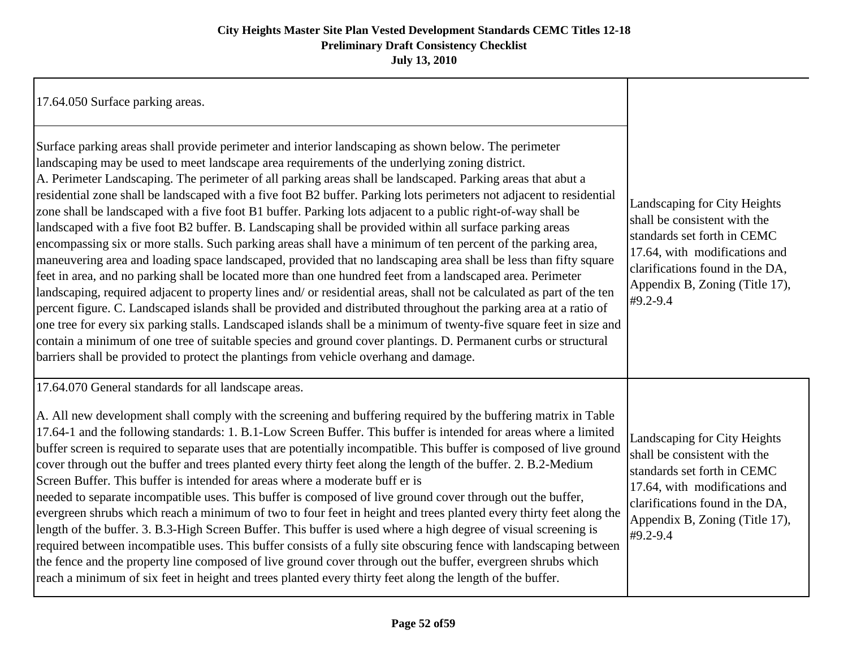| 17.64.050 Surface parking areas.<br>Surface parking areas shall provide perimeter and interior landscaping as shown below. The perimeter<br>landscaping may be used to meet landscape area requirements of the underlying zoning district.<br>A. Perimeter Landscaping. The perimeter of all parking areas shall be landscaped. Parking areas that abut a<br>residential zone shall be landscaped with a five foot B2 buffer. Parking lots perimeters not adjacent to residential<br>zone shall be landscaped with a five foot B1 buffer. Parking lots adjacent to a public right-of-way shall be<br>landscaped with a five foot B2 buffer. B. Landscaping shall be provided within all surface parking areas<br>encompassing six or more stalls. Such parking areas shall have a minimum of ten percent of the parking area,<br>maneuvering area and loading space landscaped, provided that no landscaping area shall be less than fifty square<br>feet in area, and no parking shall be located more than one hundred feet from a landscaped area. Perimeter<br>landscaping, required adjacent to property lines and/ or residential areas, shall not be calculated as part of the ten<br>percent figure. C. Landscaped islands shall be provided and distributed throughout the parking area at a ratio of<br>one tree for every six parking stalls. Landscaped islands shall be a minimum of twenty-five square feet in size and<br>contain a minimum of one tree of suitable species and ground cover plantings. D. Permanent curbs or structural<br>barriers shall be provided to protect the plantings from vehicle overhang and damage. | Landscaping for City Heights<br>shall be consistent with the<br>standards set forth in CEMC<br>17.64, with modifications and<br>clarifications found in the DA,<br>Appendix B, Zoning (Title 17),<br>#9.2-9.4 |
|--------------------------------------------------------------------------------------------------------------------------------------------------------------------------------------------------------------------------------------------------------------------------------------------------------------------------------------------------------------------------------------------------------------------------------------------------------------------------------------------------------------------------------------------------------------------------------------------------------------------------------------------------------------------------------------------------------------------------------------------------------------------------------------------------------------------------------------------------------------------------------------------------------------------------------------------------------------------------------------------------------------------------------------------------------------------------------------------------------------------------------------------------------------------------------------------------------------------------------------------------------------------------------------------------------------------------------------------------------------------------------------------------------------------------------------------------------------------------------------------------------------------------------------------------------------------------------------------------------------------------------------------------|---------------------------------------------------------------------------------------------------------------------------------------------------------------------------------------------------------------|
| 17.64.070 General standards for all landscape areas.<br>A. All new development shall comply with the screening and buffering required by the buffering matrix in Table<br>17.64-1 and the following standards: 1. B.1-Low Screen Buffer. This buffer is intended for areas where a limited<br>buffer screen is required to separate uses that are potentially incompatible. This buffer is composed of live ground<br>cover through out the buffer and trees planted every thirty feet along the length of the buffer. 2. B.2-Medium<br>Screen Buffer. This buffer is intended for areas where a moderate buff er is<br>needed to separate incompatible uses. This buffer is composed of live ground cover through out the buffer,<br>evergreen shrubs which reach a minimum of two to four feet in height and trees planted every thirty feet along the<br>length of the buffer. 3. B.3-High Screen Buffer. This buffer is used where a high degree of visual screening is<br>required between incompatible uses. This buffer consists of a fully site obscuring fence with landscaping between<br>the fence and the property line composed of live ground cover through out the buffer, evergreen shrubs which<br>reach a minimum of six feet in height and trees planted every thirty feet along the length of the buffer.                                                                                                                                                                                                                                                                                                                    | Landscaping for City Heights<br>shall be consistent with the<br>standards set forth in CEMC<br>17.64, with modifications and<br>clarifications found in the DA,<br>Appendix B, Zoning (Title 17),<br>#9.2-9.4 |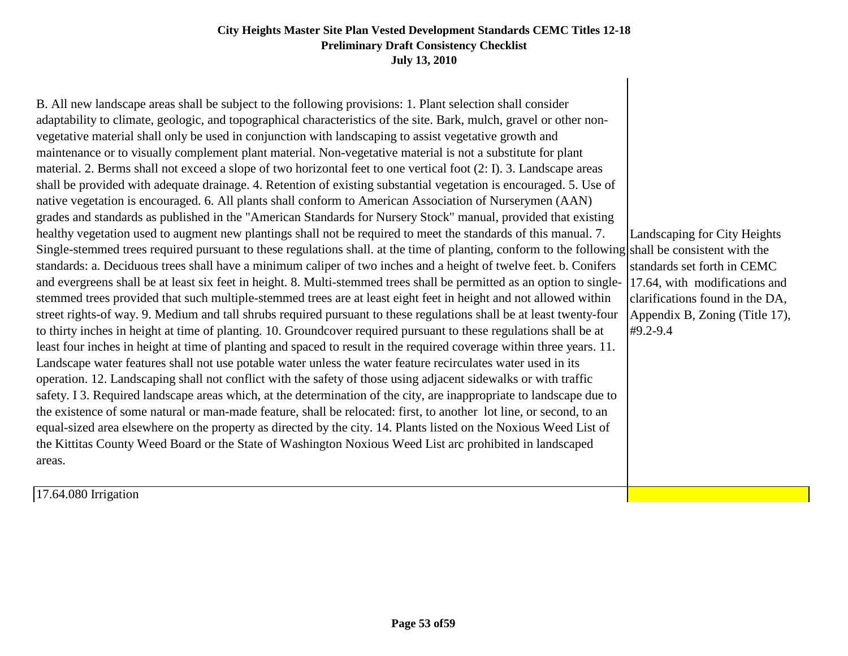Landscaping for City Heights Single-stemmed trees required pursuant to these regulations shall. at the time of planting, conform to the following shall be consistent with the standards set forth in CEMC 17.64, with modifications and clarifications found in the DA, Appendix B, Zoning (Title 17), #9.2-9.4 B. All new landscape areas shall be subject to the following provisions: 1. Plant selection shall consider adaptability to climate, geologic, and topographical characteristics of the site. Bark, mulch, gravel or other nonvegetative material shall only be used in conjunction with landscaping to assist vegetative growth and maintenance or to visually complement plant material. Non-vegetative material is not a substitute for plant material. 2. Berms shall not exceed a slope of two horizontal feet to one vertical foot (2: I). 3. Landscape areas shall be provided with adequate drainage. 4. Retention of existing substantial vegetation is encouraged. 5. Use of native vegetation is encouraged. 6. All plants shall conform to American Association of Nurserymen (AAN) grades and standards as published in the "American Standards for Nursery Stock" manual, provided that existing healthy vegetation used to augment new plantings shall not be required to meet the standards of this manual. 7. standards: a. Deciduous trees shall have a minimum caliper of two inches and a height of twelve feet. b. Conifers and evergreens shall be at least six feet in height. 8. Multi-stemmed trees shall be permitted as an option to singlestemmed trees provided that such multiple-stemmed trees are at least eight feet in height and not allowed within street rights-of way. 9. Medium and tall shrubs required pursuant to these regulations shall be at least twenty-four to thirty inches in height at time of planting. 10. Groundcover required pursuant to these regulations shall be at least four inches in height at time of planting and spaced to result in the required coverage within three years. 11. Landscape water features shall not use potable water unless the water feature recirculates water used in its operation. 12. Landscaping shall not conflict with the safety of those using adjacent sidewalks or with traffic safety. I 3. Required landscape areas which, at the determination of the city, are inappropriate to landscape due to the existence of some natural or man-made feature, shall be relocated: first, to another lot line, or second, to an equal-sized area elsewhere on the property as directed by the city. 14. Plants listed on the Noxious Weed List of the Kittitas County Weed Board or the State of Washington Noxious Weed List arc prohibited in landscaped areas.

17.64.080 Irrigation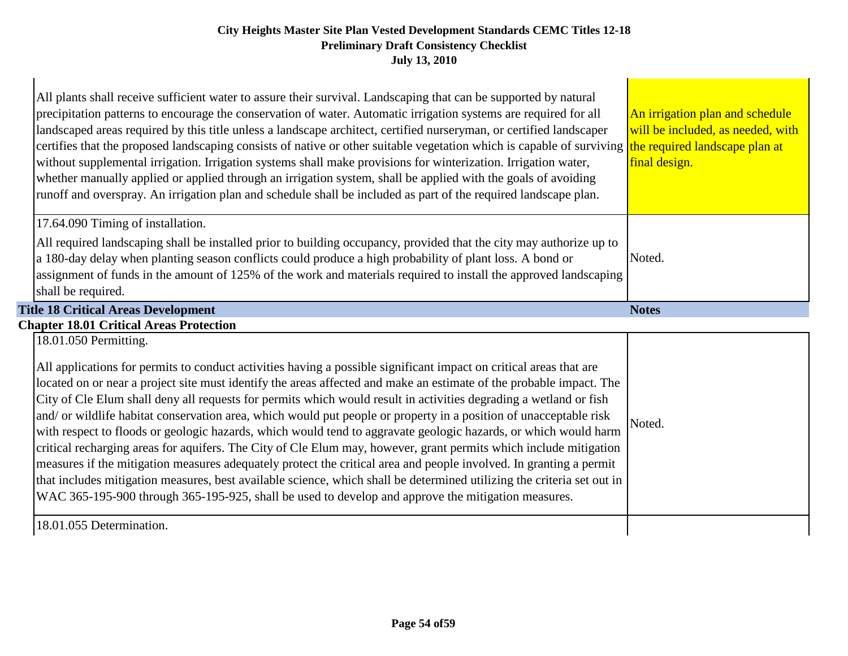$\blacksquare$ 

|                    | All plants shall receive sufficient water to assure their survival. Landscaping that can be supported by natural<br>precipitation patterns to encourage the conservation of water. Automatic irrigation systems are required for all<br>landscaped areas required by this title unless a landscape architect, certified nurseryman, or certified landscaper<br>certifies that the proposed landscaping consists of native or other suitable vegetation which is capable of surviving the required landscape plan at<br>without supplemental irrigation. Irrigation systems shall make provisions for winterization. Irrigation water,<br>whether manually applied or applied through an irrigation system, shall be applied with the goals of avoiding<br>runoff and overspray. An irrigation plan and schedule shall be included as part of the required landscape plan. | An irrigation plan and schedule<br>will be included, as needed, with<br>final design. |
|--------------------|---------------------------------------------------------------------------------------------------------------------------------------------------------------------------------------------------------------------------------------------------------------------------------------------------------------------------------------------------------------------------------------------------------------------------------------------------------------------------------------------------------------------------------------------------------------------------------------------------------------------------------------------------------------------------------------------------------------------------------------------------------------------------------------------------------------------------------------------------------------------------|---------------------------------------------------------------------------------------|
| shall be required. | 17.64.090 Timing of installation.<br>All required landscaping shall be installed prior to building occupancy, provided that the city may authorize up to<br>a 180-day delay when planting season conflicts could produce a high probability of plant loss. A bond or<br>assignment of funds in the amount of 125% of the work and materials required to install the approved landscaping                                                                                                                                                                                                                                                                                                                                                                                                                                                                                  | Noted.                                                                                |
|                    | <b>Title 18 Critical Areas Development</b>                                                                                                                                                                                                                                                                                                                                                                                                                                                                                                                                                                                                                                                                                                                                                                                                                                | <b>Notes</b>                                                                          |

# **Chapter 18.01 Critical Areas Protection** Noted. All applications for permits to conduct activities having a possible significant impact on critical areas that are located on or near a project site must identify the areas affected and make an estimate of the probable impact. The City of Cle Elum shall deny all requests for permits which would result in activities degrading a wetland or fish and/ or wildlife habitat conservation area, which would put people or property in a position of unacceptable risk with respect to floods or geologic hazards, which would tend to aggravate geologic hazards, or which would harm critical recharging areas for aquifers. The City of Cle Elum may, however, grant permits which include mitigation measures if the mitigation measures adequately protect the critical area and people involved. In granting a permit that includes mitigation measures, best available science, which shall be determined utilizing the criteria set out in WAC 365-195-900 through 365-195-925, shall be used to develop and approve the mitigation measures. 18.01.055 Determination. 18.01.050 Permitting.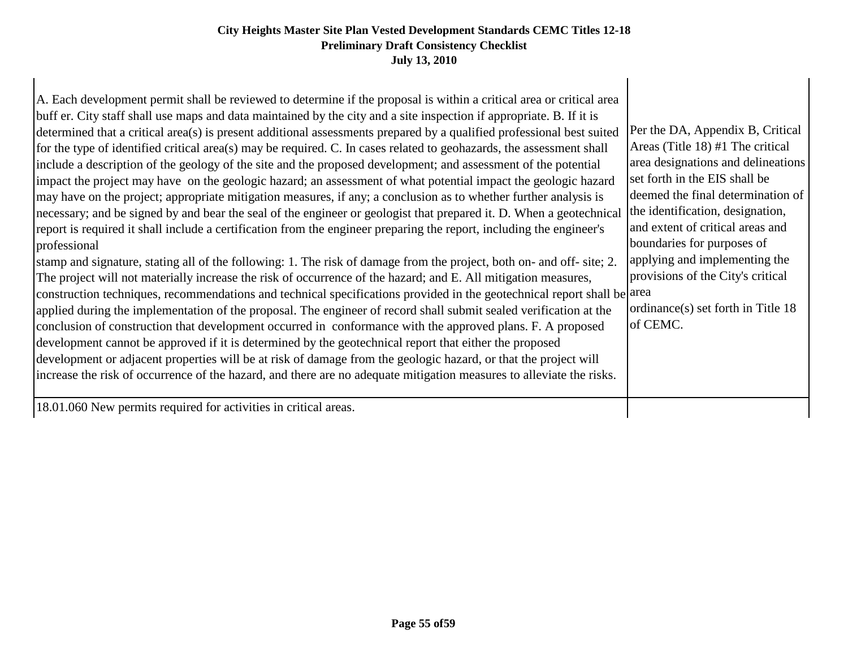| buff er. City staff shall use maps and data maintained by the city and a site inspection if appropriate. B. If it is<br>Per the DA, Appendix B, Critical<br>determined that a critical area(s) is present additional assessments prepared by a qualified professional best suited<br>Areas (Title 18) #1 The critical<br>for the type of identified critical area(s) may be required. C. In cases related to geohazards, the assessment shall<br>area designations and delineations<br>include a description of the geology of the site and the proposed development; and assessment of the potential<br>set forth in the EIS shall be<br>impact the project may have on the geologic hazard; an assessment of what potential impact the geologic hazard<br>deemed the final determination of<br>may have on the project; appropriate mitigation measures, if any; a conclusion as to whether further analysis is<br>the identification, designation,<br>necessary; and be signed by and bear the seal of the engineer or geologist that prepared it. D. When a geotechnical<br>and extent of critical areas and<br>report is required it shall include a certification from the engineer preparing the report, including the engineer's<br>boundaries for purposes of<br>professional<br>applying and implementing the<br>stamp and signature, stating all of the following: 1. The risk of damage from the project, both on- and off- site; 2.<br>provisions of the City's critical<br>The project will not materially increase the risk of occurrence of the hazard; and E. All mitigation measures,<br>construction techniques, recommendations and technical specifications provided in the geotechnical report shall be area<br>ordinance(s) set forth in Title 18<br>applied during the implementation of the proposal. The engineer of record shall submit sealed verification at the<br>of CEMC.<br>conclusion of construction that development occurred in conformance with the approved plans. F. A proposed<br>development cannot be approved if it is determined by the geotechnical report that either the proposed<br>development or adjacent properties will be at risk of damage from the geologic hazard, or that the project will<br>increase the risk of occurrence of the hazard, and there are no adequate mitigation measures to alleviate the risks.<br>18.01.060 New permits required for activities in critical areas. |
|--------------------------------------------------------------------------------------------------------------------------------------------------------------------------------------------------------------------------------------------------------------------------------------------------------------------------------------------------------------------------------------------------------------------------------------------------------------------------------------------------------------------------------------------------------------------------------------------------------------------------------------------------------------------------------------------------------------------------------------------------------------------------------------------------------------------------------------------------------------------------------------------------------------------------------------------------------------------------------------------------------------------------------------------------------------------------------------------------------------------------------------------------------------------------------------------------------------------------------------------------------------------------------------------------------------------------------------------------------------------------------------------------------------------------------------------------------------------------------------------------------------------------------------------------------------------------------------------------------------------------------------------------------------------------------------------------------------------------------------------------------------------------------------------------------------------------------------------------------------------------------------------------------------------------------------------------------------------------------------------------------------------------------------------------------------------------------------------------------------------------------------------------------------------------------------------------------------------------------------------------------------------------------------------------------------------------------------------------------------------------------------------------------------------------------------------------|
|--------------------------------------------------------------------------------------------------------------------------------------------------------------------------------------------------------------------------------------------------------------------------------------------------------------------------------------------------------------------------------------------------------------------------------------------------------------------------------------------------------------------------------------------------------------------------------------------------------------------------------------------------------------------------------------------------------------------------------------------------------------------------------------------------------------------------------------------------------------------------------------------------------------------------------------------------------------------------------------------------------------------------------------------------------------------------------------------------------------------------------------------------------------------------------------------------------------------------------------------------------------------------------------------------------------------------------------------------------------------------------------------------------------------------------------------------------------------------------------------------------------------------------------------------------------------------------------------------------------------------------------------------------------------------------------------------------------------------------------------------------------------------------------------------------------------------------------------------------------------------------------------------------------------------------------------------------------------------------------------------------------------------------------------------------------------------------------------------------------------------------------------------------------------------------------------------------------------------------------------------------------------------------------------------------------------------------------------------------------------------------------------------------------------------------------------------|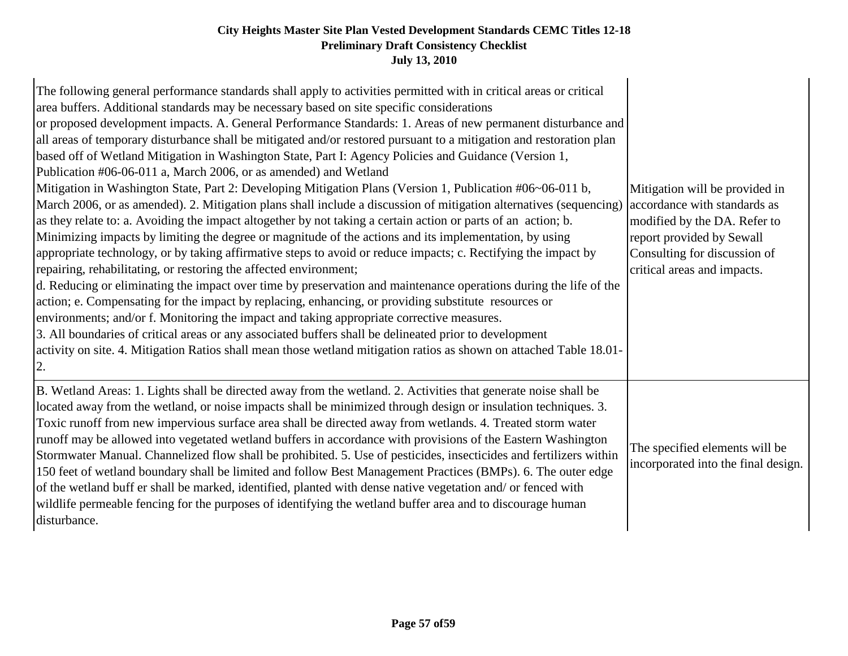| The following general performance standards shall apply to activities permitted with in critical areas or critical<br>area buffers. Additional standards may be necessary based on site specific considerations<br>or proposed development impacts. A. General Performance Standards: 1. Areas of new permanent disturbance and<br>all areas of temporary disturbance shall be mitigated and/or restored pursuant to a mitigation and restoration plan<br>based off of Wetland Mitigation in Washington State, Part I: Agency Policies and Guidance (Version 1,<br>Publication #06-06-011 a, March 2006, or as amended) and Wetland<br>Mitigation in Washington State, Part 2: Developing Mitigation Plans (Version 1, Publication #06~06-011 b,<br>March 2006, or as amended). 2. Mitigation plans shall include a discussion of mitigation alternatives (sequencing)<br>as they relate to: a. Avoiding the impact altogether by not taking a certain action or parts of an action; b.<br>Minimizing impacts by limiting the degree or magnitude of the actions and its implementation, by using<br>appropriate technology, or by taking affirmative steps to avoid or reduce impacts; c. Rectifying the impact by<br>repairing, rehabilitating, or restoring the affected environment;<br>d. Reducing or eliminating the impact over time by preservation and maintenance operations during the life of the<br>action; e. Compensating for the impact by replacing, enhancing, or providing substitute resources or<br>environments; and/or f. Monitoring the impact and taking appropriate corrective measures.<br>3. All boundaries of critical areas or any associated buffers shall be delineated prior to development<br>activity on site. 4. Mitigation Ratios shall mean those wetland mitigation ratios as shown on attached Table 18.01-<br>2. | Mitigation will be provided in<br>accordance with standards as<br>modified by the DA. Refer to<br>report provided by Sewall<br>Consulting for discussion of<br>critical areas and impacts. |
|-----------------------------------------------------------------------------------------------------------------------------------------------------------------------------------------------------------------------------------------------------------------------------------------------------------------------------------------------------------------------------------------------------------------------------------------------------------------------------------------------------------------------------------------------------------------------------------------------------------------------------------------------------------------------------------------------------------------------------------------------------------------------------------------------------------------------------------------------------------------------------------------------------------------------------------------------------------------------------------------------------------------------------------------------------------------------------------------------------------------------------------------------------------------------------------------------------------------------------------------------------------------------------------------------------------------------------------------------------------------------------------------------------------------------------------------------------------------------------------------------------------------------------------------------------------------------------------------------------------------------------------------------------------------------------------------------------------------------------------------------------------------------------------------------------------------------------------------------------------|--------------------------------------------------------------------------------------------------------------------------------------------------------------------------------------------|
| B. Wetland Areas: 1. Lights shall be directed away from the wetland. 2. Activities that generate noise shall be<br>located away from the wetland, or noise impacts shall be minimized through design or insulation techniques. 3.<br>Toxic runoff from new impervious surface area shall be directed away from wetlands. 4. Treated storm water<br>runoff may be allowed into vegetated wetland buffers in accordance with provisions of the Eastern Washington<br>Stormwater Manual. Channelized flow shall be prohibited. 5. Use of pesticides, insecticides and fertilizers within<br>150 feet of wetland boundary shall be limited and follow Best Management Practices (BMPs). 6. The outer edge<br>of the wetland buff er shall be marked, identified, planted with dense native vegetation and/ or fenced with<br>wildlife permeable fencing for the purposes of identifying the wetland buffer area and to discourage human<br>disturbance.                                                                                                                                                                                                                                                                                                                                                                                                                                                                                                                                                                                                                                                                                                                                                                                                                                                                                                       | The specified elements will be<br>incorporated into the final design.                                                                                                                      |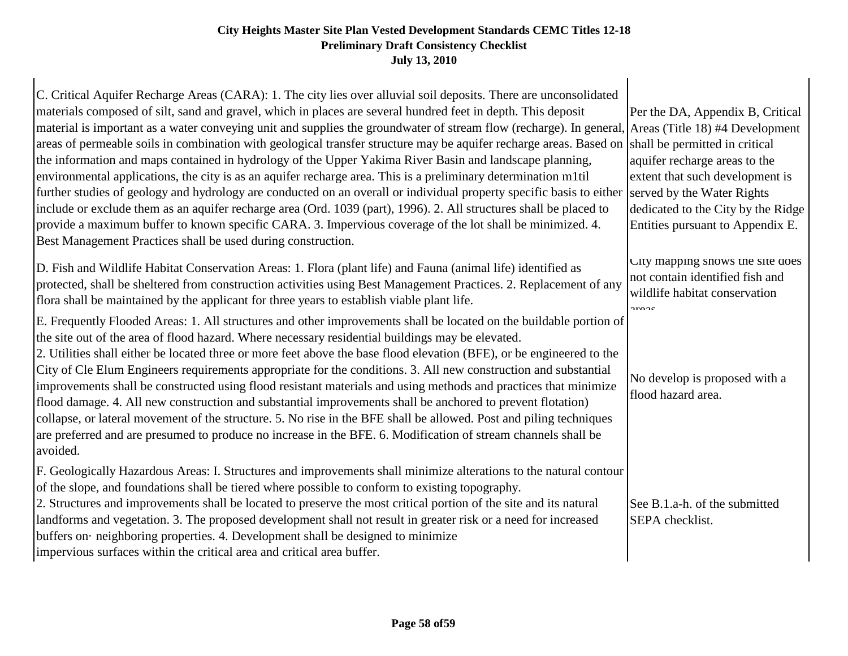| C. Critical Aquifer Recharge Areas (CARA): 1. The city lies over alluvial soil deposits. There are unconsolidated<br>materials composed of silt, sand and gravel, which in places are several hundred feet in depth. This deposit                                                                                                                                                                                                                                                                                                                                                                                                                                                                                                                                                                                                                                                                                                                                | Per the DA, Appendix B, Critical                                                                                                                                         |
|------------------------------------------------------------------------------------------------------------------------------------------------------------------------------------------------------------------------------------------------------------------------------------------------------------------------------------------------------------------------------------------------------------------------------------------------------------------------------------------------------------------------------------------------------------------------------------------------------------------------------------------------------------------------------------------------------------------------------------------------------------------------------------------------------------------------------------------------------------------------------------------------------------------------------------------------------------------|--------------------------------------------------------------------------------------------------------------------------------------------------------------------------|
| material is important as a water conveying unit and supplies the groundwater of stream flow (recharge). In general, Areas (Title 18) #4 Development<br>areas of permeable soils in combination with geological transfer structure may be aquifer recharge areas. Based on shall be permitted in critical<br>the information and maps contained in hydrology of the Upper Yakima River Basin and landscape planning,<br>environmental applications, the city is as an aquifer recharge area. This is a preliminary determination m1til<br>further studies of geology and hydrology are conducted on an overall or individual property specific basis to either<br>include or exclude them as an aquifer recharge area (Ord. 1039 (part), 1996). 2. All structures shall be placed to<br>provide a maximum buffer to known specific CARA. 3. Impervious coverage of the lot shall be minimized. 4.<br>Best Management Practices shall be used during construction. | aquifer recharge areas to the<br>extent that such development is<br>served by the Water Rights<br>dedicated to the City by the Ridge<br>Entities pursuant to Appendix E. |
| D. Fish and Wildlife Habitat Conservation Areas: 1. Flora (plant life) and Fauna (animal life) identified as<br>protected, shall be sheltered from construction activities using Best Management Practices. 2. Replacement of any<br>flora shall be maintained by the applicant for three years to establish viable plant life.                                                                                                                                                                                                                                                                                                                                                                                                                                                                                                                                                                                                                                  | City mapping snows the site does<br>not contain identified fish and<br>wildlife habitat conservation<br>aroac                                                            |
| E. Frequently Flooded Areas: 1. All structures and other improvements shall be located on the buildable portion of<br>the site out of the area of flood hazard. Where necessary residential buildings may be elevated.<br>2. Utilities shall either be located three or more feet above the base flood elevation (BFE), or be engineered to the<br>City of Cle Elum Engineers requirements appropriate for the conditions. 3. All new construction and substantial<br>improvements shall be constructed using flood resistant materials and using methods and practices that minimize<br>flood damage. 4. All new construction and substantial improvements shall be anchored to prevent flotation)<br>collapse, or lateral movement of the structure. 5. No rise in the BFE shall be allowed. Post and piling techniques<br>are preferred and are presumed to produce no increase in the BFE. 6. Modification of stream channels shall be<br>avoided.           | No develop is proposed with a<br>flood hazard area.                                                                                                                      |
| F. Geologically Hazardous Areas: I. Structures and improvements shall minimize alterations to the natural contour<br>of the slope, and foundations shall be tiered where possible to conform to existing topography.<br>2. Structures and improvements shall be located to preserve the most critical portion of the site and its natural<br>landforms and vegetation. 3. The proposed development shall not result in greater risk or a need for increased<br>buffers on neighboring properties. 4. Development shall be designed to minimize<br>impervious surfaces within the critical area and critical area buffer.                                                                                                                                                                                                                                                                                                                                         | See B.1.a-h. of the submitted<br>SEPA checklist.                                                                                                                         |